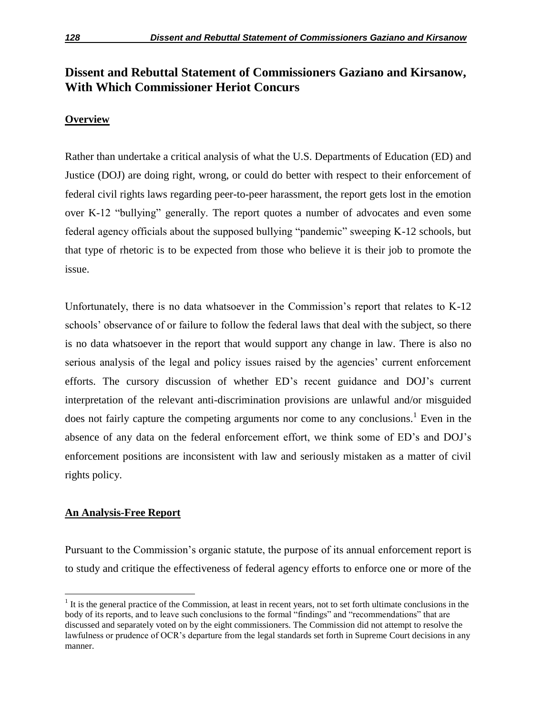# **Dissent and Rebuttal Statement of Commissioners Gaziano and Kirsanow, With Which Commissioner Heriot Concurs**

# **Overview**

Rather than undertake a critical analysis of what the U.S. Departments of Education (ED) and Justice (DOJ) are doing right, wrong, or could do better with respect to their enforcement of federal civil rights laws regarding peer-to-peer harassment, the report gets lost in the emotion over K-12 "bullying" generally. The report quotes a number of advocates and even some federal agency officials about the supposed bullying "pandemic" sweeping K-12 schools, but that type of rhetoric is to be expected from those who believe it is their job to promote the issue.

Unfortunately, there is no data whatsoever in the Commission's report that relates to K-12 schools' observance of or failure to follow the federal laws that deal with the subject, so there is no data whatsoever in the report that would support any change in law. There is also no serious analysis of the legal and policy issues raised by the agencies' current enforcement efforts. The cursory discussion of whether ED's recent guidance and DOJ's current interpretation of the relevant anti-discrimination provisions are unlawful and/or misguided does not fairly capture the competing arguments nor come to any conclusions.<sup>1</sup> Even in the absence of any data on the federal enforcement effort, we think some of ED's and DOJ's enforcement positions are inconsistent with law and seriously mistaken as a matter of civil rights policy.

## **An Analysis-Free Report**

 $\overline{a}$ 

Pursuant to the Commission's organic statute, the purpose of its annual enforcement report is to study and critique the effectiveness of federal agency efforts to enforce one or more of the

 $<sup>1</sup>$  It is the general practice of the Commission, at least in recent years, not to set forth ultimate conclusions in the</sup> body of its reports, and to leave such conclusions to the formal "findings" and "recommendations" that are discussed and separately voted on by the eight commissioners. The Commission did not attempt to resolve the lawfulness or prudence of OCR's departure from the legal standards set forth in Supreme Court decisions in any manner.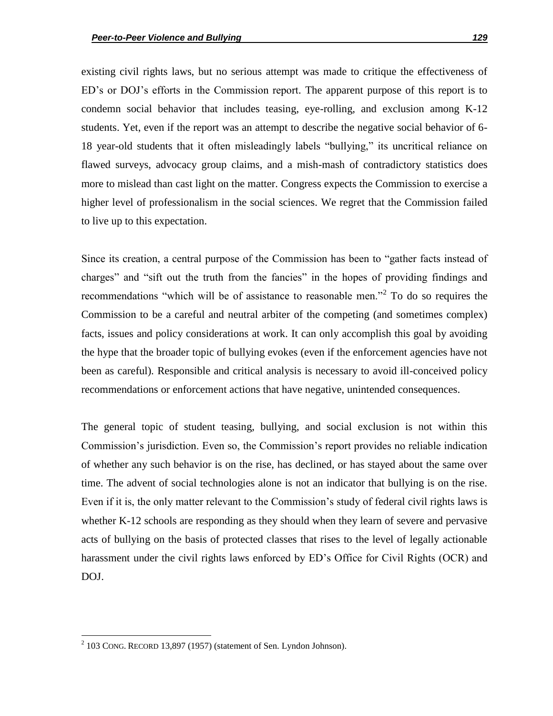existing civil rights laws, but no serious attempt was made to critique the effectiveness of ED's or DOJ's efforts in the Commission report. The apparent purpose of this report is to condemn social behavior that includes teasing, eye-rolling, and exclusion among K-12 students. Yet, even if the report was an attempt to describe the negative social behavior of 6- 18 year-old students that it often misleadingly labels "bullying," its uncritical reliance on flawed surveys, advocacy group claims, and a mish-mash of contradictory statistics does more to mislead than cast light on the matter. Congress expects the Commission to exercise a higher level of professionalism in the social sciences. We regret that the Commission failed to live up to this expectation.

Since its creation, a central purpose of the Commission has been to "gather facts instead of charges" and "sift out the truth from the fancies" in the hopes of providing findings and recommendations "which will be of assistance to reasonable men."<sup>2</sup> To do so requires the Commission to be a careful and neutral arbiter of the competing (and sometimes complex) facts, issues and policy considerations at work. It can only accomplish this goal by avoiding the hype that the broader topic of bullying evokes (even if the enforcement agencies have not been as careful). Responsible and critical analysis is necessary to avoid ill-conceived policy recommendations or enforcement actions that have negative, unintended consequences.

The general topic of student teasing, bullying, and social exclusion is not within this Commission's jurisdiction. Even so, the Commission's report provides no reliable indication of whether any such behavior is on the rise, has declined, or has stayed about the same over time. The advent of social technologies alone is not an indicator that bullying is on the rise. Even if it is, the only matter relevant to the Commission's study of federal civil rights laws is whether K-12 schools are responding as they should when they learn of severe and pervasive acts of bullying on the basis of protected classes that rises to the level of legally actionable harassment under the civil rights laws enforced by ED's Office for Civil Rights (OCR) and DOJ.

 $2$  103 CONG. RECORD 13,897 (1957) (statement of Sen. Lyndon Johnson).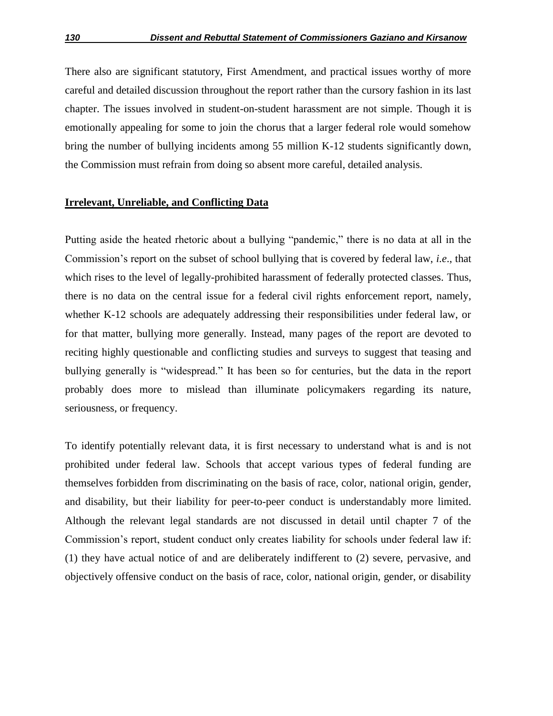There also are significant statutory, First Amendment, and practical issues worthy of more careful and detailed discussion throughout the report rather than the cursory fashion in its last chapter. The issues involved in student-on-student harassment are not simple. Though it is emotionally appealing for some to join the chorus that a larger federal role would somehow bring the number of bullying incidents among 55 million K-12 students significantly down, the Commission must refrain from doing so absent more careful, detailed analysis.

#### **Irrelevant, Unreliable, and Conflicting Data**

Putting aside the heated rhetoric about a bullying "pandemic," there is no data at all in the Commission's report on the subset of school bullying that is covered by federal law, *i.e*., that which rises to the level of legally-prohibited harassment of federally protected classes. Thus, there is no data on the central issue for a federal civil rights enforcement report, namely, whether K-12 schools are adequately addressing their responsibilities under federal law, or for that matter, bullying more generally. Instead, many pages of the report are devoted to reciting highly questionable and conflicting studies and surveys to suggest that teasing and bullying generally is "widespread." It has been so for centuries, but the data in the report probably does more to mislead than illuminate policymakers regarding its nature, seriousness, or frequency.

To identify potentially relevant data, it is first necessary to understand what is and is not prohibited under federal law. Schools that accept various types of federal funding are themselves forbidden from discriminating on the basis of race, color, national origin, gender, and disability, but their liability for peer-to-peer conduct is understandably more limited. Although the relevant legal standards are not discussed in detail until chapter 7 of the Commission's report, student conduct only creates liability for schools under federal law if: (1) they have actual notice of and are deliberately indifferent to (2) severe, pervasive, and objectively offensive conduct on the basis of race, color, national origin, gender, or disability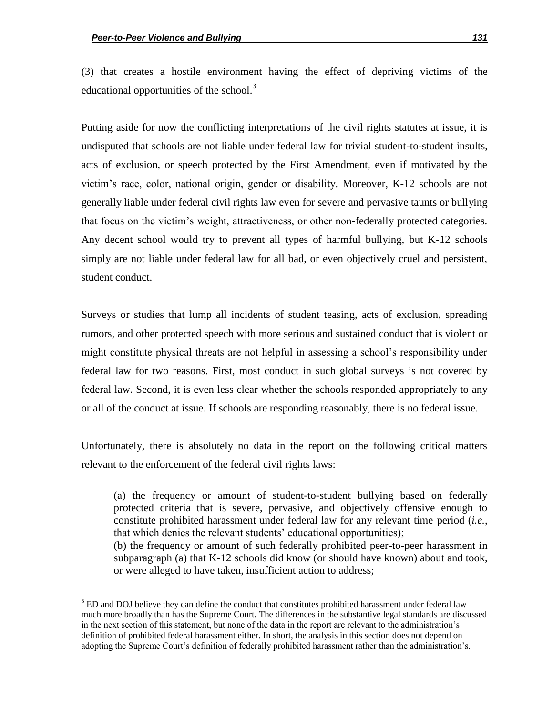$\overline{a}$ 

(3) that creates a hostile environment having the effect of depriving victims of the educational opportunities of the school.<sup>3</sup>

Putting aside for now the conflicting interpretations of the civil rights statutes at issue, it is undisputed that schools are not liable under federal law for trivial student-to-student insults, acts of exclusion, or speech protected by the First Amendment, even if motivated by the victim's race, color, national origin, gender or disability. Moreover, K-12 schools are not generally liable under federal civil rights law even for severe and pervasive taunts or bullying that focus on the victim's weight, attractiveness, or other non-federally protected categories. Any decent school would try to prevent all types of harmful bullying, but K-12 schools simply are not liable under federal law for all bad, or even objectively cruel and persistent, student conduct.

Surveys or studies that lump all incidents of student teasing, acts of exclusion, spreading rumors, and other protected speech with more serious and sustained conduct that is violent or might constitute physical threats are not helpful in assessing a school's responsibility under federal law for two reasons. First, most conduct in such global surveys is not covered by federal law. Second, it is even less clear whether the schools responded appropriately to any or all of the conduct at issue. If schools are responding reasonably, there is no federal issue.

Unfortunately, there is absolutely no data in the report on the following critical matters relevant to the enforcement of the federal civil rights laws:

(a) the frequency or amount of student-to-student bullying based on federally protected criteria that is severe, pervasive, and objectively offensive enough to constitute prohibited harassment under federal law for any relevant time period (*i.e.*, that which denies the relevant students' educational opportunities); (b) the frequency or amount of such federally prohibited peer-to-peer harassment in subparagraph (a) that K-12 schools did know (or should have known) about and took, or were alleged to have taken, insufficient action to address;

<sup>&</sup>lt;sup>3</sup> ED and DOJ believe they can define the conduct that constitutes prohibited harassment under federal law much more broadly than has the Supreme Court. The differences in the substantive legal standards are discussed in the next section of this statement, but none of the data in the report are relevant to the administration's definition of prohibited federal harassment either. In short, the analysis in this section does not depend on adopting the Supreme Court's definition of federally prohibited harassment rather than the administration's.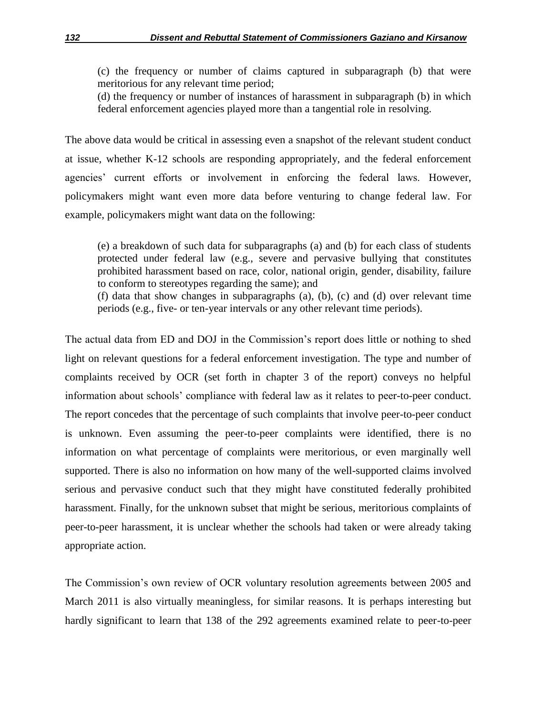(c) the frequency or number of claims captured in subparagraph (b) that were meritorious for any relevant time period;

(d) the frequency or number of instances of harassment in subparagraph (b) in which federal enforcement agencies played more than a tangential role in resolving.

The above data would be critical in assessing even a snapshot of the relevant student conduct at issue, whether K-12 schools are responding appropriately, and the federal enforcement agencies' current efforts or involvement in enforcing the federal laws. However, policymakers might want even more data before venturing to change federal law. For example, policymakers might want data on the following:

(e) a breakdown of such data for subparagraphs (a) and (b) for each class of students protected under federal law (e.g., severe and pervasive bullying that constitutes prohibited harassment based on race, color, national origin, gender, disability, failure to conform to stereotypes regarding the same); and

(f) data that show changes in subparagraphs (a), (b), (c) and (d) over relevant time periods (e.g., five- or ten-year intervals or any other relevant time periods).

The actual data from ED and DOJ in the Commission's report does little or nothing to shed light on relevant questions for a federal enforcement investigation. The type and number of complaints received by OCR (set forth in chapter 3 of the report) conveys no helpful information about schools' compliance with federal law as it relates to peer-to-peer conduct. The report concedes that the percentage of such complaints that involve peer-to-peer conduct is unknown. Even assuming the peer-to-peer complaints were identified, there is no information on what percentage of complaints were meritorious, or even marginally well supported. There is also no information on how many of the well-supported claims involved serious and pervasive conduct such that they might have constituted federally prohibited harassment. Finally, for the unknown subset that might be serious, meritorious complaints of peer-to-peer harassment, it is unclear whether the schools had taken or were already taking appropriate action.

The Commission's own review of OCR voluntary resolution agreements between 2005 and March 2011 is also virtually meaningless, for similar reasons. It is perhaps interesting but hardly significant to learn that 138 of the 292 agreements examined relate to peer-to-peer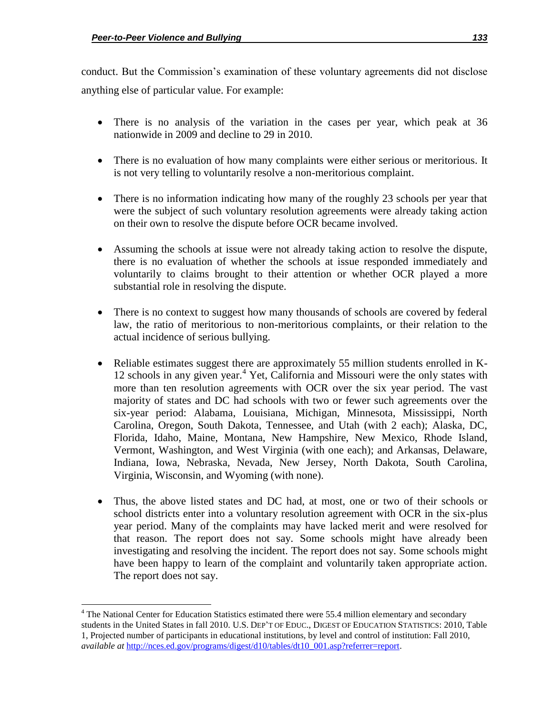$\overline{\phantom{a}}$ 

conduct. But the Commission's examination of these voluntary agreements did not disclose anything else of particular value. For example:

- There is no analysis of the variation in the cases per year, which peak at 36 nationwide in 2009 and decline to 29 in 2010.
- There is no evaluation of how many complaints were either serious or meritorious. It is not very telling to voluntarily resolve a non-meritorious complaint.
- There is no information indicating how many of the roughly 23 schools per year that were the subject of such voluntary resolution agreements were already taking action on their own to resolve the dispute before OCR became involved.
- Assuming the schools at issue were not already taking action to resolve the dispute, there is no evaluation of whether the schools at issue responded immediately and voluntarily to claims brought to their attention or whether OCR played a more substantial role in resolving the dispute.
- There is no context to suggest how many thousands of schools are covered by federal law, the ratio of meritorious to non-meritorious complaints, or their relation to the actual incidence of serious bullying.
- Reliable estimates suggest there are approximately 55 million students enrolled in K-12 schools in any given year.<sup>4</sup> Yet, California and Missouri were the only states with more than ten resolution agreements with OCR over the six year period. The vast majority of states and DC had schools with two or fewer such agreements over the six-year period: Alabama, Louisiana, Michigan, Minnesota, Mississippi, North Carolina, Oregon, South Dakota, Tennessee, and Utah (with 2 each); Alaska, DC, Florida, Idaho, Maine, Montana, New Hampshire, New Mexico, Rhode Island, Vermont, Washington, and West Virginia (with one each); and Arkansas, Delaware, Indiana, Iowa, Nebraska, Nevada, New Jersey, North Dakota, South Carolina, Virginia, Wisconsin, and Wyoming (with none).
- Thus, the above listed states and DC had, at most, one or two of their schools or school districts enter into a voluntary resolution agreement with OCR in the six-plus year period. Many of the complaints may have lacked merit and were resolved for that reason. The report does not say. Some schools might have already been investigating and resolving the incident. The report does not say. Some schools might have been happy to learn of the complaint and voluntarily taken appropriate action. The report does not say.

<sup>&</sup>lt;sup>4</sup> The National Center for Education Statistics estimated there were 55.4 million elementary and secondary students in the United States in fall 2010. U.S. DEP'T OF EDUC., DIGEST OF EDUCATION STATISTICS: 2010, Table 1, Projected number of participants in educational institutions, by level and control of institution: Fall 2010, *available at http://nces.ed.gov/programs/digest/d10/tables/dt10\_001.asp?referrer=report.*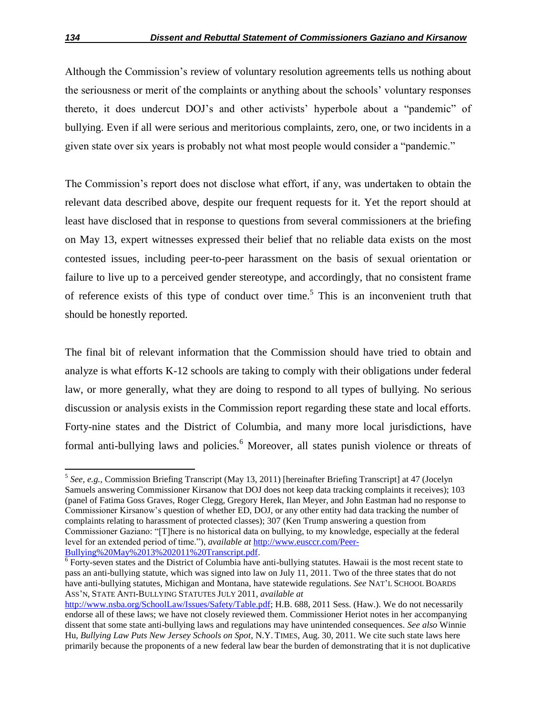Although the Commission's review of voluntary resolution agreements tells us nothing about the seriousness or merit of the complaints or anything about the schools' voluntary responses thereto, it does undercut DOJ's and other activists' hyperbole about a "pandemic" of bullying. Even if all were serious and meritorious complaints, zero, one, or two incidents in a given state over six years is probably not what most people would consider a "pandemic."

The Commission's report does not disclose what effort, if any, was undertaken to obtain the relevant data described above, despite our frequent requests for it. Yet the report should at least have disclosed that in response to questions from several commissioners at the briefing on May 13, expert witnesses expressed their belief that no reliable data exists on the most contested issues, including peer-to-peer harassment on the basis of sexual orientation or failure to live up to a perceived gender stereotype, and accordingly, that no consistent frame of reference exists of this type of conduct over time.<sup>5</sup> This is an inconvenient truth that should be honestly reported.

The final bit of relevant information that the Commission should have tried to obtain and analyze is what efforts K-12 schools are taking to comply with their obligations under federal law, or more generally, what they are doing to respond to all types of bullying. No serious discussion or analysis exists in the Commission report regarding these state and local efforts. Forty-nine states and the District of Columbia, and many more local jurisdictions, have formal anti-bullying laws and policies.<sup>6</sup> Moreover, all states punish violence or threats of

 5 *See, e.g.*, Commission Briefing Transcript (May 13, 2011) [hereinafter Briefing Transcript] at 47 (Jocelyn Samuels answering Commissioner Kirsanow that DOJ does not keep data tracking complaints it receives); 103 (panel of Fatima Goss Graves, Roger Clegg, Gregory Herek, Ilan Meyer, and John Eastman had no response to Commissioner Kirsanow's question of whether ED, DOJ, or any other entity had data tracking the number of complaints relating to harassment of protected classes); 307 (Ken Trump answering a question from Commissioner Gaziano: "[T]here is no historical data on bullying, to my knowledge, especially at the federal level for an extended period of time.‖), *available at* http://www.eusccr.com/Peer-Bullying%20May%2013%202011%20Transcript.pdf.

<sup>&</sup>lt;sup>6</sup> Forty-seven states and the District of Columbia have anti-bullying statutes. Hawaii is the most recent state to pass an anti-bullying statute, which was signed into law on July 11, 2011. Two of the three states that do not have anti-bullying statutes, Michigan and Montana, have statewide regulations. *See* NAT'L SCHOOL BOARDS ASS'N, STATE ANTI-BULLYING STATUTES JULY 2011, *available at*

http://www.nsba.org/SchoolLaw/Issues/Safety/Table.pdf; H.B. 688, 2011 Sess. (Haw.). We do not necessarily endorse all of these laws; we have not closely reviewed them. Commissioner Heriot notes in her accompanying dissent that some state anti-bullying laws and regulations may have unintended consequences. *See also* Winnie Hu, *Bullying Law Puts New Jersey Schools on Spot*, N.Y. TIMES, Aug. 30, 2011. We cite such state laws here primarily because the proponents of a new federal law bear the burden of demonstrating that it is not duplicative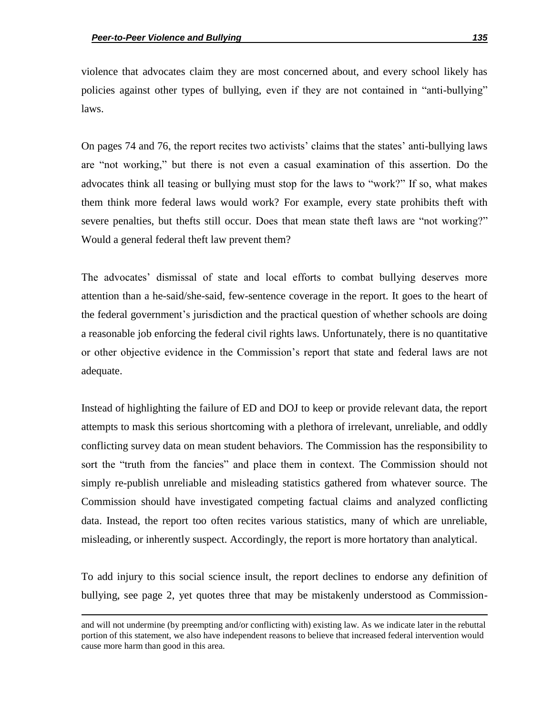$\overline{\phantom{a}}$ 

violence that advocates claim they are most concerned about, and every school likely has policies against other types of bullying, even if they are not contained in "anti-bullying" laws.

On pages 74 and 76, the report recites two activists' claims that the states' anti-bullying laws are "not working," but there is not even a casual examination of this assertion. Do the advocates think all teasing or bullying must stop for the laws to "work?" If so, what makes them think more federal laws would work? For example, every state prohibits theft with severe penalties, but thefts still occur. Does that mean state theft laws are "not working?" Would a general federal theft law prevent them?

The advocates' dismissal of state and local efforts to combat bullying deserves more attention than a he-said/she-said, few-sentence coverage in the report. It goes to the heart of the federal government's jurisdiction and the practical question of whether schools are doing a reasonable job enforcing the federal civil rights laws. Unfortunately, there is no quantitative or other objective evidence in the Commission's report that state and federal laws are not adequate.

Instead of highlighting the failure of ED and DOJ to keep or provide relevant data, the report attempts to mask this serious shortcoming with a plethora of irrelevant, unreliable, and oddly conflicting survey data on mean student behaviors. The Commission has the responsibility to sort the "truth from the fancies" and place them in context. The Commission should not simply re-publish unreliable and misleading statistics gathered from whatever source. The Commission should have investigated competing factual claims and analyzed conflicting data. Instead, the report too often recites various statistics, many of which are unreliable, misleading, or inherently suspect. Accordingly, the report is more hortatory than analytical.

To add injury to this social science insult, the report declines to endorse any definition of bullying, see page 2, yet quotes three that may be mistakenly understood as Commission-

and will not undermine (by preempting and/or conflicting with) existing law. As we indicate later in the rebuttal portion of this statement, we also have independent reasons to believe that increased federal intervention would cause more harm than good in this area.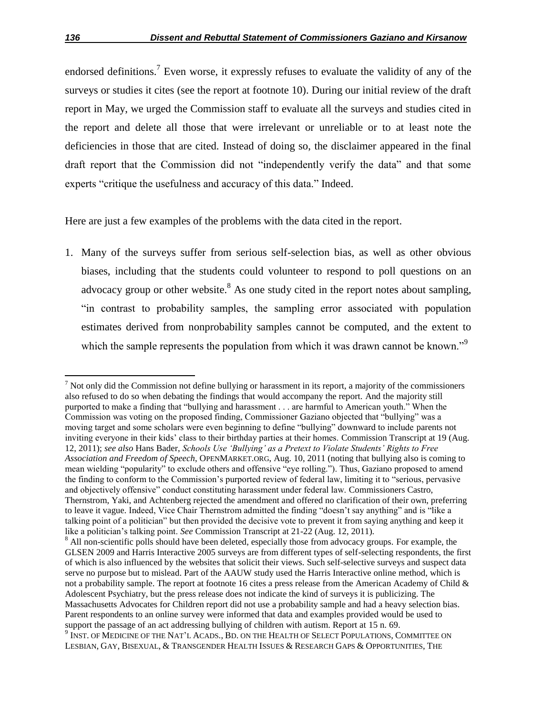endorsed definitions.<sup>7</sup> Even worse, it expressly refuses to evaluate the validity of any of the surveys or studies it cites (see the report at footnote 10). During our initial review of the draft report in May, we urged the Commission staff to evaluate all the surveys and studies cited in the report and delete all those that were irrelevant or unreliable or to at least note the deficiencies in those that are cited. Instead of doing so, the disclaimer appeared in the final draft report that the Commission did not "independently verify the data" and that some experts "critique the usefulness and accuracy of this data." Indeed.

Here are just a few examples of the problems with the data cited in the report.

1. Many of the surveys suffer from serious self-selection bias, as well as other obvious biases, including that the students could volunteer to respond to poll questions on an advocacy group or other website. $8$  As one study cited in the report notes about sampling, "in contrast to probability samples, the sampling error associated with population estimates derived from nonprobability samples cannot be computed, and the extent to which the sample represents the population from which it was drawn cannot be known.<sup>99</sup>

 $\overline{a}$ 

 $<sup>7</sup>$  Not only did the Commission not define bullying or harassment in its report, a majority of the commissioners</sup> also refused to do so when debating the findings that would accompany the report. And the majority still purported to make a finding that "bullying and harassment . . . are harmful to American youth." When the Commission was voting on the proposed finding, Commissioner Gaziano objected that "bullying" was a moving target and some scholars were even beginning to define "bullying" downward to include parents not inviting everyone in their kids' class to their birthday parties at their homes. Commission Transcript at 19 (Aug. 12, 2011); *see also* Hans Bader, *Schools Use "Bullying" as a Pretext to Violate Students" Rights to Free Association and Freedom of Speech*, OPENMARKET.ORG, Aug. 10, 2011 (noting that bullying also is coming to mean wielding "popularity" to exclude others and offensive "eye rolling."). Thus, Gaziano proposed to amend the finding to conform to the Commission's purported review of federal law, limiting it to "serious, pervasive and objectively offensive" conduct constituting harassment under federal law. Commissioners Castro, Thernstrom, Yaki, and Achtenberg rejected the amendment and offered no clarification of their own, preferring to leave it vague. Indeed, Vice Chair Thernstrom admitted the finding "doesn't say anything" and is "like a talking point of a politician" but then provided the decisive vote to prevent it from saying anything and keep it like a politician's talking point. *See* Commission Transcript at 21-22 (Aug. 12, 2011).

<sup>&</sup>lt;sup>8</sup> All non-scientific polls should have been deleted, especially those from advocacy groups. For example, the GLSEN 2009 and Harris Interactive 2005 surveys are from different types of self-selecting respondents, the first of which is also influenced by the websites that solicit their views. Such self-selective surveys and suspect data serve no purpose but to mislead. Part of the AAUW study used the Harris Interactive online method, which is not a probability sample. The report at footnote 16 cites a press release from the American Academy of Child & Adolescent Psychiatry, but the press release does not indicate the kind of surveys it is publicizing. The Massachusetts Advocates for Children report did not use a probability sample and had a heavy selection bias. Parent respondents to an online survey were informed that data and examples provided would be used to support the passage of an act addressing bullying of children with autism. Report at 15 n. 69. <sup>9</sup> INST. OF MEDICINE OF THE NAT'L ACADS., BD. ON THE HEALTH OF SELECT POPULATIONS, COMMITTEE ON

LESBIAN, GAY, BISEXUAL, & TRANSGENDER HEALTH ISSUES & RESEARCH GAPS & OPPORTUNITIES, THE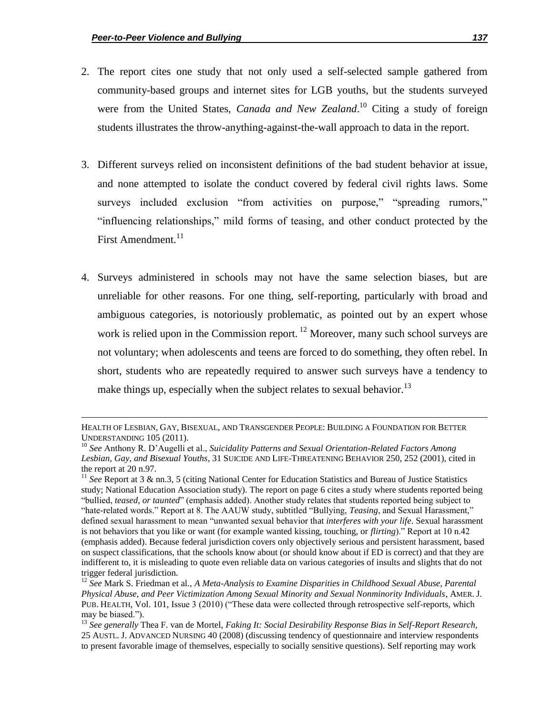- 2. The report cites one study that not only used a self-selected sample gathered from community-based groups and internet sites for LGB youths, but the students surveyed were from the United States, *Canada and New Zealand*. <sup>10</sup> Citing a study of foreign students illustrates the throw-anything-against-the-wall approach to data in the report.
- 3. Different surveys relied on inconsistent definitions of the bad student behavior at issue, and none attempted to isolate the conduct covered by federal civil rights laws. Some surveys included exclusion "from activities on purpose," "spreading rumors," "influencing relationships," mild forms of teasing, and other conduct protected by the First Amendment.<sup>11</sup>
- 4. Surveys administered in schools may not have the same selection biases, but are unreliable for other reasons. For one thing, self-reporting, particularly with broad and ambiguous categories, is notoriously problematic, as pointed out by an expert whose work is relied upon in the Commission report.  $^{12}$  Moreover, many such school surveys are not voluntary; when adolescents and teens are forced to do something, they often rebel. In short, students who are repeatedly required to answer such surveys have a tendency to make things up, especially when the subject relates to sexual behavior.<sup>13</sup>

HEALTH OF LESBIAN, GAY, BISEXUAL, AND TRANSGENDER PEOPLE: BUILDING A FOUNDATION FOR BETTER UNDERSTANDING 105 (2011).

<sup>10</sup> *See* Anthony R. D'Augelli et al., *Suicidality Patterns and Sexual Orientation-Related Factors Among Lesbian, Gay, and Bisexual Youths*, 31 SUICIDE AND LIFE-THREATENING BEHAVIOR 250, 252 (2001), cited in the report at 20 n.97.

<sup>&</sup>lt;sup>11</sup> See<sup></sup> Report at 3 & nn.3, 5 (citing National Center for Education Statistics and Bureau of Justice Statistics study; National Education Association study). The report on page 6 cites a study where students reported being "bullied, *teased, or taunted*" (emphasis added). Another study relates that students reported being subject to "hate-related words." Report at 8. The AAUW study, subtitled "Bullying, *Teasing*, and Sexual Harassment," defined sexual harassment to mean "unwanted sexual behavior that *interferes with your life*. Sexual harassment is not behaviors that you like or want (for example wanted kissing, touching, or *flirting*)." Report at 10 n.42 (emphasis added). Because federal jurisdiction covers only objectively serious and persistent harassment, based on suspect classifications, that the schools know about (or should know about if ED is correct) and that they are indifferent to, it is misleading to quote even reliable data on various categories of insults and slights that do not trigger federal jurisdiction.

<sup>12</sup> *See* Mark S. Friedman et al., *A Meta-Analysis to Examine Disparities in Childhood Sexual Abuse, Parental Physical Abuse, and Peer Victimization Among Sexual Minority and Sexual Nonminority Individuals*, AMER. J. PUB. HEALTH, Vol. 101, Issue 3 (2010) ("These data were collected through retrospective self-reports, which may be biased.").

<sup>13</sup> *See generally* Thea F. van de Mortel, *Faking It: Social Desirability Response Bias in Self-Report Research*, 25 AUSTL. J. ADVANCED NURSING 40 (2008) (discussing tendency of questionnaire and interview respondents to present favorable image of themselves, especially to socially sensitive questions). Self reporting may work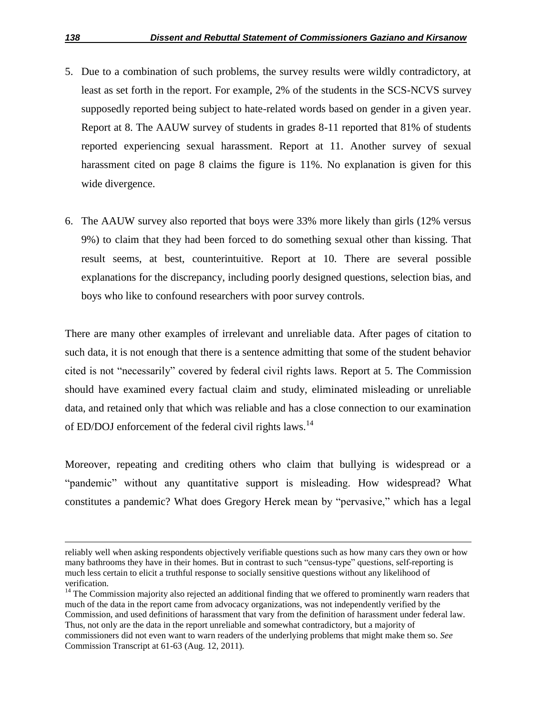- 5. Due to a combination of such problems, the survey results were wildly contradictory, at least as set forth in the report. For example, 2% of the students in the SCS-NCVS survey supposedly reported being subject to hate-related words based on gender in a given year. Report at 8. The AAUW survey of students in grades 8-11 reported that 81% of students reported experiencing sexual harassment. Report at 11. Another survey of sexual harassment cited on page 8 claims the figure is 11%. No explanation is given for this wide divergence.
- 6. The AAUW survey also reported that boys were 33% more likely than girls (12% versus 9%) to claim that they had been forced to do something sexual other than kissing. That result seems, at best, counterintuitive. Report at 10. There are several possible explanations for the discrepancy, including poorly designed questions, selection bias, and boys who like to confound researchers with poor survey controls.

There are many other examples of irrelevant and unreliable data. After pages of citation to such data, it is not enough that there is a sentence admitting that some of the student behavior cited is not "necessarily" covered by federal civil rights laws. Report at 5. The Commission should have examined every factual claim and study, eliminated misleading or unreliable data, and retained only that which was reliable and has a close connection to our examination of ED/DOJ enforcement of the federal civil rights laws.<sup>14</sup>

Moreover, repeating and crediting others who claim that bullying is widespread or a "pandemic" without any quantitative support is misleading. How widespread? What constitutes a pandemic? What does Gregory Herek mean by "pervasive," which has a legal

reliably well when asking respondents objectively verifiable questions such as how many cars they own or how many bathrooms they have in their homes. But in contrast to such "census-type" questions, self-reporting is much less certain to elicit a truthful response to socially sensitive questions without any likelihood of verification.

<sup>&</sup>lt;sup>14</sup> The Commission majority also rejected an additional finding that we offered to prominently warn readers that much of the data in the report came from advocacy organizations, was not independently verified by the Commission, and used definitions of harassment that vary from the definition of harassment under federal law. Thus, not only are the data in the report unreliable and somewhat contradictory, but a majority of commissioners did not even want to warn readers of the underlying problems that might make them so. *See* Commission Transcript at 61-63 (Aug. 12, 2011).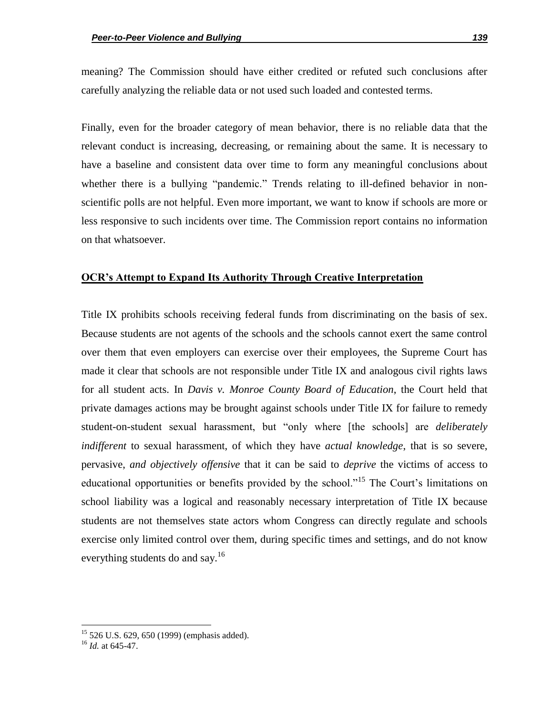meaning? The Commission should have either credited or refuted such conclusions after carefully analyzing the reliable data or not used such loaded and contested terms.

Finally, even for the broader category of mean behavior, there is no reliable data that the relevant conduct is increasing, decreasing, or remaining about the same. It is necessary to have a baseline and consistent data over time to form any meaningful conclusions about whether there is a bullying "pandemic." Trends relating to ill-defined behavior in nonscientific polls are not helpful. Even more important, we want to know if schools are more or less responsive to such incidents over time. The Commission report contains no information on that whatsoever.

#### **OCR's Attempt to Expand Its Authority Through Creative Interpretation**

Title IX prohibits schools receiving federal funds from discriminating on the basis of sex. Because students are not agents of the schools and the schools cannot exert the same control over them that even employers can exercise over their employees, the Supreme Court has made it clear that schools are not responsible under Title IX and analogous civil rights laws for all student acts. In *Davis v. Monroe County Board of Education*, the Court held that private damages actions may be brought against schools under Title IX for failure to remedy student-on-student sexual harassment, but "only where [the schools] are *deliberately indifferent* to sexual harassment, of which they have *actual knowledge*, that is so severe, pervasive, *and objectively offensive* that it can be said to *deprive* the victims of access to educational opportunities or benefits provided by the school.<sup>15</sup> The Court's limitations on school liability was a logical and reasonably necessary interpretation of Title IX because students are not themselves state actors whom Congress can directly regulate and schools exercise only limited control over them, during specific times and settings, and do not know everything students do and say.<sup>16</sup>

 $15$  526 U.S. 629, 650 (1999) (emphasis added).

<sup>16</sup> *Id.* at 645-47.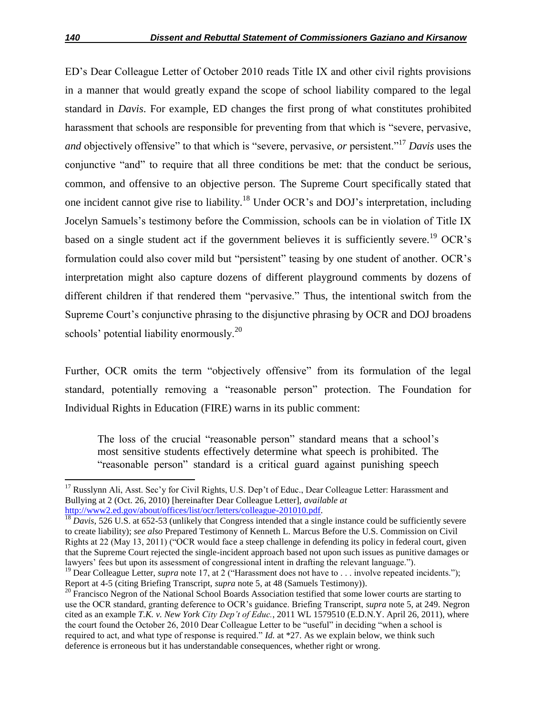ED's Dear Colleague Letter of October 2010 reads Title IX and other civil rights provisions in a manner that would greatly expand the scope of school liability compared to the legal standard in *Davis*. For example, ED changes the first prong of what constitutes prohibited harassment that schools are responsible for preventing from that which is "severe, pervasive, *and* objectively offensive" to that which is "severe, pervasive, *or* persistent."<sup>17</sup> *Davis* uses the conjunctive "and" to require that all three conditions be met: that the conduct be serious, common, and offensive to an objective person. The Supreme Court specifically stated that one incident cannot give rise to liability.<sup>18</sup> Under OCR's and DOJ's interpretation, including Jocelyn Samuels's testimony before the Commission, schools can be in violation of Title IX based on a single student act if the government believes it is sufficiently severe.<sup>19</sup> OCR's formulation could also cover mild but "persistent" teasing by one student of another. OCR's interpretation might also capture dozens of different playground comments by dozens of different children if that rendered them "pervasive." Thus, the intentional switch from the Supreme Court's conjunctive phrasing to the disjunctive phrasing by OCR and DOJ broadens schools' potential liability enormously.<sup>20</sup>

Further, OCR omits the term "objectively offensive" from its formulation of the legal standard, potentially removing a "reasonable person" protection. The Foundation for Individual Rights in Education (FIRE) warns in its public comment:

The loss of the crucial "reasonable person" standard means that a school's most sensitive students effectively determine what speech is prohibited. The "reasonable person" standard is a critical guard against punishing speech

<sup>&</sup>lt;sup>17</sup> Russlynn Ali, Asst. Sec'y for Civil Rights, U.S. Dep't of Educ., Dear Colleague Letter: Harassment and Bullying at 2 (Oct. 26, 2010) [hereinafter Dear Colleague Letter], *available at* http://www2.ed.gov/about/offices/list/ocr/letters/colleague-201010.pdf.

<sup>&</sup>lt;sup>18</sup> *Davis*, 526 U.S. at 652-53 (unlikely that Congress intended that a single instance could be sufficiently severe to create liability); *see also* Prepared Testimony of Kenneth L. Marcus Before the U.S. Commission on Civil Rights at 22 (May 13, 2011) ("OCR would face a steep challenge in defending its policy in federal court, given that the Supreme Court rejected the single-incident approach based not upon such issues as punitive damages or lawyers' fees but upon its assessment of congressional intent in drafting the relevant language.").

<sup>&</sup>lt;sup>19</sup> Dear Colleague Letter, *supra* note 17, at 2 ("Harassment does not have to . . . involve repeated incidents."); Report at 4-5 (citing Briefing Transcript, *supra* note 5, at 48 (Samuels Testimony)).

<sup>&</sup>lt;sup>20</sup> Francisco Negron of the National School Boards Association testified that some lower courts are starting to use the OCR standard, granting deference to OCR's guidance. Briefing Transcript, *supra* note 5, at 249. Negron cited as an example *T.K. v. New York City Dep"t of Educ.*, 2011 WL 1579510 (E.D.N.Y. April 26, 2011), where the court found the October 26, 2010 Dear Colleague Letter to be "useful" in deciding "when a school is required to act, and what type of response is required." *Id.* at \*27. As we explain below, we think such deference is erroneous but it has understandable consequences, whether right or wrong.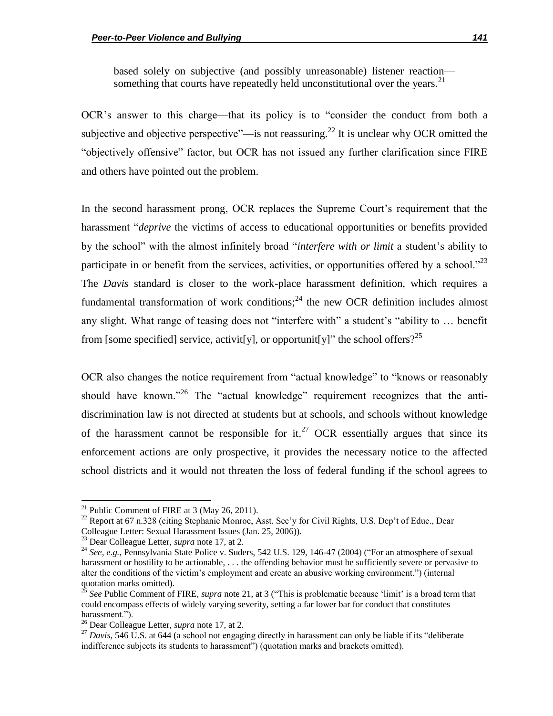based solely on subjective (and possibly unreasonable) listener reaction something that courts have repeatedly held unconstitutional over the years. $21$ 

OCR's answer to this charge—that its policy is to "consider the conduct from both a subjective and objective perspective"—is not reassuring.<sup>22</sup> It is unclear why OCR omitted the "objectively offensive" factor, but OCR has not issued any further clarification since FIRE and others have pointed out the problem.

In the second harassment prong, OCR replaces the Supreme Court's requirement that the harassment "*deprive* the victims of access to educational opportunities or benefits provided by the school" with the almost infinitely broad "*interfere with or limit* a student's ability to participate in or benefit from the services, activities, or opportunities offered by a school. $23$ The *Davis* standard is closer to the work-place harassment definition, which requires a fundamental transformation of work conditions;<sup>24</sup> the new OCR definition includes almost any slight. What range of teasing does not "interfere with" a student's "ability to ... benefit from [some specified] service, activit[y], or opportunit[y]" the school offers?<sup>25</sup>

OCR also changes the notice requirement from "actual knowledge" to "knows or reasonably should have known.<sup>26</sup> The "actual knowledge" requirement recognizes that the antidiscrimination law is not directed at students but at schools, and schools without knowledge of the harassment cannot be responsible for it.<sup>27</sup> OCR essentially argues that since its enforcement actions are only prospective, it provides the necessary notice to the affected school districts and it would not threaten the loss of federal funding if the school agrees to

 $\overline{a}$ 

<sup>&</sup>lt;sup>21</sup> Public Comment of FIRE at 3 (May 26, 2011).

<sup>&</sup>lt;sup>22</sup> Report at 67 n.328 (citing Stephanie Monroe, Asst. Sec'y for Civil Rights, U.S. Dep't of Educ., Dear Colleague Letter: Sexual Harassment Issues (Jan. 25, 2006)).

<sup>23</sup> Dear Colleague Letter, *supra* note 17, at 2.

<sup>&</sup>lt;sup>24</sup> *See, e.g.*, Pennsylvania State Police v. Suders, 542 U.S. 129, 146-47 (2004) ("For an atmosphere of sexual harassment or hostility to be actionable, ... the offending behavior must be sufficiently severe or pervasive to alter the conditions of the victim's employment and create an abusive working environment.") (internal quotation marks omitted).

See Public Comment of FIRE, *supra* note 21, at 3 ("This is problematic because 'limit' is a broad term that could encompass effects of widely varying severity, setting a far lower bar for conduct that constitutes harassment.").

<sup>26</sup> Dear Colleague Letter, *supra* note 17, at 2.

<sup>&</sup>lt;sup>27</sup> *Davis*, 546 U.S. at 644 (a school not engaging directly in harassment can only be liable if its "deliberate" indifference subjects its students to harassment") (quotation marks and brackets omitted).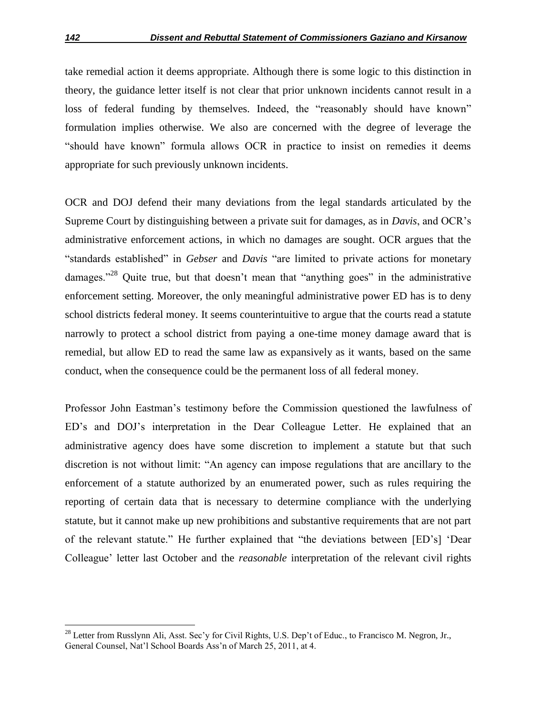take remedial action it deems appropriate. Although there is some logic to this distinction in theory, the guidance letter itself is not clear that prior unknown incidents cannot result in a loss of federal funding by themselves. Indeed, the "reasonably should have known" formulation implies otherwise. We also are concerned with the degree of leverage the "should have known" formula allows OCR in practice to insist on remedies it deems appropriate for such previously unknown incidents.

OCR and DOJ defend their many deviations from the legal standards articulated by the Supreme Court by distinguishing between a private suit for damages, as in *Davis*, and OCR's administrative enforcement actions, in which no damages are sought. OCR argues that the "standards established" in *Gebser* and *Davis* "are limited to private actions for monetary damages."<sup>28</sup> Quite true, but that doesn't mean that "anything goes" in the administrative enforcement setting. Moreover, the only meaningful administrative power ED has is to deny school districts federal money. It seems counterintuitive to argue that the courts read a statute narrowly to protect a school district from paying a one-time money damage award that is remedial, but allow ED to read the same law as expansively as it wants, based on the same conduct, when the consequence could be the permanent loss of all federal money.

Professor John Eastman's testimony before the Commission questioned the lawfulness of ED's and DOJ's interpretation in the Dear Colleague Letter. He explained that an administrative agency does have some discretion to implement a statute but that such discretion is not without limit: "An agency can impose regulations that are ancillary to the enforcement of a statute authorized by an enumerated power, such as rules requiring the reporting of certain data that is necessary to determine compliance with the underlying statute, but it cannot make up new prohibitions and substantive requirements that are not part of the relevant statute." He further explained that "the deviations between [ED's] 'Dear Colleague' letter last October and the *reasonable* interpretation of the relevant civil rights

 $^{28}$  Letter from Russlynn Ali, Asst. Sec'y for Civil Rights, U.S. Dep't of Educ., to Francisco M. Negron, Jr., General Counsel, Nat'l School Boards Ass'n of March 25, 2011, at 4.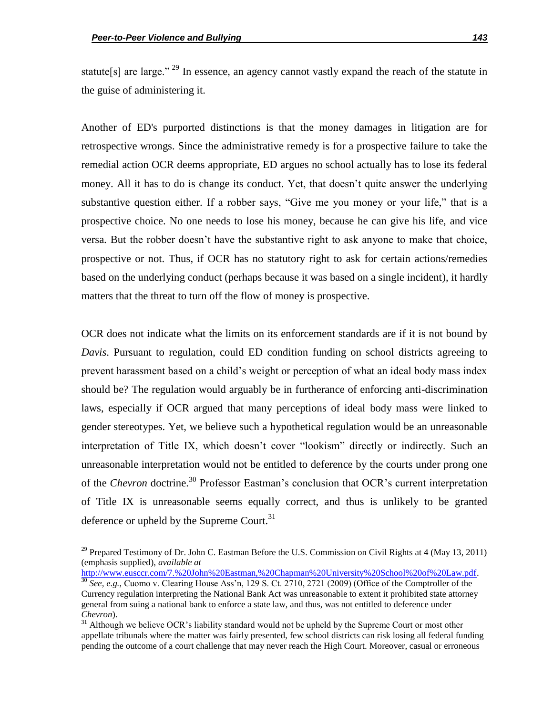$\overline{\phantom{a}}$ 

statute[s] are large."<sup>29</sup> In essence, an agency cannot vastly expand the reach of the statute in the guise of administering it.

Another of ED's purported distinctions is that the money damages in litigation are for retrospective wrongs. Since the administrative remedy is for a prospective failure to take the remedial action OCR deems appropriate, ED argues no school actually has to lose its federal money. All it has to do is change its conduct. Yet, that doesn't quite answer the underlying substantive question either. If a robber says, "Give me you money or your life," that is a prospective choice. No one needs to lose his money, because he can give his life, and vice versa. But the robber doesn't have the substantive right to ask anyone to make that choice, prospective or not. Thus, if OCR has no statutory right to ask for certain actions/remedies based on the underlying conduct (perhaps because it was based on a single incident), it hardly matters that the threat to turn off the flow of money is prospective.

OCR does not indicate what the limits on its enforcement standards are if it is not bound by *Davis*. Pursuant to regulation, could ED condition funding on school districts agreeing to prevent harassment based on a child's weight or perception of what an ideal body mass index should be? The regulation would arguably be in furtherance of enforcing anti-discrimination laws, especially if OCR argued that many perceptions of ideal body mass were linked to gender stereotypes. Yet, we believe such a hypothetical regulation would be an unreasonable interpretation of Title IX, which doesn't cover "lookism" directly or indirectly. Such an unreasonable interpretation would not be entitled to deference by the courts under prong one of the *Chevron* doctrine.<sup>30</sup> Professor Eastman's conclusion that OCR's current interpretation of Title IX is unreasonable seems equally correct, and thus is unlikely to be granted deference or upheld by the Supreme Court.<sup>31</sup>

http://www.eusccr.com/7.%20John%20Eastman,%20Chapman%20University%20School%20of%20Law.pdf.

<sup>&</sup>lt;sup>29</sup> Prepared Testimony of Dr. John C. Eastman Before the U.S. Commission on Civil Rights at 4 (May 13, 2011) (emphasis supplied), *available at*

<sup>&</sup>lt;sup>30</sup> See, e.g., Cuomo v. Clearing House Ass'n, 129 S. Ct. 2710, 2721 (2009) (Office of the Comptroller of the Currency regulation interpreting the National Bank Act was unreasonable to extent it prohibited state attorney general from suing a national bank to enforce a state law, and thus, was not entitled to deference under *Chevron*).

<sup>&</sup>lt;sup>31</sup> Although we believe OCR's liability standard would not be upheld by the Supreme Court or most other appellate tribunals where the matter was fairly presented, few school districts can risk losing all federal funding pending the outcome of a court challenge that may never reach the High Court. Moreover, casual or erroneous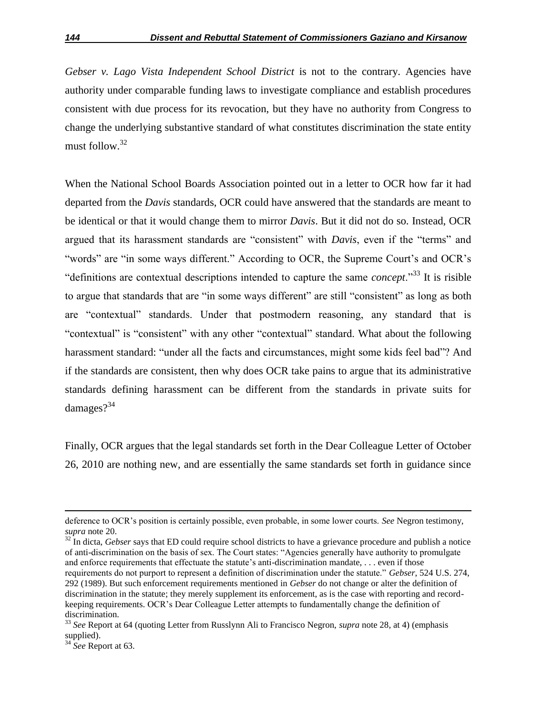*Gebser v. Lago Vista Independent School District* is not to the contrary. Agencies have authority under comparable funding laws to investigate compliance and establish procedures consistent with due process for its revocation, but they have no authority from Congress to change the underlying substantive standard of what constitutes discrimination the state entity must follow.<sup>32</sup>

When the National School Boards Association pointed out in a letter to OCR how far it had departed from the *Davis* standards, OCR could have answered that the standards are meant to be identical or that it would change them to mirror *Davis*. But it did not do so. Instead, OCR argued that its harassment standards are "consistent" with *Davis*, even if the "terms" and "words" are "in some ways different." According to OCR, the Supreme Court's and OCR's "definitions are contextual descriptions intended to capture the same *concept*."<sup>33</sup> It is risible to argue that standards that are "in some ways different" are still "consistent" as long as both are "contextual" standards. Under that postmodern reasoning, any standard that is "contextual" is "consistent" with any other "contextual" standard. What about the following harassment standard: "under all the facts and circumstances, might some kids feel bad"? And if the standards are consistent, then why does OCR take pains to argue that its administrative standards defining harassment can be different from the standards in private suits for damages $?^{34}$ 

Finally, OCR argues that the legal standards set forth in the Dear Colleague Letter of October 26, 2010 are nothing new, and are essentially the same standards set forth in guidance since

<sup>32</sup> In dicta, *Gebser* says that ED could require school districts to have a grievance procedure and publish a notice of anti-discrimination on the basis of sex. The Court states: "Agencies generally have authority to promulgate and enforce requirements that effectuate the statute's anti-discrimination mandate, . . . even if those requirements do not purport to represent a definition of discrimination under the statute.‖ *Gebser*, 524 U.S. 274, 292 (1989). But such enforcement requirements mentioned in *Gebser* do not change or alter the definition of discrimination in the statute; they merely supplement its enforcement, as is the case with reporting and recordkeeping requirements. OCR's Dear Colleague Letter attempts to fundamentally change the definition of discrimination.

deference to OCR's position is certainly possible, even probable, in some lower courts. *See* Negron testimony, *supra* note 20.

<sup>33</sup> *See* Report at 64 (quoting Letter from Russlynn Ali to Francisco Negron, *supra* note 28, at 4) (emphasis supplied).

<sup>34</sup> *See* Report at 63.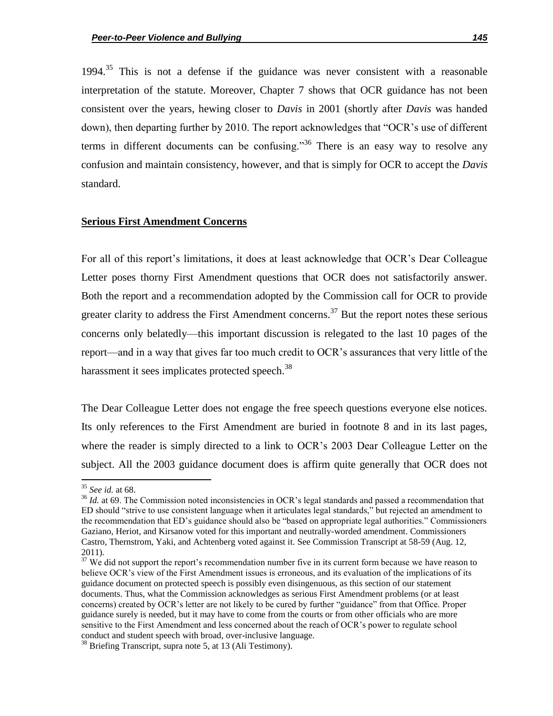1994.<sup>35</sup> This is not a defense if the guidance was never consistent with a reasonable interpretation of the statute. Moreover, Chapter 7 shows that OCR guidance has not been consistent over the years, hewing closer to *Davis* in 2001 (shortly after *Davis* was handed down), then departing further by 2010. The report acknowledges that "OCR's use of different terms in different documents can be confusing.<sup>36</sup> There is an easy way to resolve any confusion and maintain consistency, however, and that is simply for OCR to accept the *Davis* standard.

#### **Serious First Amendment Concerns**

For all of this report's limitations, it does at least acknowledge that OCR's Dear Colleague Letter poses thorny First Amendment questions that OCR does not satisfactorily answer. Both the report and a recommendation adopted by the Commission call for OCR to provide greater clarity to address the First Amendment concerns.<sup>37</sup> But the report notes these serious concerns only belatedly—this important discussion is relegated to the last 10 pages of the report—and in a way that gives far too much credit to OCR's assurances that very little of the harassment it sees implicates protected speech.<sup>38</sup>

The Dear Colleague Letter does not engage the free speech questions everyone else notices. Its only references to the First Amendment are buried in footnote 8 and in its last pages, where the reader is simply directed to a link to OCR's 2003 Dear Colleague Letter on the subject. All the 2003 guidance document does is affirm quite generally that OCR does not

<sup>35</sup> *See id.* at 68.

<sup>&</sup>lt;sup>36</sup> *Id.* at 69. The Commission noted inconsistencies in OCR's legal standards and passed a recommendation that ED should "strive to use consistent language when it articulates legal standards," but rejected an amendment to the recommendation that ED's guidance should also be "based on appropriate legal authorities." Commissioners Gaziano, Heriot, and Kirsanow voted for this important and neutrally-worded amendment. Commissioners Castro, Thernstrom, Yaki, and Achtenberg voted against it. See Commission Transcript at 58-59 (Aug. 12, 2011).

<sup>&</sup>lt;sup>37</sup> We did not support the report's recommendation number five in its current form because we have reason to believe OCR's view of the First Amendment issues is erroneous, and its evaluation of the implications of its guidance document on protected speech is possibly even disingenuous, as this section of our statement documents. Thus, what the Commission acknowledges as serious First Amendment problems (or at least concerns) created by OCR's letter are not likely to be cured by further "guidance" from that Office. Proper guidance surely is needed, but it may have to come from the courts or from other officials who are more sensitive to the First Amendment and less concerned about the reach of OCR's power to regulate school conduct and student speech with broad, over-inclusive language.

 $38$  Briefing Transcript, supra note 5, at 13 (Ali Testimony).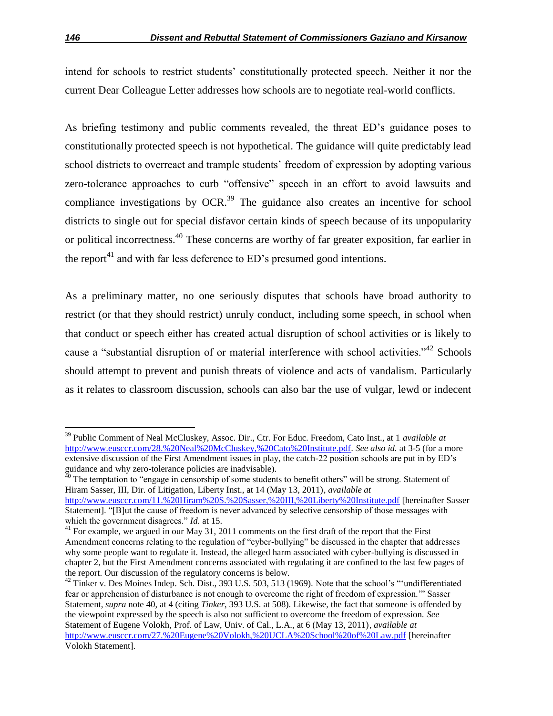intend for schools to restrict students' constitutionally protected speech. Neither it nor the current Dear Colleague Letter addresses how schools are to negotiate real-world conflicts.

As briefing testimony and public comments revealed, the threat ED's guidance poses to constitutionally protected speech is not hypothetical. The guidance will quite predictably lead school districts to overreact and trample students' freedom of expression by adopting various zero-tolerance approaches to curb "offensive" speech in an effort to avoid lawsuits and compliance investigations by  $OCR<sup>39</sup>$  The guidance also creates an incentive for school districts to single out for special disfavor certain kinds of speech because of its unpopularity or political incorrectness.<sup>40</sup> These concerns are worthy of far greater exposition, far earlier in the report<sup>41</sup> and with far less deference to ED's presumed good intentions.

As a preliminary matter, no one seriously disputes that schools have broad authority to restrict (or that they should restrict) unruly conduct, including some speech, in school when that conduct or speech either has created actual disruption of school activities or is likely to cause a "substantial disruption of or material interference with school activities."<sup>42</sup> Schools should attempt to prevent and punish threats of violence and acts of vandalism. Particularly as it relates to classroom discussion, schools can also bar the use of vulgar, lewd or indecent

l

<sup>39</sup> Public Comment of Neal McCluskey, Assoc. Dir., Ctr. For Educ. Freedom, Cato Inst., at 1 *available at* http://www.eusccr.com/28.%20Neal%20McCluskey,%20Cato%20Institute.pdf. *See also id.* at 3-5 (for a more extensive discussion of the First Amendment issues in play, the catch-22 position schools are put in by ED's guidance and why zero-tolerance policies are inadvisable).

 $40$  The temptation to "engage in censorship of some students to benefit others" will be strong. Statement of Hiram Sasser, III, Dir. of Litigation, Liberty Inst., at 14 (May 13, 2011), *available at*

http://www.eusccr.com/11.%20Hiram%20S.%20Sasser,%20III,%20Liberty%20Institute.pdf [hereinafter Sasser Statement]. "[B]ut the cause of freedom is never advanced by selective censorship of those messages with which the government disagrees." *Id.* at 15.

 $41$  For example, we argued in our May 31, 2011 comments on the first draft of the report that the First Amendment concerns relating to the regulation of "cyber-bullying" be discussed in the chapter that addresses why some people want to regulate it. Instead, the alleged harm associated with cyber-bullying is discussed in chapter 2, but the First Amendment concerns associated with regulating it are confined to the last few pages of the report. Our discussion of the regulatory concerns is below.

 $^{42}$  Tinker v. Des Moines Indep. Sch. Dist., 393 U.S. 503, 513 (1969). Note that the school's "undifferentiated fear or apprehension of disturbance is not enough to overcome the right of freedom of expression." Sasser Statement, *supra* note 40, at 4 (citing *Tinker*, 393 U.S. at 508). Likewise, the fact that someone is offended by the viewpoint expressed by the speech is also not sufficient to overcome the freedom of expression. *See*  Statement of Eugene Volokh, Prof. of Law, Univ. of Cal., L.A., at 6 (May 13, 2011), *available at* http://www.eusccr.com/27.%20Eugene%20Volokh,%20UCLA%20School%20of%20Law.pdf [hereinafter Volokh Statement].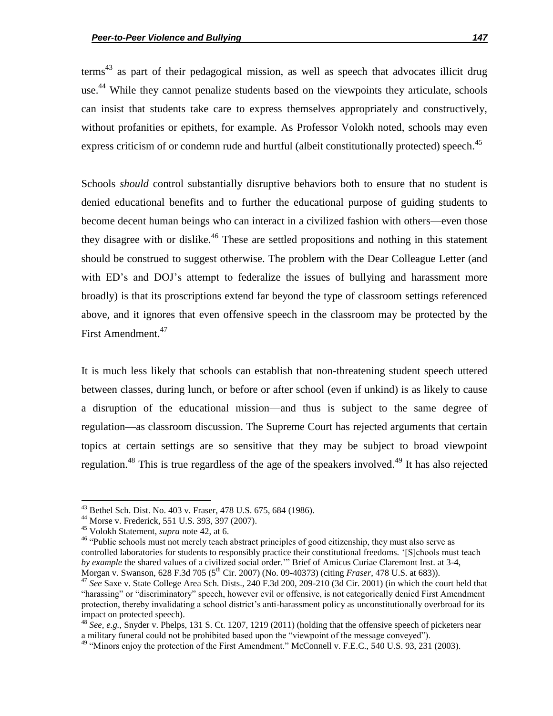$terms<sup>43</sup>$  as part of their pedagogical mission, as well as speech that advocates illicit drug use.<sup>44</sup> While they cannot penalize students based on the viewpoints they articulate, schools can insist that students take care to express themselves appropriately and constructively, without profanities or epithets, for example. As Professor Volokh noted, schools may even express criticism of or condemn rude and hurtful (albeit constitutionally protected) speech.<sup>45</sup>

Schools *should* control substantially disruptive behaviors both to ensure that no student is denied educational benefits and to further the educational purpose of guiding students to become decent human beings who can interact in a civilized fashion with others—even those they disagree with or dislike.<sup>46</sup> These are settled propositions and nothing in this statement should be construed to suggest otherwise. The problem with the Dear Colleague Letter (and with ED's and DOJ's attempt to federalize the issues of bullying and harassment more broadly) is that its proscriptions extend far beyond the type of classroom settings referenced above, and it ignores that even offensive speech in the classroom may be protected by the First Amendment.<sup>47</sup>

It is much less likely that schools can establish that non-threatening student speech uttered between classes, during lunch, or before or after school (even if unkind) is as likely to cause a disruption of the educational mission—and thus is subject to the same degree of regulation—as classroom discussion. The Supreme Court has rejected arguments that certain topics at certain settings are so sensitive that they may be subject to broad viewpoint regulation.<sup>48</sup> This is true regardless of the age of the speakers involved.<sup>49</sup> It has also rejected

 $\overline{a}$ 

<sup>&</sup>lt;sup>43</sup> Bethel Sch. Dist. No. 403 v. Fraser, 478 U.S. 675, 684 (1986).

<sup>44</sup> Morse v. Frederick, 551 U.S. 393, 397 (2007).

<sup>45</sup> Volokh Statement, *supra* note 42, at 6.

<sup>&</sup>lt;sup>46</sup> "Public schools must not merely teach abstract principles of good citizenship, they must also serve as controlled laboratories for students to responsibly practice their constitutional freedoms. '[S]chools must teach by example the shared values of a civilized social order." Brief of Amicus Curiae Claremont Inst. at 3-4, Morgan v. Swanson, 628 F.3d 705 (5th Cir. 2007) (No. 09-40373) (citing *Fraser*, 478 U.S. at 683)).

<sup>47</sup> *See* Saxe v. State College Area Sch. Dists., 240 F.3d 200, 209-210 (3d Cir. 2001) (in which the court held that "harassing" or "discriminatory" speech, however evil or offensive, is not categorically denied First Amendment protection, thereby invalidating a school district's anti-harassment policy as unconstitutionally overbroad for its impact on protected speech).

<sup>&</sup>lt;sup>48</sup> See, e.g., Snyder v. Phelps, 131 S. Ct. 1207, 1219 (2011) (holding that the offensive speech of picketers near a military funeral could not be prohibited based upon the "viewpoint of the message conveyed").

 $49$  "Minors enjoy the protection of the First Amendment." McConnell v. F.E.C., 540 U.S. 93, 231 (2003).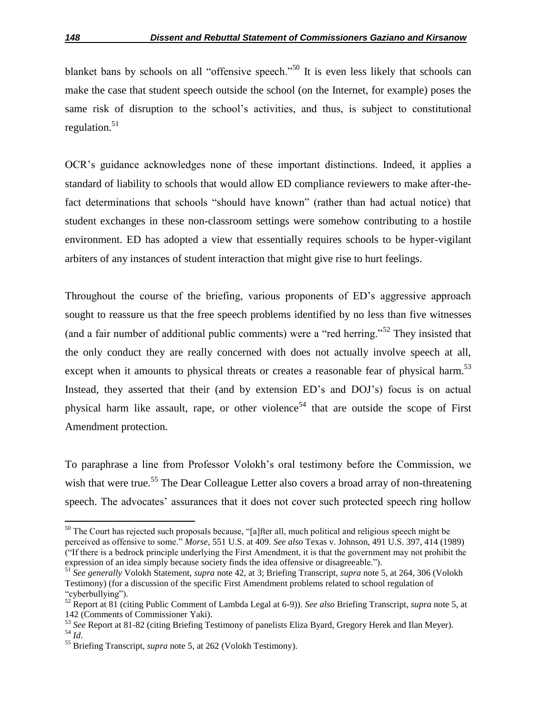blanket bans by schools on all "offensive speech."<sup>50</sup> It is even less likely that schools can make the case that student speech outside the school (on the Internet, for example) poses the same risk of disruption to the school's activities, and thus, is subject to constitutional regulation. $51$ 

OCR's guidance acknowledges none of these important distinctions. Indeed, it applies a standard of liability to schools that would allow ED compliance reviewers to make after-thefact determinations that schools "should have known" (rather than had actual notice) that student exchanges in these non-classroom settings were somehow contributing to a hostile environment. ED has adopted a view that essentially requires schools to be hyper-vigilant arbiters of any instances of student interaction that might give rise to hurt feelings.

Throughout the course of the briefing, various proponents of ED's aggressive approach sought to reassure us that the free speech problems identified by no less than five witnesses (and a fair number of additional public comments) were a "red herring."<sup>52</sup> They insisted that the only conduct they are really concerned with does not actually involve speech at all, except when it amounts to physical threats or creates a reasonable fear of physical harm.<sup>53</sup> Instead, they asserted that their (and by extension ED's and DOJ's) focus is on actual physical harm like assault, rape, or other violence<sup>54</sup> that are outside the scope of First Amendment protection.

To paraphrase a line from Professor Volokh's oral testimony before the Commission, we wish that were true.<sup>55</sup> The Dear Colleague Letter also covers a broad array of non-threatening speech. The advocates' assurances that it does not cover such protected speech ring hollow

 $\overline{a}$ 

 $50$  The Court has rejected such proposals because, "[a]fter all, much political and religious speech might be perceived as offensive to some." *Morse*, 551 U.S. at 409. *See also* Texas v. Johnson, 491 U.S. 397, 414 (1989) (―If there is a bedrock principle underlying the First Amendment, it is that the government may not prohibit the expression of an idea simply because society finds the idea offensive or disagreeable.").

<sup>51</sup> *See generally* Volokh Statement, *supra* note 42, at 3; Briefing Transcript, *supra* note 5, at 264, 306 (Volokh Testimony) (for a discussion of the specific First Amendment problems related to school regulation of "cyberbullying").

<sup>52</sup> Report at 81 (citing Public Comment of Lambda Legal at 6-9)). *See also* Briefing Transcript, *supra* note 5, at 142 (Comments of Commissioner Yaki).

<sup>53</sup> *See* Report at 81-82 (citing Briefing Testimony of panelists Eliza Byard, Gregory Herek and Ilan Meyer). <sup>54</sup> *Id*.

<sup>55</sup> Briefing Transcript, *supra* note 5, at 262 (Volokh Testimony).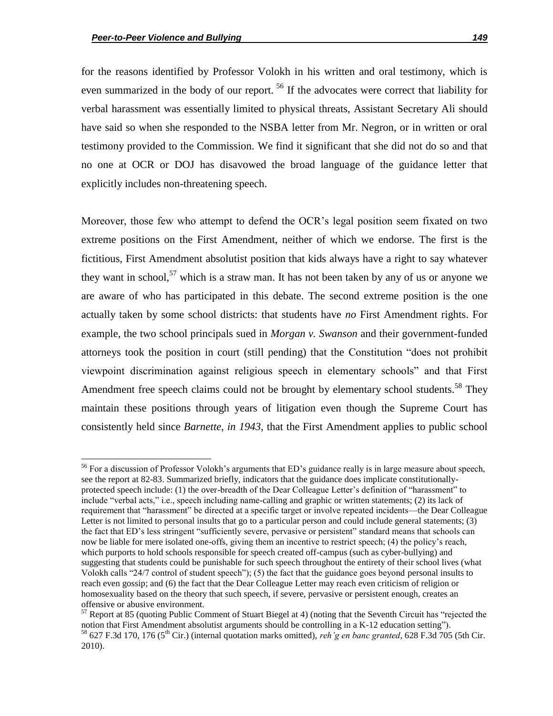$\overline{a}$ 

for the reasons identified by Professor Volokh in his written and oral testimony, which is even summarized in the body of our report.<sup>56</sup> If the advocates were correct that liability for verbal harassment was essentially limited to physical threats, Assistant Secretary Ali should have said so when she responded to the NSBA letter from Mr. Negron, or in written or oral testimony provided to the Commission. We find it significant that she did not do so and that no one at OCR or DOJ has disavowed the broad language of the guidance letter that explicitly includes non-threatening speech.

Moreover, those few who attempt to defend the OCR's legal position seem fixated on two extreme positions on the First Amendment, neither of which we endorse. The first is the fictitious, First Amendment absolutist position that kids always have a right to say whatever they want in school,<sup>57</sup> which is a straw man. It has not been taken by any of us or anyone we are aware of who has participated in this debate. The second extreme position is the one actually taken by some school districts: that students have *no* First Amendment rights. For example, the two school principals sued in *Morgan v. Swanson* and their government-funded attorneys took the position in court (still pending) that the Constitution "does not prohibit viewpoint discrimination against religious speech in elementary schools‖ and that First Amendment free speech claims could not be brought by elementary school students.<sup>58</sup> They maintain these positions through years of litigation even though the Supreme Court has consistently held since *Barnette*, *in 1943*, that the First Amendment applies to public school

<sup>&</sup>lt;sup>56</sup> For a discussion of Professor Volokh's arguments that ED's guidance really is in large measure about speech, see the report at 82-83. Summarized briefly, indicators that the guidance does implicate constitutionallyprotected speech include: (1) the over-breadth of the Dear Colleague Letter's definition of "harassment" to include "verbal acts," i.e., speech including name-calling and graphic or written statements; (2) its lack of requirement that "harassment" be directed at a specific target or involve repeated incidents—the Dear Colleague Letter is not limited to personal insults that go to a particular person and could include general statements; (3) the fact that ED's less stringent "sufficiently severe, pervasive or persistent" standard means that schools can now be liable for mere isolated one-offs, giving them an incentive to restrict speech; (4) the policy's reach, which purports to hold schools responsible for speech created off-campus (such as cyber-bullying) and suggesting that students could be punishable for such speech throughout the entirety of their school lives (what Volokh calls "24/7 control of student speech"); (5) the fact that the guidance goes beyond personal insults to reach even gossip; and (6) the fact that the Dear Colleague Letter may reach even criticism of religion or homosexuality based on the theory that such speech, if severe, pervasive or persistent enough, creates an offensive or abusive environment.

 $57$  Report at 85 (quoting Public Comment of Stuart Biegel at 4) (noting that the Seventh Circuit has "rejected the notion that First Amendment absolutist arguments should be controlling in a K-12 education setting").  $^{58}$  627 F.3d 170, 176 (5<sup>th</sup> Cir.) (internal quotation marks omitted), *reh'g en banc granted*, 628 F.3d 705 (5th Cir. 2010).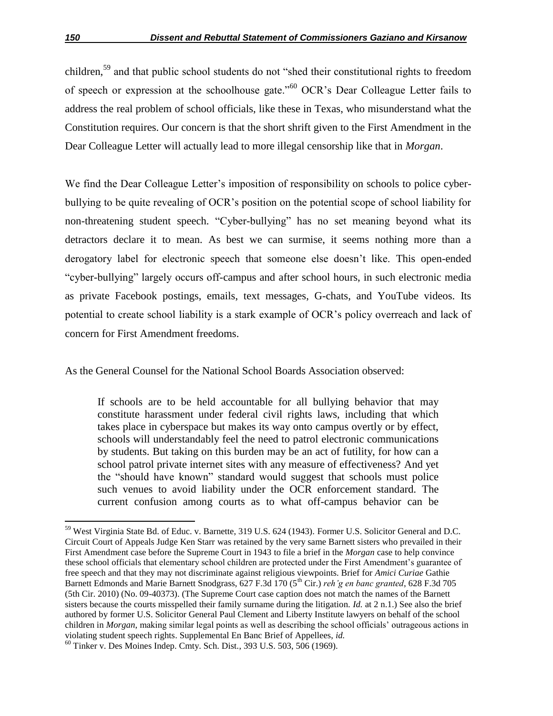children,<sup>59</sup> and that public school students do not "shed their constitutional rights to freedom of speech or expression at the schoolhouse gate.<sup>560</sup> OCR's Dear Colleague Letter fails to address the real problem of school officials, like these in Texas, who misunderstand what the Constitution requires. Our concern is that the short shrift given to the First Amendment in the Dear Colleague Letter will actually lead to more illegal censorship like that in *Morgan*.

We find the Dear Colleague Letter's imposition of responsibility on schools to police cyberbullying to be quite revealing of OCR's position on the potential scope of school liability for non-threatening student speech. "Cyber-bullying" has no set meaning beyond what its detractors declare it to mean. As best we can surmise, it seems nothing more than a derogatory label for electronic speech that someone else doesn't like. This open-ended "cyber-bullying" largely occurs off-campus and after school hours, in such electronic media as private Facebook postings, emails, text messages, G-chats, and YouTube videos. Its potential to create school liability is a stark example of OCR's policy overreach and lack of concern for First Amendment freedoms.

As the General Counsel for the National School Boards Association observed:

If schools are to be held accountable for all bullying behavior that may constitute harassment under federal civil rights laws, including that which takes place in cyberspace but makes its way onto campus overtly or by effect, schools will understandably feel the need to patrol electronic communications by students. But taking on this burden may be an act of futility, for how can a school patrol private internet sites with any measure of effectiveness? And yet the "should have known" standard would suggest that schools must police such venues to avoid liability under the OCR enforcement standard. The current confusion among courts as to what off-campus behavior can be

 $\overline{a}$ <sup>59</sup> West Virginia State Bd. of Educ. v. Barnette, 319 U.S. 624 (1943). Former U.S. Solicitor General and D.C. Circuit Court of Appeals Judge Ken Starr was retained by the very same Barnett sisters who prevailed in their First Amendment case before the Supreme Court in 1943 to file a brief in the *Morgan* case to help convince these school officials that elementary school children are protected under the First Amendment's guarantee of free speech and that they may not discriminate against religious viewpoints. Brief for *Amici Curiae* Gathie Barnett Edmonds and Marie Barnett Snodgrass, 627 F.3d 170 (5<sup>th</sup> Cir.) *reh'g en banc granted*, 628 F.3d 705 (5th Cir. 2010) (No. 09-40373). (The Supreme Court case caption does not match the names of the Barnett sisters because the courts misspelled their family surname during the litigation. *Id.* at 2 n.1.) See also the brief authored by former U.S. Solicitor General Paul Clement and Liberty Institute lawyers on behalf of the school children in *Morgan*, making similar legal points as well as describing the school officials' outrageous actions in violating student speech rights. Supplemental En Banc Brief of Appellees, *id.*

<sup>60</sup> Tinker v. Des Moines Indep. Cmty. Sch. Dist*.*, 393 U.S. 503, 506 (1969).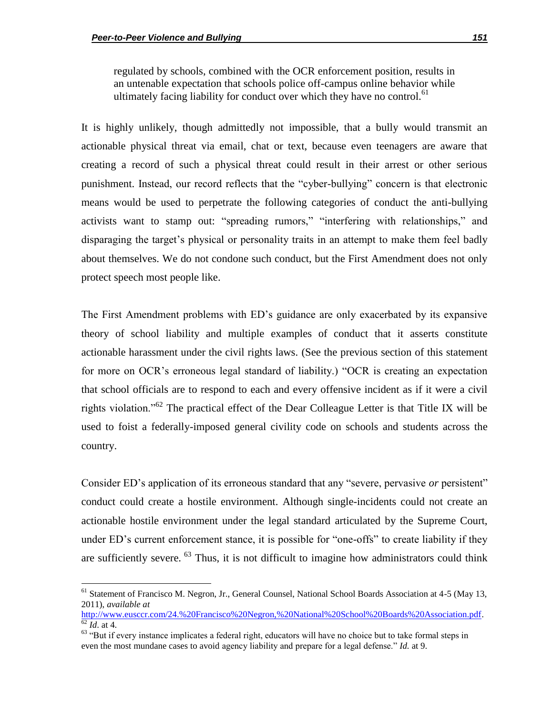l

regulated by schools, combined with the OCR enforcement position, results in an untenable expectation that schools police off-campus online behavior while ultimately facing liability for conduct over which they have no control.<sup>61</sup>

It is highly unlikely, though admittedly not impossible, that a bully would transmit an actionable physical threat via email, chat or text, because even teenagers are aware that creating a record of such a physical threat could result in their arrest or other serious punishment. Instead, our record reflects that the "cyber-bullying" concern is that electronic means would be used to perpetrate the following categories of conduct the anti-bullying activists want to stamp out: "spreading rumors," "interfering with relationships," and disparaging the target's physical or personality traits in an attempt to make them feel badly about themselves. We do not condone such conduct, but the First Amendment does not only protect speech most people like.

The First Amendment problems with ED's guidance are only exacerbated by its expansive theory of school liability and multiple examples of conduct that it asserts constitute actionable harassment under the civil rights laws. (See the previous section of this statement for more on OCR's erroneous legal standard of liability.) "OCR is creating an expectation that school officials are to respond to each and every offensive incident as if it were a civil rights violation."<sup>62</sup> The practical effect of the Dear Colleague Letter is that Title IX will be used to foist a federally-imposed general civility code on schools and students across the country.

Consider ED's application of its erroneous standard that any "severe, pervasive *or* persistent" conduct could create a hostile environment. Although single-incidents could not create an actionable hostile environment under the legal standard articulated by the Supreme Court, under ED's current enforcement stance, it is possible for "one-offs" to create liability if they are sufficiently severe.  $63$  Thus, it is not difficult to imagine how administrators could think

<sup>&</sup>lt;sup>61</sup> Statement of Francisco M. Negron, Jr., General Counsel, National School Boards Association at 4-5 (May 13, 2011), *available at*

http://www.eusccr.com/24.%20Francisco%20Negron,%20National%20School%20Boards%20Association.pdf.  $\frac{62}{1}$ *Id.* at 4.

<sup>&</sup>lt;sup>63</sup> "But if every instance implicates a federal right, educators will have no choice but to take formal steps in even the most mundane cases to avoid agency liability and prepare for a legal defense." *Id.* at 9.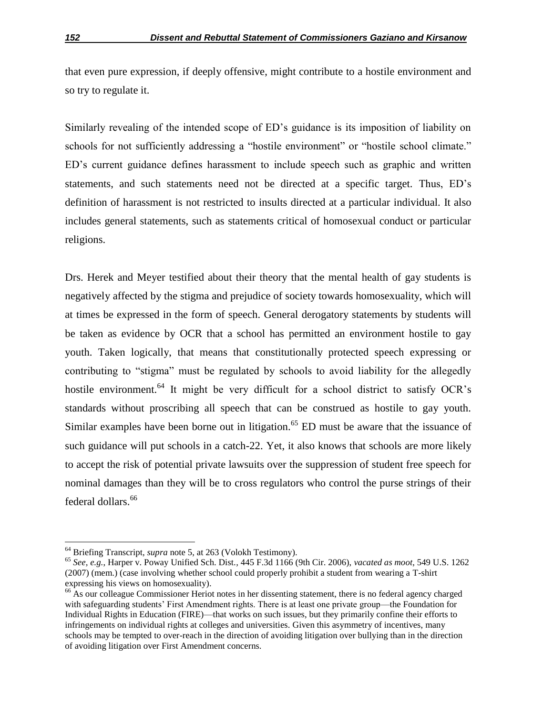that even pure expression, if deeply offensive, might contribute to a hostile environment and so try to regulate it.

Similarly revealing of the intended scope of ED's guidance is its imposition of liability on schools for not sufficiently addressing a "hostile environment" or "hostile school climate." ED's current guidance defines harassment to include speech such as graphic and written statements, and such statements need not be directed at a specific target. Thus, ED's definition of harassment is not restricted to insults directed at a particular individual. It also includes general statements, such as statements critical of homosexual conduct or particular religions.

Drs. Herek and Meyer testified about their theory that the mental health of gay students is negatively affected by the stigma and prejudice of society towards homosexuality, which will at times be expressed in the form of speech. General derogatory statements by students will be taken as evidence by OCR that a school has permitted an environment hostile to gay youth. Taken logically, that means that constitutionally protected speech expressing or contributing to "stigma" must be regulated by schools to avoid liability for the allegedly hostile environment.<sup>64</sup> It might be very difficult for a school district to satisfy OCR's standards without proscribing all speech that can be construed as hostile to gay youth. Similar examples have been borne out in litigation.<sup>65</sup> ED must be aware that the issuance of such guidance will put schools in a catch-22. Yet, it also knows that schools are more likely to accept the risk of potential private lawsuits over the suppression of student free speech for nominal damages than they will be to cross regulators who control the purse strings of their federal dollars.<sup>66</sup>

<sup>64</sup> Briefing Transcript, *supra* note 5, at 263 (Volokh Testimony).

<sup>65</sup> *See, e.g.*, Harper v. Poway Unified Sch. Dist.*,* 445 F.3d 1166 (9th Cir. 2006), *vacated as moot*, 549 U.S. 1262 (2007) (mem.) (case involving whether school could properly prohibit a student from wearing a T-shirt expressing his views on homosexuality).

<sup>&</sup>lt;sup>66</sup> As our colleague Commissioner Heriot notes in her dissenting statement, there is no federal agency charged with safeguarding students' First Amendment rights. There is at least one private group—the Foundation for Individual Rights in Education (FIRE)—that works on such issues, but they primarily confine their efforts to infringements on individual rights at colleges and universities. Given this asymmetry of incentives, many schools may be tempted to over-reach in the direction of avoiding litigation over bullying than in the direction of avoiding litigation over First Amendment concerns.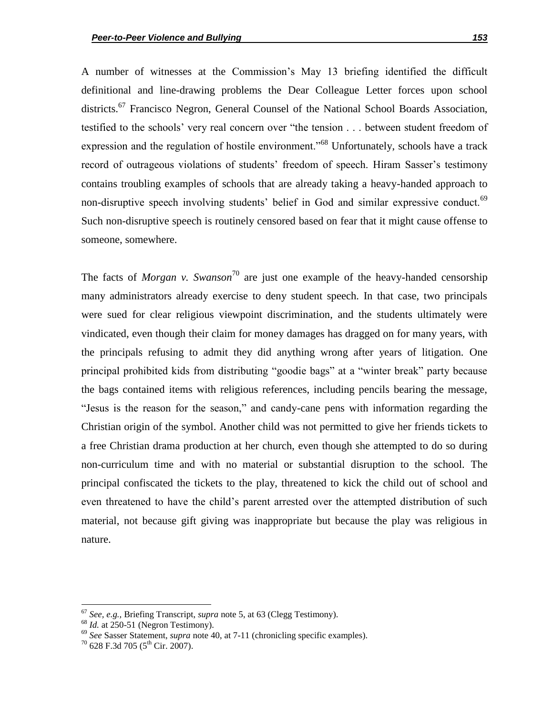A number of witnesses at the Commission's May 13 briefing identified the difficult definitional and line-drawing problems the Dear Colleague Letter forces upon school districts.<sup>67</sup> Francisco Negron, General Counsel of the National School Boards Association, testified to the schools' very real concern over "the tension . . . between student freedom of expression and the regulation of hostile environment.<sup>568</sup> Unfortunately, schools have a track record of outrageous violations of students' freedom of speech. Hiram Sasser's testimony contains troubling examples of schools that are already taking a heavy-handed approach to non-disruptive speech involving students' belief in God and similar expressive conduct.<sup>69</sup> Such non-disruptive speech is routinely censored based on fear that it might cause offense to someone, somewhere.

The facts of *Morgan v. Swanson*<sup>70</sup> are just one example of the heavy-handed censorship many administrators already exercise to deny student speech. In that case, two principals were sued for clear religious viewpoint discrimination, and the students ultimately were vindicated, even though their claim for money damages has dragged on for many years, with the principals refusing to admit they did anything wrong after years of litigation. One principal prohibited kids from distributing "goodie bags" at a "winter break" party because the bags contained items with religious references, including pencils bearing the message, "Jesus is the reason for the season," and candy-cane pens with information regarding the Christian origin of the symbol. Another child was not permitted to give her friends tickets to a free Christian drama production at her church, even though she attempted to do so during non-curriculum time and with no material or substantial disruption to the school. The principal confiscated the tickets to the play, threatened to kick the child out of school and even threatened to have the child's parent arrested over the attempted distribution of such material, not because gift giving was inappropriate but because the play was religious in nature.

<sup>67</sup> *See, e.g.,* Briefing Transcript, *supra* note 5, at 63 (Clegg Testimony).

<sup>&</sup>lt;sup>68</sup> *Id.* at 250-51 (Negron Testimony).

<sup>69</sup> *See* Sasser Statement, *supra* note 40, at 7-11 (chronicling specific examples).

 $70$  628 F.3d 705 (5<sup>th</sup> Cir. 2007).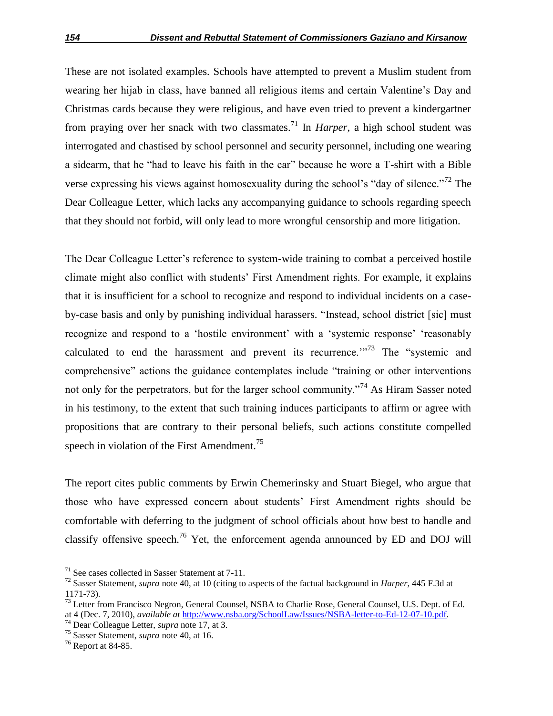These are not isolated examples. Schools have attempted to prevent a Muslim student from wearing her hijab in class, have banned all religious items and certain Valentine's Day and Christmas cards because they were religious, and have even tried to prevent a kindergartner from praying over her snack with two classmates.<sup>71</sup> In *Harper*, a high school student was interrogated and chastised by school personnel and security personnel, including one wearing a sidearm, that he "had to leave his faith in the car" because he wore a T-shirt with a Bible verse expressing his views against homosexuality during the school's "day of silence."<sup>72</sup> The Dear Colleague Letter, which lacks any accompanying guidance to schools regarding speech that they should not forbid, will only lead to more wrongful censorship and more litigation.

The Dear Colleague Letter's reference to system-wide training to combat a perceived hostile climate might also conflict with students' First Amendment rights. For example, it explains that it is insufficient for a school to recognize and respond to individual incidents on a caseby-case basis and only by punishing individual harassers. "Instead, school district [sic] must recognize and respond to a 'hostile environment' with a 'systemic response' 'reasonably calculated to end the harassment and prevent its recurrence. $173$  The "systemic and comprehensive" actions the guidance contemplates include "training or other interventions not only for the perpetrators, but for the larger school community.<sup>74</sup> As Hiram Sasser noted in his testimony, to the extent that such training induces participants to affirm or agree with propositions that are contrary to their personal beliefs, such actions constitute compelled speech in violation of the First Amendment.<sup>75</sup>

The report cites public comments by Erwin Chemerinsky and Stuart Biegel, who argue that those who have expressed concern about students' First Amendment rights should be comfortable with deferring to the judgment of school officials about how best to handle and classify offensive speech.<sup>76</sup> Yet, the enforcement agenda announced by ED and DOJ will

 $\overline{a}$ 

 $71$  See cases collected in Sasser Statement at  $7-11$ .

<sup>72</sup> Sasser Statement, *supra* note 40, at 10 (citing to aspects of the factual background in *Harper*, 445 F.3d at 1171-73).

<sup>&</sup>lt;sup>73</sup> Letter from Francisco Negron, General Counsel, NSBA to Charlie Rose, General Counsel, U.S. Dept. of Ed. at 4 (Dec. 7, 2010), *available at* http://www.nsba.org/SchoolLaw/Issues/NSBA-letter-to-Ed-12-07-10.pdf.

<sup>74</sup> Dear Colleague Letter, *supra* note 17, at 3.

<sup>75</sup> Sasser Statement, *supra* note 40, at 16.

<sup>76</sup> Report at 84-85.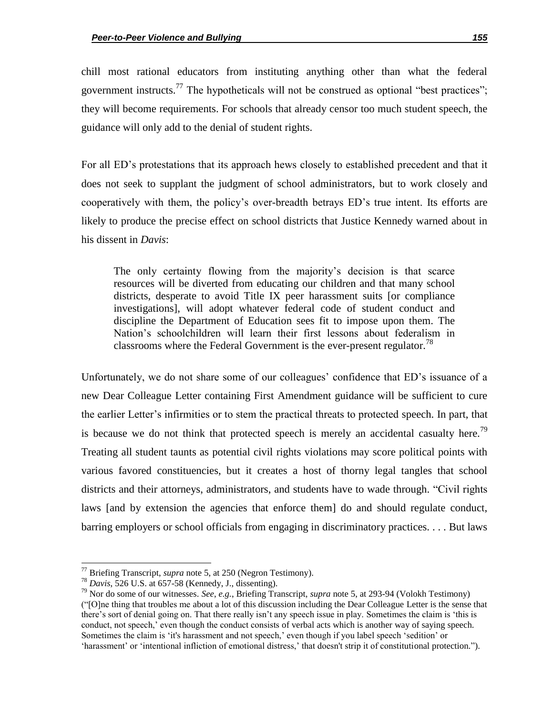chill most rational educators from instituting anything other than what the federal government instructs.<sup>77</sup> The hypotheticals will not be construed as optional "best practices"; they will become requirements. For schools that already censor too much student speech, the guidance will only add to the denial of student rights.

For all ED's protestations that its approach hews closely to established precedent and that it does not seek to supplant the judgment of school administrators, but to work closely and cooperatively with them, the policy's over-breadth betrays ED's true intent. Its efforts are likely to produce the precise effect on school districts that Justice Kennedy warned about in his dissent in *Davis*:

The only certainty flowing from the majority's decision is that scarce resources will be diverted from educating our children and that many school districts, desperate to avoid Title IX peer harassment suits [or compliance investigations], will adopt whatever federal code of student conduct and discipline the Department of Education sees fit to impose upon them. The Nation's schoolchildren will learn their first lessons about federalism in classrooms where the Federal Government is the ever-present regulator.<sup>78</sup>

Unfortunately, we do not share some of our colleagues' confidence that ED's issuance of a new Dear Colleague Letter containing First Amendment guidance will be sufficient to cure the earlier Letter's infirmities or to stem the practical threats to protected speech. In part, that is because we do not think that protected speech is merely an accidental casualty here.<sup>79</sup> Treating all student taunts as potential civil rights violations may score political points with various favored constituencies, but it creates a host of thorny legal tangles that school districts and their attorneys, administrators, and students have to wade through. "Civil rights laws [and by extension the agencies that enforce them] do and should regulate conduct, barring employers or school officials from engaging in discriminatory practices. . . . But laws

 $\overline{a}$ 

<sup>77</sup> Briefing Transcript, *supra* note 5, at 250 (Negron Testimony).

<sup>78</sup> *Davis*, 526 U.S. at 657-58 (Kennedy, J., dissenting).

<sup>79</sup> Nor do some of our witnesses. *See*, *e.g.*, Briefing Transcript, *supra* note 5, at 293-94 (Volokh Testimony) (―[O]ne thing that troubles me about a lot of this discussion including the Dear Colleague Letter is the sense that there's sort of denial going on. That there really isn't any speech issue in play. Sometimes the claim is 'this is conduct, not speech,' even though the conduct consists of verbal acts which is another way of saying speech. Sometimes the claim is 'it's harassment and not speech,' even though if you label speech 'sedition' or 'harassment' or 'intentional infliction of emotional distress,' that doesn't strip it of constitutional protection.").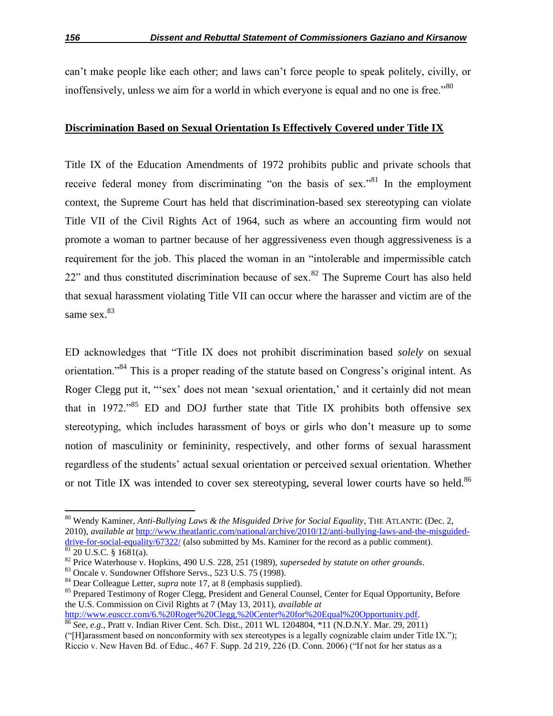can't make people like each other; and laws can't force people to speak politely, civilly, or inoffensively, unless we aim for a world in which everyone is equal and no one is free.<sup>80</sup>

### **Discrimination Based on Sexual Orientation Is Effectively Covered under Title IX**

Title IX of the Education Amendments of 1972 prohibits public and private schools that receive federal money from discriminating "on the basis of sex."<sup>81</sup> In the employment context, the Supreme Court has held that discrimination-based sex stereotyping can violate Title VII of the Civil Rights Act of 1964, such as where an accounting firm would not promote a woman to partner because of her aggressiveness even though aggressiveness is a requirement for the job. This placed the woman in an "intolerable and impermissible catch  $22$ <sup>"</sup> and thus constituted discrimination because of sex.<sup>82</sup> The Supreme Court has also held that sexual harassment violating Title VII can occur where the harasser and victim are of the same sex.<sup>83</sup>

ED acknowledges that "Title IX does not prohibit discrimination based *solely* on sexual orientation.<sup>84</sup> This is a proper reading of the statute based on Congress's original intent. As Roger Clegg put it, "'sex' does not mean 'sexual orientation,' and it certainly did not mean that in 1972.<sup> $,85$ </sup> ED and DOJ further state that Title IX prohibits both offensive sex stereotyping, which includes harassment of boys or girls who don't measure up to some notion of masculinity or femininity, respectively, and other forms of sexual harassment regardless of the students' actual sexual orientation or perceived sexual orientation. Whether or not Title IX was intended to cover sex stereotyping, several lower courts have so held.<sup>86</sup>

<sup>80</sup> Wendy Kaminer, *Anti-Bullying Laws & the Misguided Drive for Social Equality*, THE ATLANTIC (Dec. 2, 2010), *available at* http://www.theatlantic.com/national/archive/2010/12/anti-bullying-laws-and-the-misguideddrive-for-social-equality/67322/ (also submitted by Ms. Kaminer for the record as a public comment).  $81$  20 U.S.C. § 1681(a).

<sup>82</sup> Price Waterhouse v. Hopkins, 490 U.S. 228, 251 (1989), *superseded by statute on other grounds*.

<sup>83</sup> Oncale v. Sundowner Offshore Servs., 523 U.S. 75 (1998).

<sup>84</sup> Dear Colleague Letter, *supra* note 17, at 8 (emphasis supplied).

<sup>&</sup>lt;sup>85</sup> Prepared Testimony of Roger Clegg, President and General Counsel, Center for Equal Opportunity, Before the U.S. Commission on Civil Rights at 7 (May 13, 2011), *available at* http://www.eusccr.com/6.%20Roger%20Clegg,%20Center%20for%20Equal%20Opportunity.pdf.

<sup>86</sup> *See, e.g.*, Pratt v. Indian River Cent. Sch. Dist., 2011 WL 1204804, \*11 (N.D.N.Y. Mar. 29, 2011) (―[H]arassment based on nonconformity with sex stereotypes is a legally cognizable claim under Title IX.‖); Riccio v. New Haven Bd. of Educ.,  $467$  F. Supp. 2d  $219$ ,  $226$  (D. Conn. 2006) ("If not for her status as a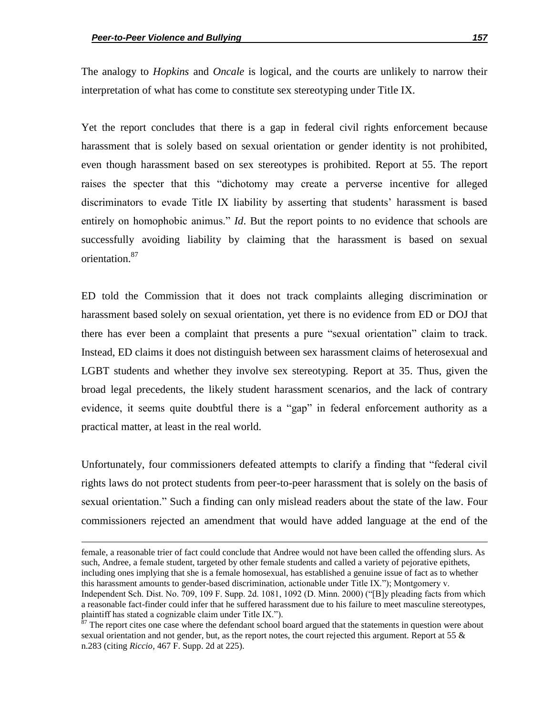$\overline{\phantom{a}}$ 

The analogy to *Hopkins* and *Oncale* is logical, and the courts are unlikely to narrow their interpretation of what has come to constitute sex stereotyping under Title IX.

Yet the report concludes that there is a gap in federal civil rights enforcement because harassment that is solely based on sexual orientation or gender identity is not prohibited, even though harassment based on sex stereotypes is prohibited. Report at 55. The report raises the specter that this "dichotomy may create a perverse incentive for alleged discriminators to evade Title IX liability by asserting that students' harassment is based entirely on homophobic animus." *Id*. But the report points to no evidence that schools are successfully avoiding liability by claiming that the harassment is based on sexual orientation.<sup>87</sup>

ED told the Commission that it does not track complaints alleging discrimination or harassment based solely on sexual orientation, yet there is no evidence from ED or DOJ that there has ever been a complaint that presents a pure "sexual orientation" claim to track. Instead, ED claims it does not distinguish between sex harassment claims of heterosexual and LGBT students and whether they involve sex stereotyping. Report at 35. Thus, given the broad legal precedents, the likely student harassment scenarios, and the lack of contrary evidence, it seems quite doubtful there is a "gap" in federal enforcement authority as a practical matter, at least in the real world.

Unfortunately, four commissioners defeated attempts to clarify a finding that "federal civil" rights laws do not protect students from peer-to-peer harassment that is solely on the basis of sexual orientation." Such a finding can only mislead readers about the state of the law. Four commissioners rejected an amendment that would have added language at the end of the

female, a reasonable trier of fact could conclude that Andree would not have been called the offending slurs. As such, Andree, a female student, targeted by other female students and called a variety of pejorative epithets, including ones implying that she is a female homosexual, has established a genuine issue of fact as to whether this harassment amounts to gender-based discrimination, actionable under Title IX."); Montgomery v. Independent Sch. Dist. No. 709, 109 F. Supp. 2d. 1081, 1092 (D. Minn. 2000) ("[B]y pleading facts from which a reasonable fact-finder could infer that he suffered harassment due to his failure to meet masculine stereotypes, plaintiff has stated a cognizable claim under Title IX.").

The report cites one case where the defendant school board argued that the statements in question were about sexual orientation and not gender, but, as the report notes, the court rejected this argument. Report at 55  $\&$ n.283 (citing *Riccio*, 467 F. Supp. 2d at 225).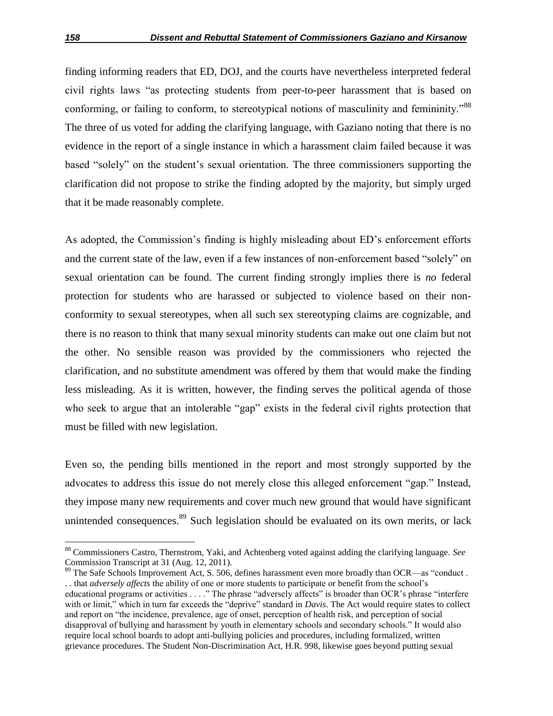finding informing readers that ED, DOJ, and the courts have nevertheless interpreted federal civil rights laws "as protecting students from peer-to-peer harassment that is based on conforming, or failing to conform, to stereotypical notions of masculinity and femininity."<sup>88</sup> The three of us voted for adding the clarifying language, with Gaziano noting that there is no evidence in the report of a single instance in which a harassment claim failed because it was based "solely" on the student's sexual orientation. The three commissioners supporting the clarification did not propose to strike the finding adopted by the majority, but simply urged that it be made reasonably complete.

As adopted, the Commission's finding is highly misleading about ED's enforcement efforts and the current state of the law, even if a few instances of non-enforcement based "solely" on sexual orientation can be found. The current finding strongly implies there is *no* federal protection for students who are harassed or subjected to violence based on their nonconformity to sexual stereotypes, when all such sex stereotyping claims are cognizable, and there is no reason to think that many sexual minority students can make out one claim but not the other. No sensible reason was provided by the commissioners who rejected the clarification, and no substitute amendment was offered by them that would make the finding less misleading. As it is written, however, the finding serves the political agenda of those who seek to argue that an intolerable "gap" exists in the federal civil rights protection that must be filled with new legislation.

Even so, the pending bills mentioned in the report and most strongly supported by the advocates to address this issue do not merely close this alleged enforcement "gap." Instead, they impose many new requirements and cover much new ground that would have significant unintended consequences.<sup>89</sup> Such legislation should be evaluated on its own merits, or lack

<sup>88</sup> Commissioners Castro, Thernstrom, Yaki, and Achtenberg voted against adding the clarifying language. *See* Commission Transcript at 31 (Aug. 12, 2011).

<sup>&</sup>lt;sup>89</sup> The Safe Schools Improvement Act, S. 506, defines harassment even more broadly than OCR—as "conduct . . . that *adversely affects* the ability of one or more students to participate or benefit from the school's educational programs or activities . . . . " The phrase "adversely affects" is broader than OCR's phrase "interfere with or limit," which in turn far exceeds the "deprive" standard in *Davis*. The Act would require states to collect and report on "the incidence, prevalence, age of onset, perception of health risk, and perception of social disapproval of bullying and harassment by youth in elementary schools and secondary schools." It would also require local school boards to adopt anti-bullying policies and procedures, including formalized, written grievance procedures. The Student Non-Discrimination Act, H.R. 998, likewise goes beyond putting sexual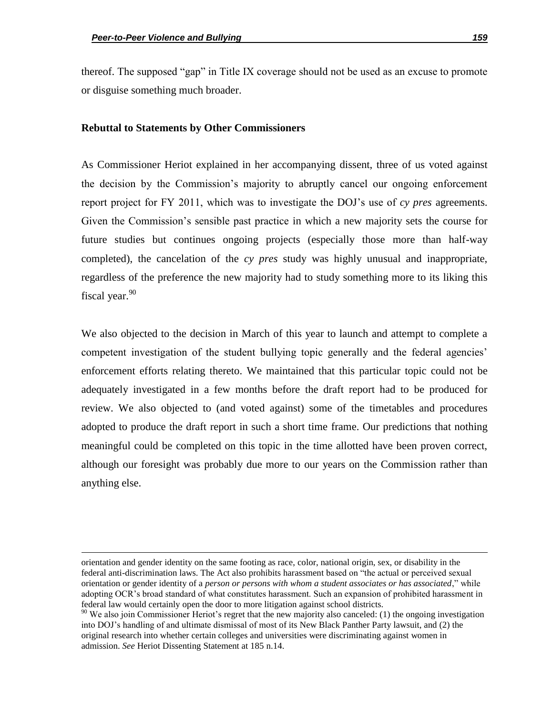$\overline{\phantom{a}}$ 

thereof. The supposed "gap" in Title IX coverage should not be used as an excuse to promote or disguise something much broader.

#### **Rebuttal to Statements by Other Commissioners**

As Commissioner Heriot explained in her accompanying dissent, three of us voted against the decision by the Commission's majority to abruptly cancel our ongoing enforcement report project for FY 2011, which was to investigate the DOJ's use of *cy pres* agreements. Given the Commission's sensible past practice in which a new majority sets the course for future studies but continues ongoing projects (especially those more than half-way completed), the cancelation of the *cy pres* study was highly unusual and inappropriate, regardless of the preference the new majority had to study something more to its liking this fiscal year.<sup>90</sup>

We also objected to the decision in March of this year to launch and attempt to complete a competent investigation of the student bullying topic generally and the federal agencies' enforcement efforts relating thereto. We maintained that this particular topic could not be adequately investigated in a few months before the draft report had to be produced for review. We also objected to (and voted against) some of the timetables and procedures adopted to produce the draft report in such a short time frame. Our predictions that nothing meaningful could be completed on this topic in the time allotted have been proven correct, although our foresight was probably due more to our years on the Commission rather than anything else.

orientation and gender identity on the same footing as race, color, national origin, sex, or disability in the federal anti-discrimination laws. The Act also prohibits harassment based on "the actual or perceived sexual orientation or gender identity of a *person or persons with whom a student associates or has associated*," while adopting OCR's broad standard of what constitutes harassment. Such an expansion of prohibited harassment in federal law would certainly open the door to more litigation against school districts.

 $90$  We also join Commissioner Heriot's regret that the new majority also canceled: (1) the ongoing investigation into DOJ's handling of and ultimate dismissal of most of its New Black Panther Party lawsuit, and (2) the original research into whether certain colleges and universities were discriminating against women in admission. *See* Heriot Dissenting Statement at 185 n.14.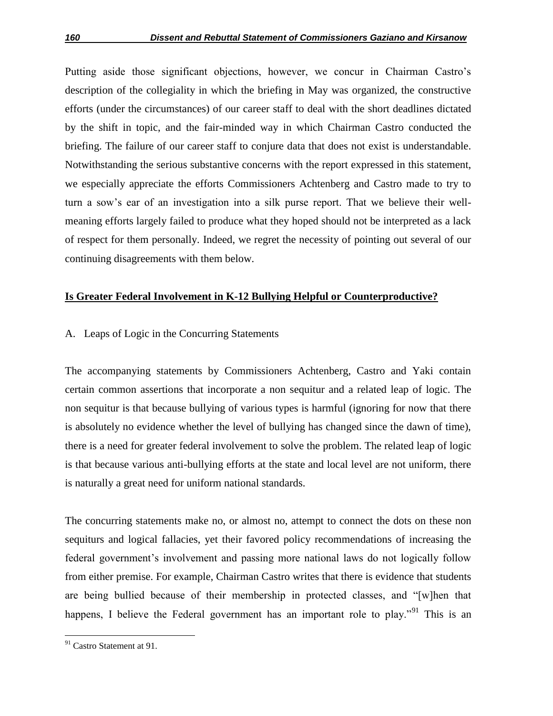Putting aside those significant objections, however, we concur in Chairman Castro's description of the collegiality in which the briefing in May was organized, the constructive efforts (under the circumstances) of our career staff to deal with the short deadlines dictated by the shift in topic, and the fair-minded way in which Chairman Castro conducted the briefing. The failure of our career staff to conjure data that does not exist is understandable. Notwithstanding the serious substantive concerns with the report expressed in this statement, we especially appreciate the efforts Commissioners Achtenberg and Castro made to try to turn a sow's ear of an investigation into a silk purse report. That we believe their wellmeaning efforts largely failed to produce what they hoped should not be interpreted as a lack of respect for them personally. Indeed, we regret the necessity of pointing out several of our continuing disagreements with them below.

## **Is Greater Federal Involvement in K-12 Bullying Helpful or Counterproductive?**

# A. Leaps of Logic in the Concurring Statements

The accompanying statements by Commissioners Achtenberg, Castro and Yaki contain certain common assertions that incorporate a non sequitur and a related leap of logic. The non sequitur is that because bullying of various types is harmful (ignoring for now that there is absolutely no evidence whether the level of bullying has changed since the dawn of time), there is a need for greater federal involvement to solve the problem. The related leap of logic is that because various anti-bullying efforts at the state and local level are not uniform, there is naturally a great need for uniform national standards.

The concurring statements make no, or almost no, attempt to connect the dots on these non sequiturs and logical fallacies, yet their favored policy recommendations of increasing the federal government's involvement and passing more national laws do not logically follow from either premise. For example, Chairman Castro writes that there is evidence that students are being bullied because of their membership in protected classes, and "[w]hen that happens, I believe the Federal government has an important role to play.<sup>91</sup> This is an

<sup>&</sup>lt;sup>91</sup> Castro Statement at 91.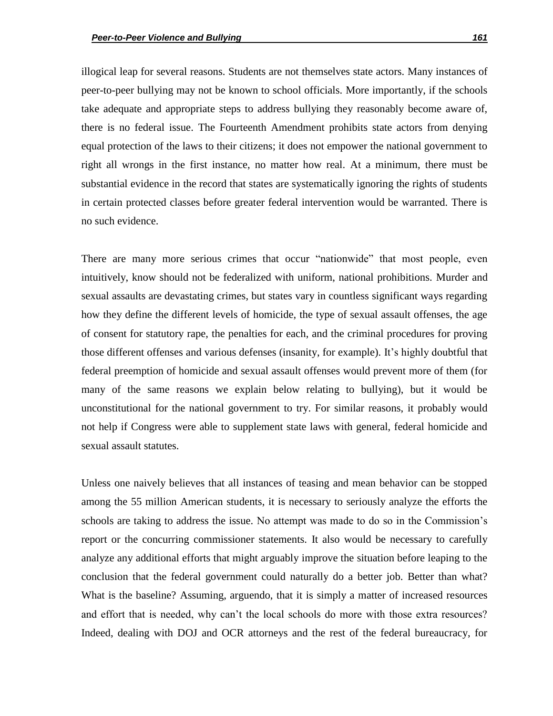illogical leap for several reasons. Students are not themselves state actors. Many instances of peer-to-peer bullying may not be known to school officials. More importantly, if the schools take adequate and appropriate steps to address bullying they reasonably become aware of, there is no federal issue. The Fourteenth Amendment prohibits state actors from denying equal protection of the laws to their citizens; it does not empower the national government to right all wrongs in the first instance, no matter how real. At a minimum, there must be substantial evidence in the record that states are systematically ignoring the rights of students in certain protected classes before greater federal intervention would be warranted. There is no such evidence.

There are many more serious crimes that occur "nationwide" that most people, even intuitively, know should not be federalized with uniform, national prohibitions. Murder and sexual assaults are devastating crimes, but states vary in countless significant ways regarding how they define the different levels of homicide, the type of sexual assault offenses, the age of consent for statutory rape, the penalties for each, and the criminal procedures for proving those different offenses and various defenses (insanity, for example). It's highly doubtful that federal preemption of homicide and sexual assault offenses would prevent more of them (for many of the same reasons we explain below relating to bullying), but it would be unconstitutional for the national government to try. For similar reasons, it probably would not help if Congress were able to supplement state laws with general, federal homicide and sexual assault statutes.

Unless one naively believes that all instances of teasing and mean behavior can be stopped among the 55 million American students, it is necessary to seriously analyze the efforts the schools are taking to address the issue. No attempt was made to do so in the Commission's report or the concurring commissioner statements. It also would be necessary to carefully analyze any additional efforts that might arguably improve the situation before leaping to the conclusion that the federal government could naturally do a better job. Better than what? What is the baseline? Assuming, arguendo, that it is simply a matter of increased resources and effort that is needed, why can't the local schools do more with those extra resources? Indeed, dealing with DOJ and OCR attorneys and the rest of the federal bureaucracy, for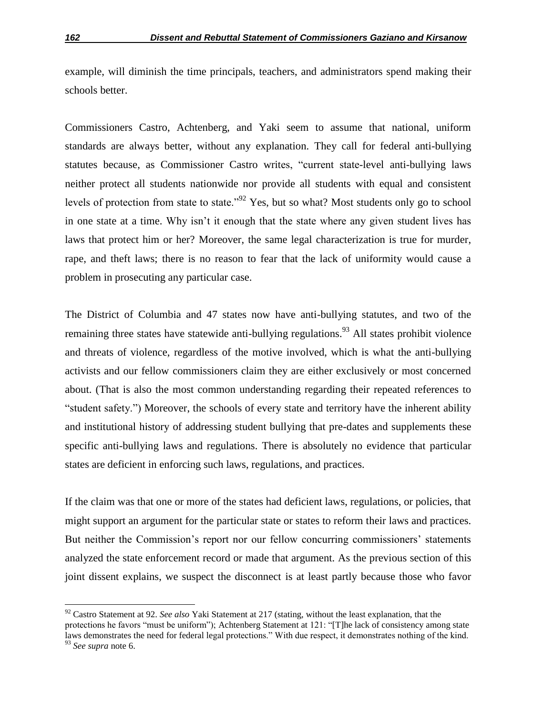example, will diminish the time principals, teachers, and administrators spend making their schools better.

Commissioners Castro, Achtenberg, and Yaki seem to assume that national, uniform standards are always better, without any explanation. They call for federal anti-bullying statutes because, as Commissioner Castro writes, "current state-level anti-bullying laws neither protect all students nationwide nor provide all students with equal and consistent levels of protection from state to state.<sup>92</sup> Yes, but so what? Most students only go to school in one state at a time. Why isn't it enough that the state where any given student lives has laws that protect him or her? Moreover, the same legal characterization is true for murder, rape, and theft laws; there is no reason to fear that the lack of uniformity would cause a problem in prosecuting any particular case.

The District of Columbia and 47 states now have anti-bullying statutes, and two of the remaining three states have statewide anti-bullying regulations.<sup>93</sup> All states prohibit violence and threats of violence, regardless of the motive involved, which is what the anti-bullying activists and our fellow commissioners claim they are either exclusively or most concerned about. (That is also the most common understanding regarding their repeated references to ―student safety.‖) Moreover, the schools of every state and territory have the inherent ability and institutional history of addressing student bullying that pre-dates and supplements these specific anti-bullying laws and regulations. There is absolutely no evidence that particular states are deficient in enforcing such laws, regulations, and practices.

If the claim was that one or more of the states had deficient laws, regulations, or policies, that might support an argument for the particular state or states to reform their laws and practices. But neither the Commission's report nor our fellow concurring commissioners' statements analyzed the state enforcement record or made that argument. As the previous section of this joint dissent explains, we suspect the disconnect is at least partly because those who favor

<sup>&</sup>lt;sup>92</sup> Castro Statement at 92. *See also* Yaki Statement at 217 (stating, without the least explanation, that the

protections he favors "must be uniform"); Achtenberg Statement at 121: "[T]he lack of consistency among state laws demonstrates the need for federal legal protections." With due respect, it demonstrates nothing of the kind.

<sup>93</sup> *See supra* note 6.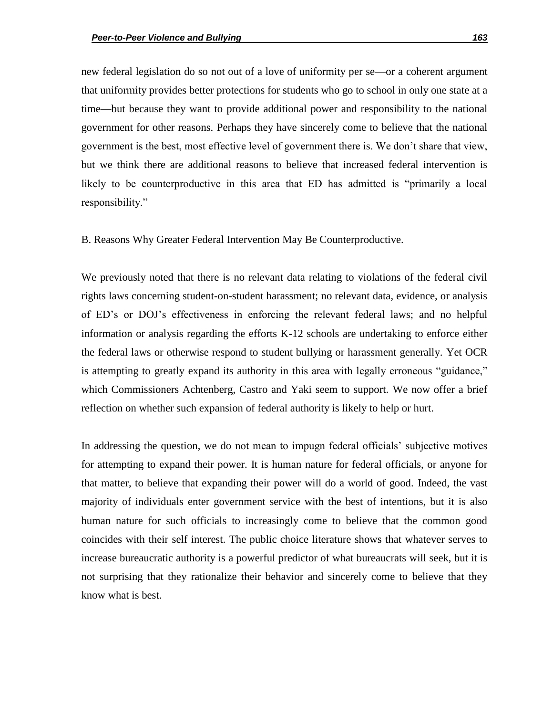new federal legislation do so not out of a love of uniformity per se—or a coherent argument that uniformity provides better protections for students who go to school in only one state at a time—but because they want to provide additional power and responsibility to the national government for other reasons. Perhaps they have sincerely come to believe that the national government is the best, most effective level of government there is. We don't share that view, but we think there are additional reasons to believe that increased federal intervention is likely to be counterproductive in this area that ED has admitted is "primarily a local responsibility."

B. Reasons Why Greater Federal Intervention May Be Counterproductive.

We previously noted that there is no relevant data relating to violations of the federal civil rights laws concerning student-on-student harassment; no relevant data, evidence, or analysis of ED's or DOJ's effectiveness in enforcing the relevant federal laws; and no helpful information or analysis regarding the efforts K-12 schools are undertaking to enforce either the federal laws or otherwise respond to student bullying or harassment generally. Yet OCR is attempting to greatly expand its authority in this area with legally erroneous "guidance," which Commissioners Achtenberg, Castro and Yaki seem to support. We now offer a brief reflection on whether such expansion of federal authority is likely to help or hurt.

In addressing the question, we do not mean to impugn federal officials' subjective motives for attempting to expand their power. It is human nature for federal officials, or anyone for that matter, to believe that expanding their power will do a world of good. Indeed, the vast majority of individuals enter government service with the best of intentions, but it is also human nature for such officials to increasingly come to believe that the common good coincides with their self interest. The public choice literature shows that whatever serves to increase bureaucratic authority is a powerful predictor of what bureaucrats will seek, but it is not surprising that they rationalize their behavior and sincerely come to believe that they know what is best.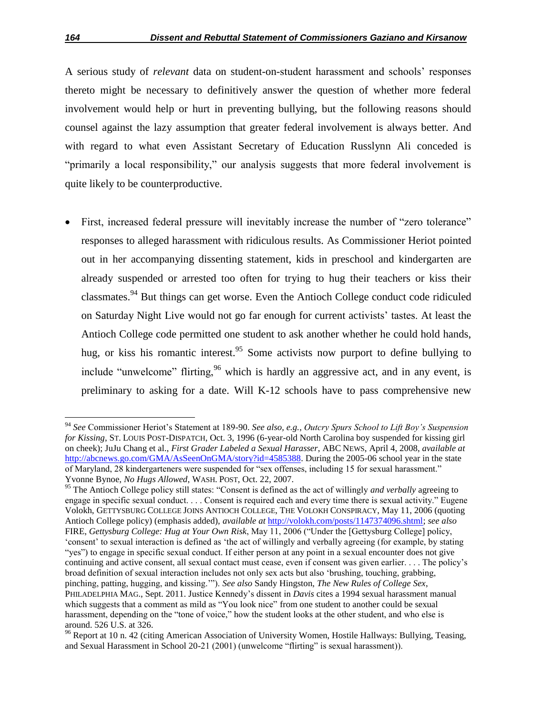A serious study of *relevant* data on student-on-student harassment and schools' responses thereto might be necessary to definitively answer the question of whether more federal involvement would help or hurt in preventing bullying, but the following reasons should counsel against the lazy assumption that greater federal involvement is always better. And with regard to what even Assistant Secretary of Education Russlynn Ali conceded is "primarily a local responsibility," our analysis suggests that more federal involvement is quite likely to be counterproductive.

First, increased federal pressure will inevitably increase the number of "zero tolerance" responses to alleged harassment with ridiculous results. As Commissioner Heriot pointed out in her accompanying dissenting statement, kids in preschool and kindergarten are already suspended or arrested too often for trying to hug their teachers or kiss their classmates.<sup>94</sup> But things can get worse. Even the Antioch College conduct code ridiculed on Saturday Night Live would not go far enough for current activists' tastes. At least the Antioch College code permitted one student to ask another whether he could hold hands, hug, or kiss his romantic interest.<sup>95</sup> Some activists now purport to define bullying to include "unwelcome" flirting,  $96$  which is hardly an aggressive act, and in any event, is preliminary to asking for a date. Will K-12 schools have to pass comprehensive new

<sup>94</sup> *See* Commissioner Heriot's Statement at 189-90. *See also, e.g.*, *Outcry Spurs School to Lift Boy"s Suspension for Kissing*, ST. LOUIS POST-DISPATCH, Oct. 3, 1996 (6-year-old North Carolina boy suspended for kissing girl on cheek); JuJu Chang et al., *First Grader Labeled a Sexual Harasser*, ABC NEWS, April 4, 2008, *available at* http://abcnews.go.com/GMA/AsSeenOnGMA/story?id=4585388. During the 2005-06 school year in the state of Maryland, 28 kindergarteners were suspended for "sex offenses, including 15 for sexual harassment." Yvonne Bynoe, *No Hugs Allowed*, WASH. POST, Oct. 22, 2007.

<sup>&</sup>lt;sup>95</sup> The Antioch College policy still states: "Consent is defined as the act of willingly *and verbally* agreeing to engage in specific sexual conduct. . . . Consent is required each and every time there is sexual activity." Eugene Volokh, GETTYSBURG COLLEGE JOINS ANTIOCH COLLEGE, THE VOLOKH CONSPIRACY, May 11, 2006 (quoting Antioch College policy) (emphasis added), *available at* http://volokh.com/posts/1147374096.shtml; *see also* FIRE, *Gettysburg College: Hug at Your Own Risk*, May 11, 2006 ("Under the [Gettysburg College] policy, ‗consent' to sexual interaction is defined as ‗the act of willingly and verbally agreeing (for example, by stating "yes") to engage in specific sexual conduct. If either person at any point in a sexual encounter does not give continuing and active consent, all sexual contact must cease, even if consent was given earlier. . . . The policy's broad definition of sexual interaction includes not only sex acts but also ‗brushing, touching, grabbing, pinching, patting, hugging, and kissing.""). *See also* Sandy Hingston, *The New Rules of College Sex*, PHILADELPHIA MAG., Sept. 2011. Justice Kennedy's dissent in *Davis* cites a 1994 sexual harassment manual which suggests that a comment as mild as "You look nice" from one student to another could be sexual harassment, depending on the "tone of voice," how the student looks at the other student, and who else is around. 526 U.S. at 326.

<sup>&</sup>lt;sup>96</sup> Report at 10 n. 42 (citing American Association of University Women, Hostile Hallways: Bullying, Teasing, and Sexual Harassment in School 20-21 (2001) (unwelcome "flirting" is sexual harassment)).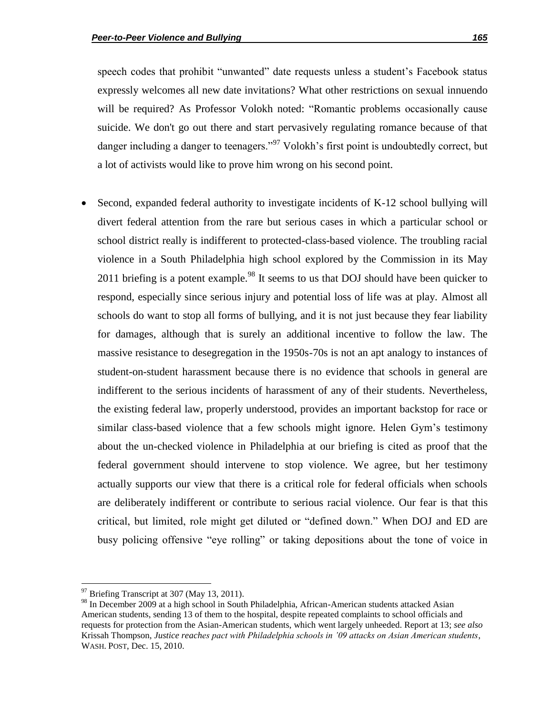speech codes that prohibit "unwanted" date requests unless a student's Facebook status expressly welcomes all new date invitations? What other restrictions on sexual innuendo will be required? As Professor Volokh noted: "Romantic problems occasionally cause suicide. We don't go out there and start pervasively regulating romance because of that danger including a danger to teenagers.<sup>97</sup> Volokh's first point is undoubtedly correct, but a lot of activists would like to prove him wrong on his second point.

 Second, expanded federal authority to investigate incidents of K-12 school bullying will divert federal attention from the rare but serious cases in which a particular school or school district really is indifferent to protected-class-based violence. The troubling racial violence in a South Philadelphia high school explored by the Commission in its May 2011 briefing is a potent example.<sup>98</sup> It seems to us that DOJ should have been quicker to respond, especially since serious injury and potential loss of life was at play. Almost all schools do want to stop all forms of bullying, and it is not just because they fear liability for damages, although that is surely an additional incentive to follow the law. The massive resistance to desegregation in the 1950s-70s is not an apt analogy to instances of student-on-student harassment because there is no evidence that schools in general are indifferent to the serious incidents of harassment of any of their students. Nevertheless, the existing federal law, properly understood, provides an important backstop for race or similar class-based violence that a few schools might ignore. Helen Gym's testimony about the un-checked violence in Philadelphia at our briefing is cited as proof that the federal government should intervene to stop violence. We agree, but her testimony actually supports our view that there is a critical role for federal officials when schools are deliberately indifferent or contribute to serious racial violence. Our fear is that this critical, but limited, role might get diluted or "defined down." When DOJ and ED are busy policing offensive "eye rolling" or taking depositions about the tone of voice in

l

<sup>&</sup>lt;sup>97</sup> Briefing Transcript at 307 (May 13, 2011).

<sup>98</sup> In December 2009 at a high school in South Philadelphia, African-American students attacked Asian American students, sending 13 of them to the hospital, despite repeated complaints to school officials and requests for protection from the Asian-American students, which went largely unheeded. Report at 13; *see also* Krissah Thompson, *Justice reaches pact with Philadelphia schools in "09 attacks on Asian American students*, WASH. POST, Dec. 15, 2010.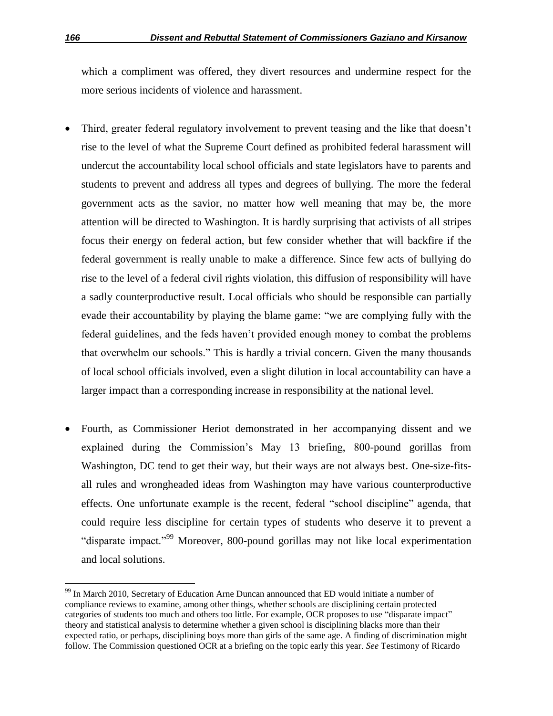which a compliment was offered, they divert resources and undermine respect for the more serious incidents of violence and harassment.

- Third, greater federal regulatory involvement to prevent teasing and the like that doesn't rise to the level of what the Supreme Court defined as prohibited federal harassment will undercut the accountability local school officials and state legislators have to parents and students to prevent and address all types and degrees of bullying. The more the federal government acts as the savior, no matter how well meaning that may be, the more attention will be directed to Washington. It is hardly surprising that activists of all stripes focus their energy on federal action, but few consider whether that will backfire if the federal government is really unable to make a difference. Since few acts of bullying do rise to the level of a federal civil rights violation, this diffusion of responsibility will have a sadly counterproductive result. Local officials who should be responsible can partially evade their accountability by playing the blame game: "we are complying fully with the federal guidelines, and the feds haven't provided enough money to combat the problems that overwhelm our schools." This is hardly a trivial concern. Given the many thousands of local school officials involved, even a slight dilution in local accountability can have a larger impact than a corresponding increase in responsibility at the national level.
- Fourth, as Commissioner Heriot demonstrated in her accompanying dissent and we explained during the Commission's May 13 briefing, 800-pound gorillas from Washington, DC tend to get their way, but their ways are not always best. One-size-fitsall rules and wrongheaded ideas from Washington may have various counterproductive effects. One unfortunate example is the recent, federal "school discipline" agenda, that could require less discipline for certain types of students who deserve it to prevent a "disparate impact."<sup>99</sup> Moreover, 800-pound gorillas may not like local experimentation and local solutions.

l

<sup>&</sup>lt;sup>99</sup> In March 2010, Secretary of Education Arne Duncan announced that ED would initiate a number of compliance reviews to examine, among other things, whether schools are disciplining certain protected categories of students too much and others too little. For example, OCR proposes to use "disparate impact" theory and statistical analysis to determine whether a given school is disciplining blacks more than their expected ratio, or perhaps, disciplining boys more than girls of the same age. A finding of discrimination might follow. The Commission questioned OCR at a briefing on the topic early this year. *See* Testimony of Ricardo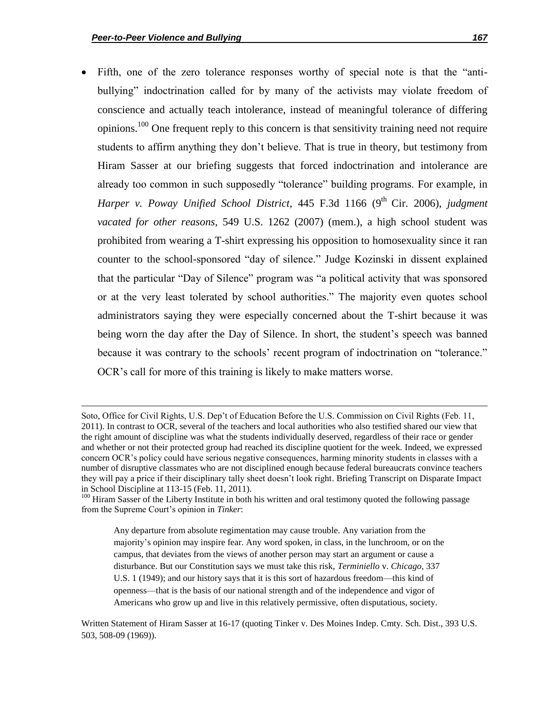l

Fifth, one of the zero tolerance responses worthy of special note is that the "antibullying" indoctrination called for by many of the activists may violate freedom of conscience and actually teach intolerance, instead of meaningful tolerance of differing opinions.<sup>100</sup> One frequent reply to this concern is that sensitivity training need not require students to affirm anything they don't believe. That is true in theory, but testimony from Hiram Sasser at our briefing suggests that forced indoctrination and intolerance are already too common in such supposedly "tolerance" building programs. For example, in *Harper v. Poway Unified School District*, 445 F.3d 1166 (9<sup>th</sup> Cir. 2006), *judgment vacated for other reasons*, 549 U.S. 1262 (2007) (mem.), a high school student was prohibited from wearing a T-shirt expressing his opposition to homosexuality since it ran counter to the school-sponsored "day of silence." Judge Kozinski in dissent explained that the particular "Day of Silence" program was "a political activity that was sponsored or at the very least tolerated by school authorities." The majority even quotes school administrators saying they were especially concerned about the T-shirt because it was being worn the day after the Day of Silence. In short, the student's speech was banned because it was contrary to the schools' recent program of indoctrination on "tolerance." OCR's call for more of this training is likely to make matters worse.

Soto, Office for Civil Rights, U.S. Dep't of Education Before the U.S. Commission on Civil Rights (Feb. 11, 2011). In contrast to OCR, several of the teachers and local authorities who also testified shared our view that the right amount of discipline was what the students individually deserved, regardless of their race or gender and whether or not their protected group had reached its discipline quotient for the week. Indeed, we expressed concern OCR's policy could have serious negative consequences, harming minority students in classes with a number of disruptive classmates who are not disciplined enough because federal bureaucrats convince teachers they will pay a price if their disciplinary tally sheet doesn't look right. Briefing Transcript on Disparate Impact in School Discipline at 113-15 (Feb. 11, 2011).

<sup>&</sup>lt;sup>100</sup> Hiram Sasser of the Liberty Institute in both his written and oral testimony quoted the following passage from the Supreme Court's opinion in *Tinker*:

Any departure from absolute regimentation may cause trouble. Any variation from the majority's opinion may inspire fear. Any word spoken, in class, in the lunchroom, or on the campus, that deviates from the views of another person may start an argument or cause a disturbance. But our Constitution says we must take this risk, *Terminiello* v. *Chicago*, 337 U.S. 1 (1949); and our history says that it is this sort of hazardous freedom—this kind of openness—that is the basis of our national strength and of the independence and vigor of Americans who grow up and live in this relatively permissive, often disputatious, society.

Written Statement of Hiram Sasser at 16-17 (quoting Tinker v. Des Moines Indep. Cmty. Sch. Dist., 393 U.S. 503, 508-09 (1969)).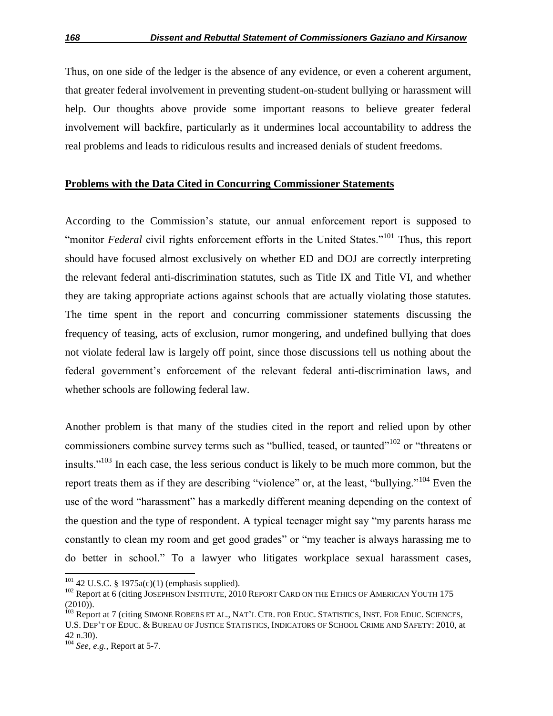Thus, on one side of the ledger is the absence of any evidence, or even a coherent argument, that greater federal involvement in preventing student-on-student bullying or harassment will help. Our thoughts above provide some important reasons to believe greater federal involvement will backfire, particularly as it undermines local accountability to address the real problems and leads to ridiculous results and increased denials of student freedoms.

### **Problems with the Data Cited in Concurring Commissioner Statements**

According to the Commission's statute, our annual enforcement report is supposed to "monitor *Federal* civil rights enforcement efforts in the United States."<sup>101</sup> Thus, this report should have focused almost exclusively on whether ED and DOJ are correctly interpreting the relevant federal anti-discrimination statutes, such as Title IX and Title VI, and whether they are taking appropriate actions against schools that are actually violating those statutes. The time spent in the report and concurring commissioner statements discussing the frequency of teasing, acts of exclusion, rumor mongering, and undefined bullying that does not violate federal law is largely off point, since those discussions tell us nothing about the federal government's enforcement of the relevant federal anti-discrimination laws, and whether schools are following federal law.

Another problem is that many of the studies cited in the report and relied upon by other commissioners combine survey terms such as "bullied, teased, or taunted"<sup>102</sup> or "threatens or insults." $103$  In each case, the less serious conduct is likely to be much more common, but the report treats them as if they are describing "violence" or, at the least, "bullying."<sup>104</sup> Even the use of the word "harassment" has a markedly different meaning depending on the context of the question and the type of respondent. A typical teenager might say "my parents harass me constantly to clean my room and get good grades" or "my teacher is always harassing me to do better in school." To a lawyer who litigates workplace sexual harassment cases,

 $101$  42 U.S.C. § 1975a(c)(1) (emphasis supplied).

<sup>&</sup>lt;sup>102</sup> Report at 6 (citing JOSEPHSON INSTITUTE, 2010 REPORT CARD ON THE ETHICS OF AMERICAN YOUTH 175 (2010)).

<sup>&</sup>lt;sup>103</sup> Report at 7 (citing SIMONE ROBERS ET AL., NAT'L CTR. FOR EDUC. STATISTICS, INST. FOR EDUC. SCIENCES, U.S. DEP'T OF EDUC. & BUREAU OF JUSTICE STATISTICS, INDICATORS OF SCHOOL CRIME AND SAFETY: 2010, at 42 n.30).

<sup>104</sup> *See, e.g.*, Report at 5-7.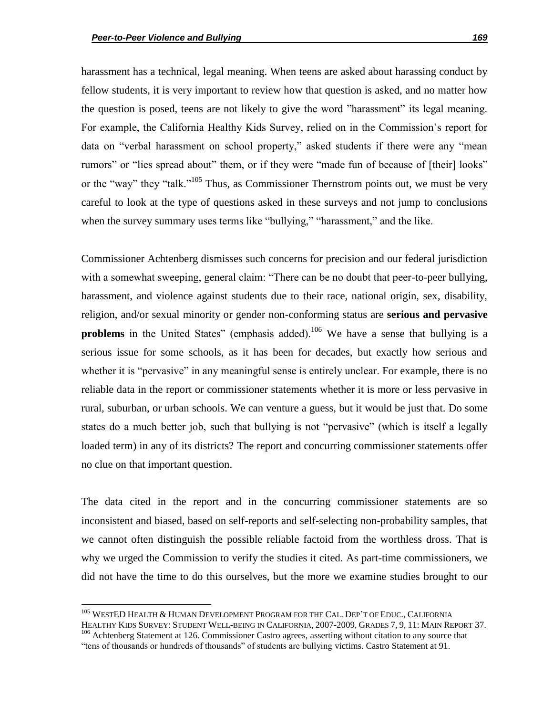harassment has a technical, legal meaning. When teens are asked about harassing conduct by fellow students, it is very important to review how that question is asked, and no matter how the question is posed, teens are not likely to give the word "harassment" its legal meaning. For example, the California Healthy Kids Survey, relied on in the Commission's report for data on "verbal harassment on school property," asked students if there were any "mean rumors" or "lies spread about" them, or if they were "made fun of because of [their] looks" or the "way" they "talk."<sup>105</sup> Thus, as Commissioner Thernstrom points out, we must be very careful to look at the type of questions asked in these surveys and not jump to conclusions when the survey summary uses terms like "bullying," "harassment," and the like.

Commissioner Achtenberg dismisses such concerns for precision and our federal jurisdiction with a somewhat sweeping, general claim: "There can be no doubt that peer-to-peer bullying, harassment, and violence against students due to their race, national origin, sex, disability, religion, and/or sexual minority or gender non-conforming status are **serious and pervasive problems** in the United States" (emphasis added).<sup>106</sup> We have a sense that bullying is a serious issue for some schools, as it has been for decades, but exactly how serious and whether it is "pervasive" in any meaningful sense is entirely unclear. For example, there is no reliable data in the report or commissioner statements whether it is more or less pervasive in rural, suburban, or urban schools. We can venture a guess, but it would be just that. Do some states do a much better job, such that bullying is not "pervasive" (which is itself a legally loaded term) in any of its districts? The report and concurring commissioner statements offer no clue on that important question.

The data cited in the report and in the concurring commissioner statements are so inconsistent and biased, based on self-reports and self-selecting non-probability samples, that we cannot often distinguish the possible reliable factoid from the worthless dross. That is why we urged the Commission to verify the studies it cited. As part-time commissioners, we did not have the time to do this ourselves, but the more we examine studies brought to our

 $\overline{\phantom{a}}$ 

HEALTHY KIDS SURVEY: STUDENT WELL-BEING IN CALIFORNIA, 2007-2009, GRADES 7, 9, 11: MAIN REPORT 37. <sup>106</sup> Achtenberg Statement at 126. Commissioner Castro agrees, asserting without citation to any source that

<sup>&</sup>lt;sup>105</sup> WESTED HEALTH & HUMAN DEVELOPMENT PROGRAM FOR THE CAL. DEP'T OF EDUC., CALIFORNIA

<sup>―</sup>tens of thousands or hundreds of thousands‖ of students are bullying victims. Castro Statement at 91.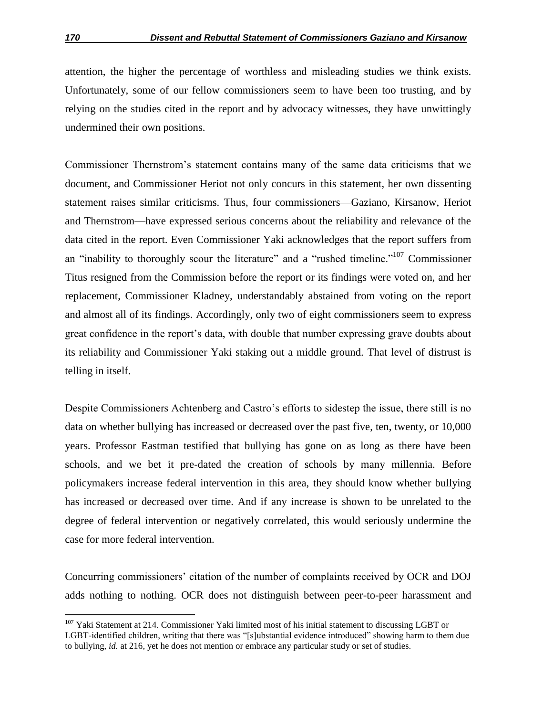attention, the higher the percentage of worthless and misleading studies we think exists. Unfortunately, some of our fellow commissioners seem to have been too trusting, and by relying on the studies cited in the report and by advocacy witnesses, they have unwittingly undermined their own positions.

Commissioner Thernstrom's statement contains many of the same data criticisms that we document, and Commissioner Heriot not only concurs in this statement, her own dissenting statement raises similar criticisms. Thus, four commissioners—Gaziano, Kirsanow, Heriot and Thernstrom—have expressed serious concerns about the reliability and relevance of the data cited in the report. Even Commissioner Yaki acknowledges that the report suffers from an "inability to thoroughly scour the literature" and a "rushed timeline."<sup>107</sup> Commissioner Titus resigned from the Commission before the report or its findings were voted on, and her replacement, Commissioner Kladney, understandably abstained from voting on the report and almost all of its findings. Accordingly, only two of eight commissioners seem to express great confidence in the report's data, with double that number expressing grave doubts about its reliability and Commissioner Yaki staking out a middle ground. That level of distrust is telling in itself.

Despite Commissioners Achtenberg and Castro's efforts to sidestep the issue, there still is no data on whether bullying has increased or decreased over the past five, ten, twenty, or 10,000 years. Professor Eastman testified that bullying has gone on as long as there have been schools, and we bet it pre-dated the creation of schools by many millennia. Before policymakers increase federal intervention in this area, they should know whether bullying has increased or decreased over time. And if any increase is shown to be unrelated to the degree of federal intervention or negatively correlated, this would seriously undermine the case for more federal intervention.

Concurring commissioners' citation of the number of complaints received by OCR and DOJ adds nothing to nothing. OCR does not distinguish between peer-to-peer harassment and

<sup>&</sup>lt;sup>107</sup> Yaki Statement at 214. Commissioner Yaki limited most of his initial statement to discussing LGBT or LGBT-identified children, writing that there was "[s]ubstantial evidence introduced" showing harm to them due to bullying, *id.* at 216, yet he does not mention or embrace any particular study or set of studies.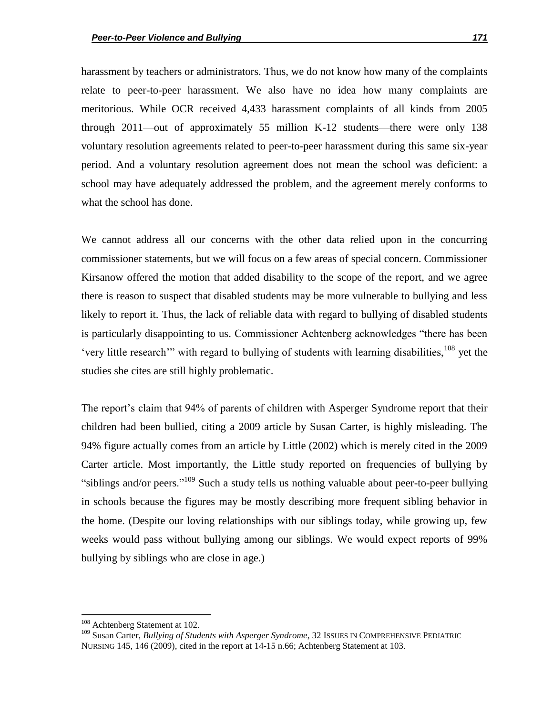harassment by teachers or administrators. Thus, we do not know how many of the complaints relate to peer-to-peer harassment. We also have no idea how many complaints are meritorious. While OCR received 4,433 harassment complaints of all kinds from 2005 through 2011—out of approximately 55 million K-12 students—there were only 138 voluntary resolution agreements related to peer-to-peer harassment during this same six-year period. And a voluntary resolution agreement does not mean the school was deficient: a school may have adequately addressed the problem, and the agreement merely conforms to what the school has done.

We cannot address all our concerns with the other data relied upon in the concurring commissioner statements, but we will focus on a few areas of special concern. Commissioner Kirsanow offered the motion that added disability to the scope of the report, and we agree there is reason to suspect that disabled students may be more vulnerable to bullying and less likely to report it. Thus, the lack of reliable data with regard to bullying of disabled students is particularly disappointing to us. Commissioner Achtenberg acknowledges "there has been 'very little research'" with regard to bullying of students with learning disabilities,  $108$  yet the studies she cites are still highly problematic.

The report's claim that 94% of parents of children with Asperger Syndrome report that their children had been bullied, citing a 2009 article by Susan Carter, is highly misleading. The 94% figure actually comes from an article by Little (2002) which is merely cited in the 2009 Carter article. Most importantly, the Little study reported on frequencies of bullying by "siblings and/or peers."<sup>109</sup> Such a study tells us nothing valuable about peer-to-peer bullying in schools because the figures may be mostly describing more frequent sibling behavior in the home. (Despite our loving relationships with our siblings today, while growing up, few weeks would pass without bullying among our siblings. We would expect reports of 99% bullying by siblings who are close in age.)

<sup>&</sup>lt;sup>108</sup> Achtenberg Statement at 102.

<sup>109</sup> Susan Carter, *Bullying of Students with Asperger Syndrome*, 32 ISSUES IN COMPREHENSIVE PEDIATRIC NURSING 145, 146 (2009), cited in the report at 14-15 n.66; Achtenberg Statement at 103.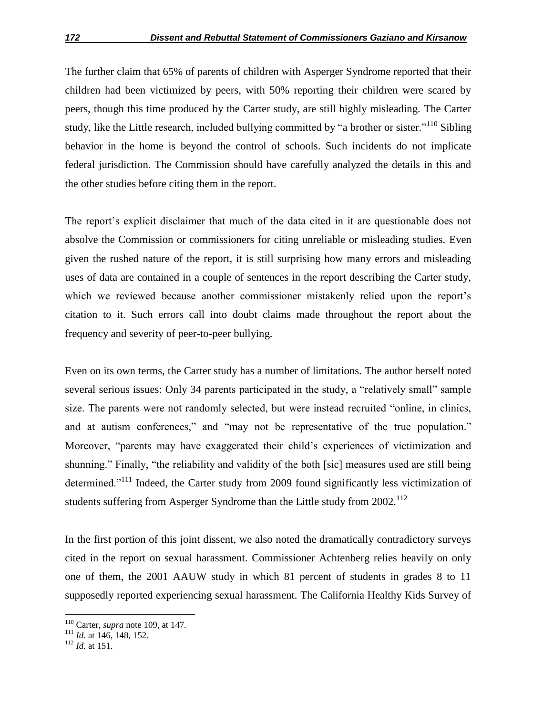The further claim that 65% of parents of children with Asperger Syndrome reported that their children had been victimized by peers, with 50% reporting their children were scared by peers, though this time produced by the Carter study, are still highly misleading. The Carter study, like the Little research, included bullying committed by "a brother or sister."<sup>110</sup> Sibling behavior in the home is beyond the control of schools. Such incidents do not implicate federal jurisdiction. The Commission should have carefully analyzed the details in this and the other studies before citing them in the report.

The report's explicit disclaimer that much of the data cited in it are questionable does not absolve the Commission or commissioners for citing unreliable or misleading studies. Even given the rushed nature of the report, it is still surprising how many errors and misleading uses of data are contained in a couple of sentences in the report describing the Carter study, which we reviewed because another commissioner mistakenly relied upon the report's citation to it. Such errors call into doubt claims made throughout the report about the frequency and severity of peer-to-peer bullying.

Even on its own terms, the Carter study has a number of limitations. The author herself noted several serious issues: Only 34 parents participated in the study, a "relatively small" sample size. The parents were not randomly selected, but were instead recruited "online, in clinics, and at autism conferences," and "may not be representative of the true population." Moreover, "parents may have exaggerated their child's experiences of victimization and shunning." Finally, "the reliability and validity of the both [sic] measures used are still being determined."<sup>111</sup> Indeed, the Carter study from 2009 found significantly less victimization of students suffering from Asperger Syndrome than the Little study from 2002.<sup>112</sup>

In the first portion of this joint dissent, we also noted the dramatically contradictory surveys cited in the report on sexual harassment. Commissioner Achtenberg relies heavily on only one of them, the 2001 AAUW study in which 81 percent of students in grades 8 to 11 supposedly reported experiencing sexual harassment. The California Healthy Kids Survey of

<sup>110</sup> Carter, *supra* note 109, at 147.

<sup>111</sup> *Id.* at 146, 148, 152.

<sup>112</sup> *Id.* at 151.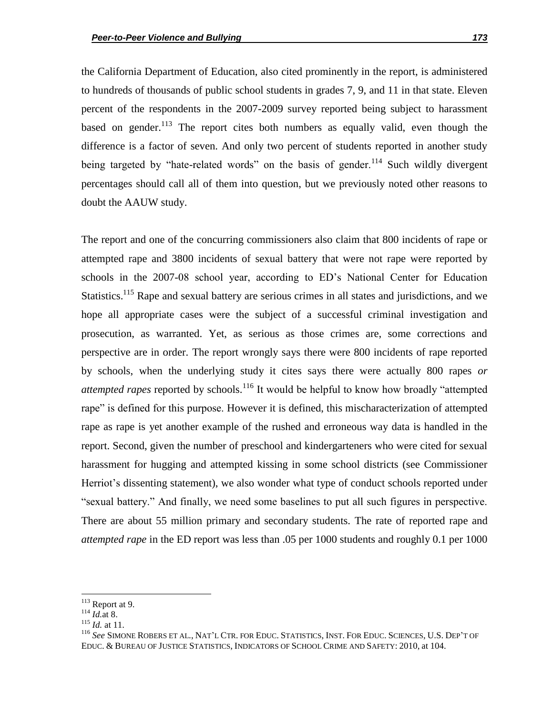the California Department of Education, also cited prominently in the report, is administered to hundreds of thousands of public school students in grades 7, 9, and 11 in that state. Eleven percent of the respondents in the 2007-2009 survey reported being subject to harassment based on gender. $^{113}$  The report cites both numbers as equally valid, even though the difference is a factor of seven. And only two percent of students reported in another study being targeted by "hate-related words" on the basis of gender.<sup>114</sup> Such wildly divergent percentages should call all of them into question, but we previously noted other reasons to doubt the AAUW study.

The report and one of the concurring commissioners also claim that 800 incidents of rape or attempted rape and 3800 incidents of sexual battery that were not rape were reported by schools in the 2007-08 school year, according to ED's National Center for Education Statistics.<sup>115</sup> Rape and sexual battery are serious crimes in all states and jurisdictions, and we hope all appropriate cases were the subject of a successful criminal investigation and prosecution, as warranted. Yet, as serious as those crimes are, some corrections and perspective are in order. The report wrongly says there were 800 incidents of rape reported by schools, when the underlying study it cites says there were actually 800 rapes *or attempted rapes* reported by schools.<sup>116</sup> It would be helpful to know how broadly "attempted" rape" is defined for this purpose. However it is defined, this mischaracterization of attempted rape as rape is yet another example of the rushed and erroneous way data is handled in the report. Second, given the number of preschool and kindergarteners who were cited for sexual harassment for hugging and attempted kissing in some school districts (see Commissioner Herriot's dissenting statement), we also wonder what type of conduct schools reported under ―sexual battery.‖ And finally, we need some baselines to put all such figures in perspective. There are about 55 million primary and secondary students. The rate of reported rape and *attempted rape* in the ED report was less than .05 per 1000 students and roughly 0.1 per 1000

 $\overline{a}$ 

 $113$  Report at 9.

<sup>114</sup> *Id.*at 8.

<sup>115</sup> *Id.* at 11.

<sup>116</sup> *See* SIMONE ROBERS ET AL., NAT'L CTR. FOR EDUC. STATISTICS, INST. FOR EDUC. SCIENCES, U.S. DEP'T OF EDUC. & BUREAU OF JUSTICE STATISTICS, INDICATORS OF SCHOOL CRIME AND SAFETY: 2010, at 104.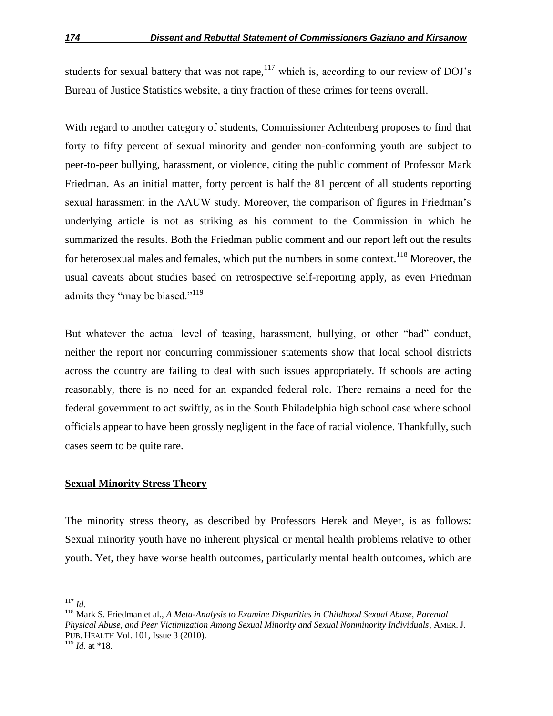students for sexual battery that was not rape, $117$  which is, according to our review of DOJ's Bureau of Justice Statistics website, a tiny fraction of these crimes for teens overall.

With regard to another category of students, Commissioner Achtenberg proposes to find that forty to fifty percent of sexual minority and gender non-conforming youth are subject to peer-to-peer bullying, harassment, or violence, citing the public comment of Professor Mark Friedman. As an initial matter, forty percent is half the 81 percent of all students reporting sexual harassment in the AAUW study. Moreover, the comparison of figures in Friedman's underlying article is not as striking as his comment to the Commission in which he summarized the results. Both the Friedman public comment and our report left out the results for heterosexual males and females, which put the numbers in some context.<sup>118</sup> Moreover, the usual caveats about studies based on retrospective self-reporting apply, as even Friedman admits they "may be biased."<sup>119</sup>

But whatever the actual level of teasing, harassment, bullying, or other "bad" conduct, neither the report nor concurring commissioner statements show that local school districts across the country are failing to deal with such issues appropriately. If schools are acting reasonably, there is no need for an expanded federal role. There remains a need for the federal government to act swiftly, as in the South Philadelphia high school case where school officials appear to have been grossly negligent in the face of racial violence. Thankfully, such cases seem to be quite rare.

## **Sexual Minority Stress Theory**

The minority stress theory, as described by Professors Herek and Meyer, is as follows: Sexual minority youth have no inherent physical or mental health problems relative to other youth. Yet, they have worse health outcomes, particularly mental health outcomes, which are

 $\overline{a}$ <sup>117</sup> *Id.*

<sup>118</sup> Mark S. Friedman et al., *A Meta-Analysis to Examine Disparities in Childhood Sexual Abuse, Parental Physical Abuse, and Peer Victimization Among Sexual Minority and Sexual Nonminority Individuals*, AMER. J. PUB. HEALTH Vol. 101, Issue 3 (2010).

 $119$  *Id.* at \*18.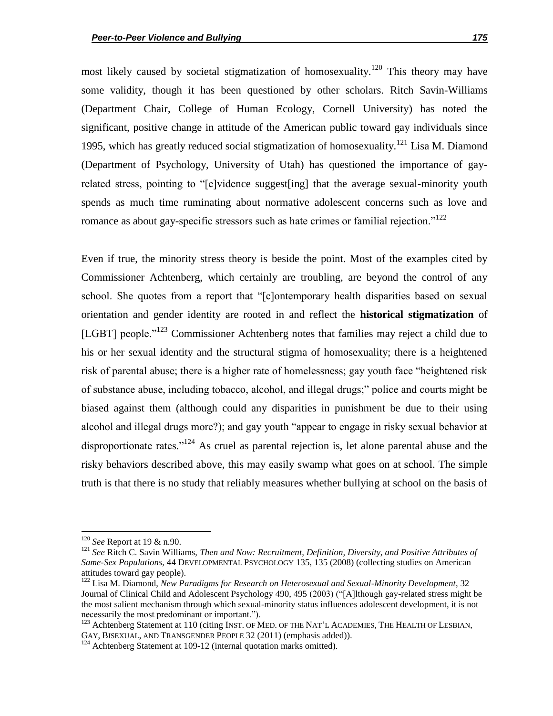most likely caused by societal stigmatization of homosexuality.<sup>120</sup> This theory may have some validity, though it has been questioned by other scholars. Ritch Savin-Williams (Department Chair, College of Human Ecology, Cornell University) has noted the significant, positive change in attitude of the American public toward gay individuals since 1995, which has greatly reduced social stigmatization of homosexuality.<sup>121</sup> Lisa M. Diamond (Department of Psychology, University of Utah) has questioned the importance of gayrelated stress, pointing to "[e]vidence suggest[ing] that the average sexual-minority youth spends as much time ruminating about normative adolescent concerns such as love and romance as about gay-specific stressors such as hate crimes or familial rejection.<sup> $122$ </sup>

Even if true, the minority stress theory is beside the point. Most of the examples cited by Commissioner Achtenberg, which certainly are troubling, are beyond the control of any school. She quotes from a report that "[c]ontemporary health disparities based on sexual orientation and gender identity are rooted in and reflect the **historical stigmatization** of [LGBT] people.<sup> $123$ </sup> Commissioner Achtenberg notes that families may reject a child due to his or her sexual identity and the structural stigma of homosexuality; there is a heightened risk of parental abuse; there is a higher rate of homelessness; gay youth face "heightened risk of substance abuse, including tobacco, alcohol, and illegal drugs;‖ police and courts might be biased against them (although could any disparities in punishment be due to their using alcohol and illegal drugs more?); and gay youth "appear to engage in risky sexual behavior at disproportionate rates." $124$  As cruel as parental rejection is, let alone parental abuse and the risky behaviors described above, this may easily swamp what goes on at school. The simple truth is that there is no study that reliably measures whether bullying at school on the basis of

<sup>120</sup> *See* Report at 19 & n.90.

<sup>121</sup> *See* Ritch C. Savin Williams, *Then and Now: Recruitment, Definition, Diversity, and Positive Attributes of Same-Sex Populations*, 44 DEVELOPMENTAL PSYCHOLOGY 135, 135 (2008) (collecting studies on American attitudes toward gay people).

<sup>122</sup> Lisa M. Diamond, *New Paradigms for Research on Heterosexual and Sexual-Minority Development*, 32 Journal of Clinical Child and Adolescent Psychology 490, 495 (2003) ("[A]lthough gay-related stress might be the most salient mechanism through which sexual-minority status influences adolescent development, it is not necessarily the most predominant or important.").

<sup>&</sup>lt;sup>123</sup> Achtenberg Statement at 110 (citing INST. OF MED. OF THE NAT'L ACADEMIES, THE HEALTH OF LESBIAN, GAY, BISEXUAL, AND TRANSGENDER PEOPLE 32 (2011) (emphasis added)).

 $124$  Achtenberg Statement at 109-12 (internal quotation marks omitted).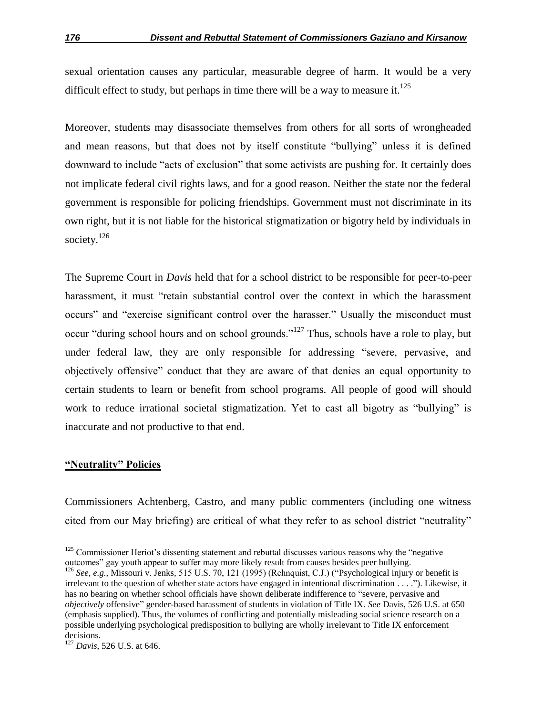sexual orientation causes any particular, measurable degree of harm. It would be a very difficult effect to study, but perhaps in time there will be a way to measure it.<sup>125</sup>

Moreover, students may disassociate themselves from others for all sorts of wrongheaded and mean reasons, but that does not by itself constitute "bullying" unless it is defined downward to include "acts of exclusion" that some activists are pushing for. It certainly does not implicate federal civil rights laws, and for a good reason. Neither the state nor the federal government is responsible for policing friendships. Government must not discriminate in its own right, but it is not liable for the historical stigmatization or bigotry held by individuals in society.<sup>126</sup>

The Supreme Court in *Davis* held that for a school district to be responsible for peer-to-peer harassment, it must "retain substantial control over the context in which the harassment occurs" and "exercise significant control over the harasser." Usually the misconduct must occur "during school hours and on school grounds."<sup>127</sup> Thus, schools have a role to play, but under federal law, they are only responsible for addressing "severe, pervasive, and objectively offensive" conduct that they are aware of that denies an equal opportunity to certain students to learn or benefit from school programs. All people of good will should work to reduce irrational societal stigmatization. Yet to cast all bigotry as "bullying" is inaccurate and not productive to that end.

## **"Neutrality" Policies**

 $\overline{\phantom{a}}$ 

Commissioners Achtenberg, Castro, and many public commenters (including one witness cited from our May briefing) are critical of what they refer to as school district "neutrality"

 $125$  Commissioner Heriot's dissenting statement and rebuttal discusses various reasons why the "negative" outcomes" gay youth appear to suffer may more likely result from causes besides peer bullying.

<sup>&</sup>lt;sup>126</sup> See, e.g., Missouri v. Jenks, 515 U.S. 70, 121 (1995) (Rehnquist, C.J.) ("Psychological injury or benefit is irrelevant to the question of whether state actors have engaged in intentional discrimination . . . .‖). Likewise, it has no bearing on whether school officials have shown deliberate indifference to "severe, pervasive and *objectively* offensive" gender-based harassment of students in violation of Title IX. *See* Davis, 526 U.S. at 650 (emphasis supplied). Thus, the volumes of conflicting and potentially misleading social science research on a possible underlying psychological predisposition to bullying are wholly irrelevant to Title IX enforcement decisions.

<sup>127</sup> *Davis*, 526 U.S. at 646.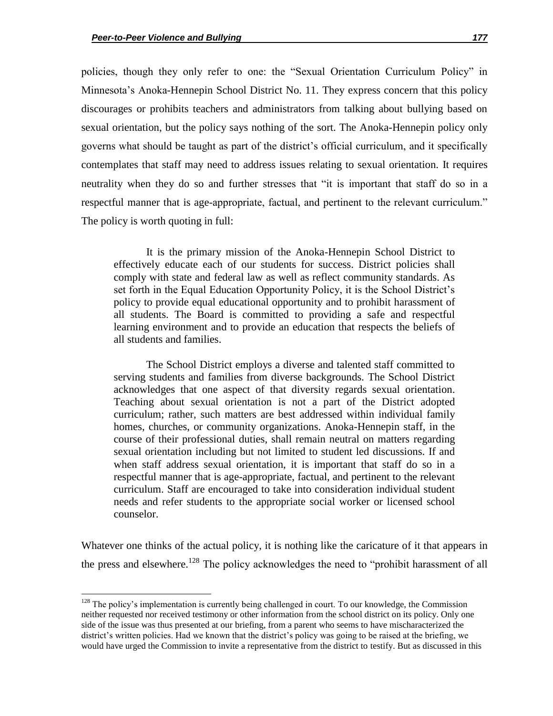$\overline{a}$ 

policies, though they only refer to one: the "Sexual Orientation Curriculum Policy" in Minnesota's Anoka-Hennepin School District No. 11. They express concern that this policy discourages or prohibits teachers and administrators from talking about bullying based on sexual orientation, but the policy says nothing of the sort. The Anoka-Hennepin policy only governs what should be taught as part of the district's official curriculum, and it specifically contemplates that staff may need to address issues relating to sexual orientation. It requires neutrality when they do so and further stresses that "it is important that staff do so in a respectful manner that is age-appropriate, factual, and pertinent to the relevant curriculum." The policy is worth quoting in full:

It is the primary mission of the Anoka-Hennepin School District to effectively educate each of our students for success. District policies shall comply with state and federal law as well as reflect community standards. As set forth in the Equal Education Opportunity Policy, it is the School District's policy to provide equal educational opportunity and to prohibit harassment of all students. The Board is committed to providing a safe and respectful learning environment and to provide an education that respects the beliefs of all students and families.

The School District employs a diverse and talented staff committed to serving students and families from diverse backgrounds. The School District acknowledges that one aspect of that diversity regards sexual orientation. Teaching about sexual orientation is not a part of the District adopted curriculum; rather, such matters are best addressed within individual family homes, churches, or community organizations. Anoka-Hennepin staff, in the course of their professional duties, shall remain neutral on matters regarding sexual orientation including but not limited to student led discussions. If and when staff address sexual orientation, it is important that staff do so in a respectful manner that is age-appropriate, factual, and pertinent to the relevant curriculum. Staff are encouraged to take into consideration individual student needs and refer students to the appropriate social worker or licensed school counselor.

Whatever one thinks of the actual policy, it is nothing like the caricature of it that appears in the press and elsewhere.<sup>128</sup> The policy acknowledges the need to "prohibit harassment of all

 $128$  The policy's implementation is currently being challenged in court. To our knowledge, the Commission neither requested nor received testimony or other information from the school district on its policy. Only one side of the issue was thus presented at our briefing, from a parent who seems to have mischaracterized the district's written policies. Had we known that the district's policy was going to be raised at the briefing, we would have urged the Commission to invite a representative from the district to testify. But as discussed in this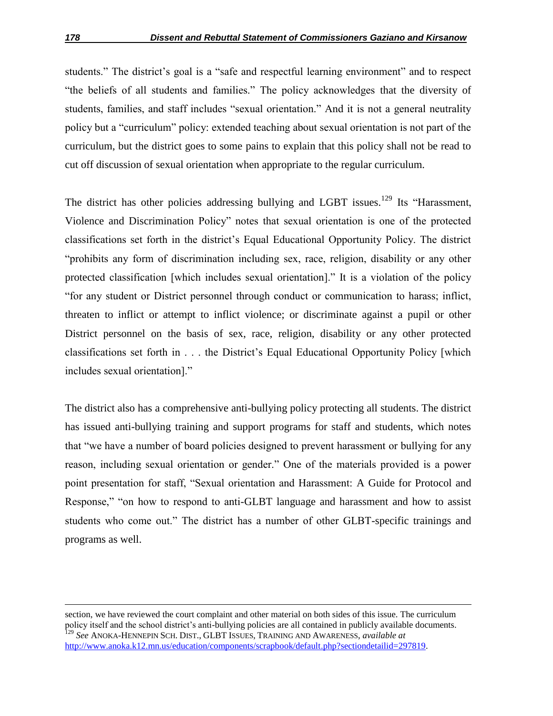students." The district's goal is a "safe and respectful learning environment" and to respect ―the beliefs of all students and families.‖ The policy acknowledges that the diversity of students, families, and staff includes "sexual orientation." And it is not a general neutrality policy but a "curriculum" policy: extended teaching about sexual orientation is not part of the curriculum, but the district goes to some pains to explain that this policy shall not be read to cut off discussion of sexual orientation when appropriate to the regular curriculum.

The district has other policies addressing bullying and LGBT issues.<sup>129</sup> Its "Harassment, Violence and Discrimination Policy" notes that sexual orientation is one of the protected classifications set forth in the district's Equal Educational Opportunity Policy. The district "prohibits any form of discrimination including sex, race, religion, disability or any other protected classification [which includes sexual orientation]." It is a violation of the policy ―for any student or District personnel through conduct or communication to harass; inflict, threaten to inflict or attempt to inflict violence; or discriminate against a pupil or other District personnel on the basis of sex, race, religion, disability or any other protected classifications set forth in . . . the District's Equal Educational Opportunity Policy [which includes sexual orientation]."

The district also has a comprehensive anti-bullying policy protecting all students. The district has issued anti-bullying training and support programs for staff and students, which notes that "we have a number of board policies designed to prevent harassment or bullying for any reason, including sexual orientation or gender." One of the materials provided is a power point presentation for staff, "Sexual orientation and Harassment: A Guide for Protocol and Response," "on how to respond to anti-GLBT language and harassment and how to assist students who come out." The district has a number of other GLBT-specific trainings and programs as well.

section, we have reviewed the court complaint and other material on both sides of this issue. The curriculum policy itself and the school district's anti-bullying policies are all contained in publicly available documents. <sup>129</sup> *See* ANOKA-HENNEPIN SCH. DIST., GLBT ISSUES, TRAINING AND AWARENESS, *available at* http://www.anoka.k12.mn.us/education/components/scrapbook/default.php?sectiondetailid=297819.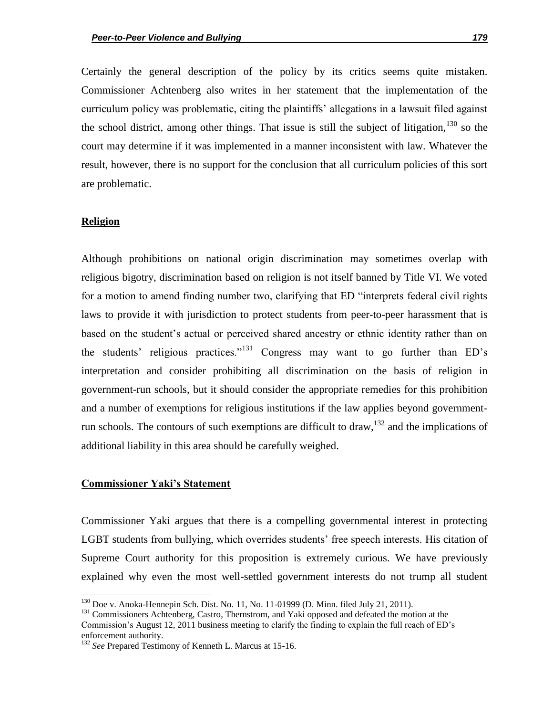Certainly the general description of the policy by its critics seems quite mistaken. Commissioner Achtenberg also writes in her statement that the implementation of the curriculum policy was problematic, citing the plaintiffs' allegations in a lawsuit filed against the school district, among other things. That issue is still the subject of litigation,  $130$  so the court may determine if it was implemented in a manner inconsistent with law. Whatever the result, however, there is no support for the conclusion that all curriculum policies of this sort are problematic.

#### **Religion**

 $\overline{a}$ 

Although prohibitions on national origin discrimination may sometimes overlap with religious bigotry, discrimination based on religion is not itself banned by Title VI. We voted for a motion to amend finding number two, clarifying that ED "interprets federal civil rights laws to provide it with jurisdiction to protect students from peer-to-peer harassment that is based on the student's actual or perceived shared ancestry or ethnic identity rather than on the students' religious practices."<sup>131</sup> Congress may want to go further than  $ED's$ interpretation and consider prohibiting all discrimination on the basis of religion in government-run schools, but it should consider the appropriate remedies for this prohibition and a number of exemptions for religious institutions if the law applies beyond governmentrun schools. The contours of such exemptions are difficult to draw,  $^{132}$  and the implications of additional liability in this area should be carefully weighed.

#### **Commissioner Yaki's Statement**

Commissioner Yaki argues that there is a compelling governmental interest in protecting LGBT students from bullying, which overrides students' free speech interests. His citation of Supreme Court authority for this proposition is extremely curious. We have previously explained why even the most well-settled government interests do not trump all student

 $130$  Doe v. Anoka-Hennepin Sch. Dist. No. 11, No. 11-01999 (D. Minn. filed July 21, 2011).

<sup>&</sup>lt;sup>131</sup> Commissioners Achtenberg, Castro, Thernstrom, and Yaki opposed and defeated the motion at the Commission's August 12, 2011 business meeting to clarify the finding to explain the full reach of ED's enforcement authority.

<sup>&</sup>lt;sup>132</sup> *See* Prepared Testimony of Kenneth L. Marcus at 15-16.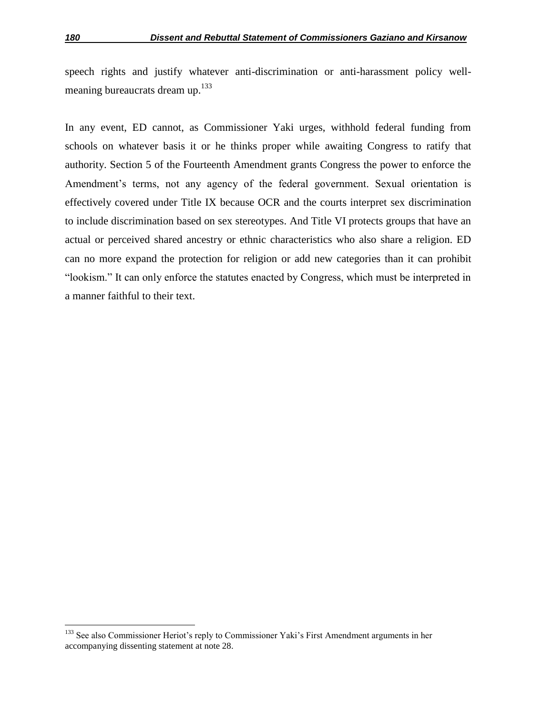speech rights and justify whatever anti-discrimination or anti-harassment policy wellmeaning bureaucrats dream up.<sup>133</sup>

In any event, ED cannot, as Commissioner Yaki urges, withhold federal funding from schools on whatever basis it or he thinks proper while awaiting Congress to ratify that authority. Section 5 of the Fourteenth Amendment grants Congress the power to enforce the Amendment's terms, not any agency of the federal government. Sexual orientation is effectively covered under Title IX because OCR and the courts interpret sex discrimination to include discrimination based on sex stereotypes. And Title VI protects groups that have an actual or perceived shared ancestry or ethnic characteristics who also share a religion. ED can no more expand the protection for religion or add new categories than it can prohibit "lookism." It can only enforce the statutes enacted by Congress, which must be interpreted in a manner faithful to their text.

<sup>&</sup>lt;sup>133</sup> See also Commissioner Heriot's reply to Commissioner Yaki's First Amendment arguments in her accompanying dissenting statement at note 28.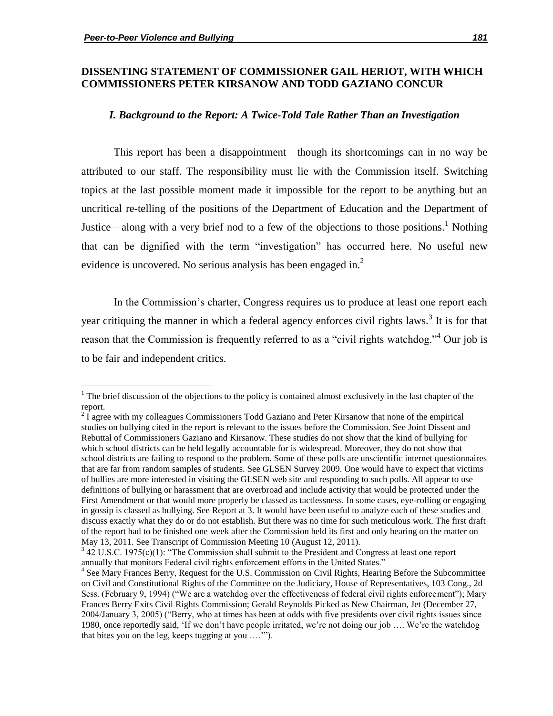$\overline{\phantom{a}}$ 

## **DISSENTING STATEMENT OF COMMISSIONER GAIL HERIOT, WITH WHICH COMMISSIONERS PETER KIRSANOW AND TODD GAZIANO CONCUR**

#### *I. Background to the Report: A Twice-Told Tale Rather Than an Investigation*

This report has been a disappointment—though its shortcomings can in no way be attributed to our staff. The responsibility must lie with the Commission itself. Switching topics at the last possible moment made it impossible for the report to be anything but an uncritical re-telling of the positions of the Department of Education and the Department of Justice—along with a very brief nod to a few of the objections to those positions.<sup>1</sup> Nothing that can be dignified with the term "investigation" has occurred here. No useful new evidence is uncovered. No serious analysis has been engaged in.<sup>2</sup>

In the Commission's charter, Congress requires us to produce at least one report each year critiquing the manner in which a federal agency enforces civil rights laws.<sup>3</sup> It is for that reason that the Commission is frequently referred to as a "civil rights watchdog."<sup>4</sup> Our job is to be fair and independent critics.

<sup>&</sup>lt;sup>1</sup> The brief discussion of the objections to the policy is contained almost exclusively in the last chapter of the report.

 $2\overline{I}$  agree with my colleagues Commissioners Todd Gaziano and Peter Kirsanow that none of the empirical studies on bullying cited in the report is relevant to the issues before the Commission. See Joint Dissent and Rebuttal of Commissioners Gaziano and Kirsanow. These studies do not show that the kind of bullying for which school districts can be held legally accountable for is widespread. Moreover, they do not show that school districts are failing to respond to the problem. Some of these polls are unscientific internet questionnaires that are far from random samples of students. See GLSEN Survey 2009. One would have to expect that victims of bullies are more interested in visiting the GLSEN web site and responding to such polls. All appear to use definitions of bullying or harassment that are overbroad and include activity that would be protected under the First Amendment or that would more properly be classed as tactlessness. In some cases, eye-rolling or engaging in gossip is classed as bullying. See Report at 3. It would have been useful to analyze each of these studies and discuss exactly what they do or do not establish. But there was no time for such meticulous work. The first draft of the report had to be finished one week after the Commission held its first and only hearing on the matter on May 13, 2011. See Transcript of Commission Meeting 10 (August 12, 2011).

 $342$  U.S.C. 1975(c)(1): "The Commission shall submit to the President and Congress at least one report annually that monitors Federal civil rights enforcement efforts in the United States."

<sup>&</sup>lt;sup>4</sup> See Mary Frances Berry, Request for the U.S. Commission on Civil Rights, Hearing Before the Subcommittee on Civil and Constitutional Rights of the Committee on the Judiciary, House of Representatives, 103 Cong., 2d Sess. (February 9, 1994) ("We are a watchdog over the effectiveness of federal civil rights enforcement"); Mary Frances Berry Exits Civil Rights Commission; Gerald Reynolds Picked as New Chairman, Jet (December 27, 2004/January 3, 2005) ("Berry, who at times has been at odds with five presidents over civil rights issues since 1980, once reportedly said, 'If we don't have people irritated, we're not doing our job .... We're the watchdog that bites you on the leg, keeps tugging at you  $\dots$ ").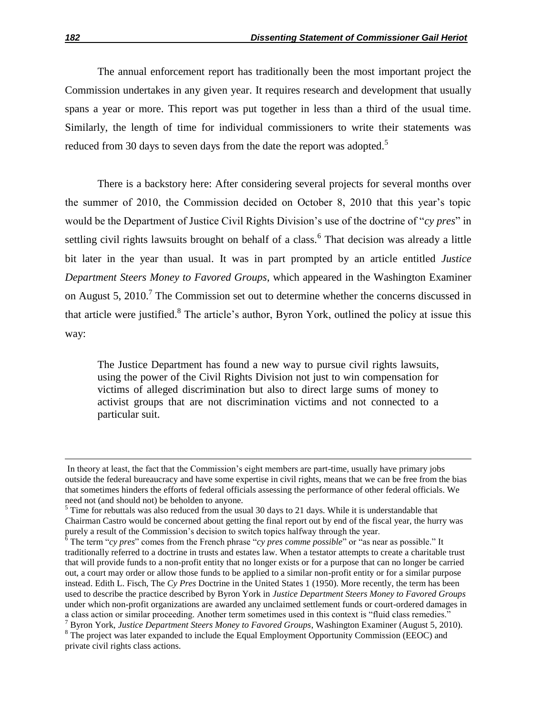The annual enforcement report has traditionally been the most important project the Commission undertakes in any given year. It requires research and development that usually spans a year or more. This report was put together in less than a third of the usual time. Similarly, the length of time for individual commissioners to write their statements was reduced from 30 days to seven days from the date the report was adopted.<sup>5</sup>

There is a backstory here: After considering several projects for several months over the summer of 2010, the Commission decided on October 8, 2010 that this year's topic would be the Department of Justice Civil Rights Division's use of the doctrine of "*cy pres*" in settling civil rights lawsuits brought on behalf of a class.<sup>6</sup> That decision was already a little bit later in the year than usual. It was in part prompted by an article entitled *Justice Department Steers Money to Favored Groups*, which appeared in the Washington Examiner on August 5, 2010.<sup>7</sup> The Commission set out to determine whether the concerns discussed in that article were justified. $8$  The article's author, Byron York, outlined the policy at issue this way:

The Justice Department has found a new way to pursue civil rights lawsuits, using the power of the Civil Rights Division not just to win compensation for victims of alleged discrimination but also to direct large sums of money to activist groups that are not discrimination victims and not connected to a particular suit.

 $\overline{a}$ 

In theory at least, the fact that the Commission's eight members are part-time, usually have primary jobs outside the federal bureaucracy and have some expertise in civil rights, means that we can be free from the bias that sometimes hinders the efforts of federal officials assessing the performance of other federal officials. We need not (and should not) be beholden to anyone.

 $5$  Time for rebuttals was also reduced from the usual 30 days to 21 days. While it is understandable that Chairman Castro would be concerned about getting the final report out by end of the fiscal year, the hurry was purely a result of the Commission's decision to switch topics halfway through the year.

 $\frac{1}{6}$  The term "*cy pres*" comes from the French phrase "*cy pres comme possible*" or "as near as possible." It traditionally referred to a doctrine in trusts and estates law. When a testator attempts to create a charitable trust that will provide funds to a non-profit entity that no longer exists or for a purpose that can no longer be carried out, a court may order or allow those funds to be applied to a similar non-profit entity or for a similar purpose instead. Edith L. Fisch, The *Cy Pres* Doctrine in the United States 1 (1950). More recently, the term has been used to describe the practice described by Byron York in *Justice Department Steers Money to Favored Groups*  under which non-profit organizations are awarded any unclaimed settlement funds or court-ordered damages in a class action or similar proceeding. Another term sometimes used in this context is "fluid class remedies." <sup>7</sup> Byron York, *Justice Department Steers Money to Favored Groups*, Washington Examiner (August 5, 2010).

<sup>&</sup>lt;sup>8</sup> The project was later expanded to include the Equal Employment Opportunity Commission (EEOC) and private civil rights class actions.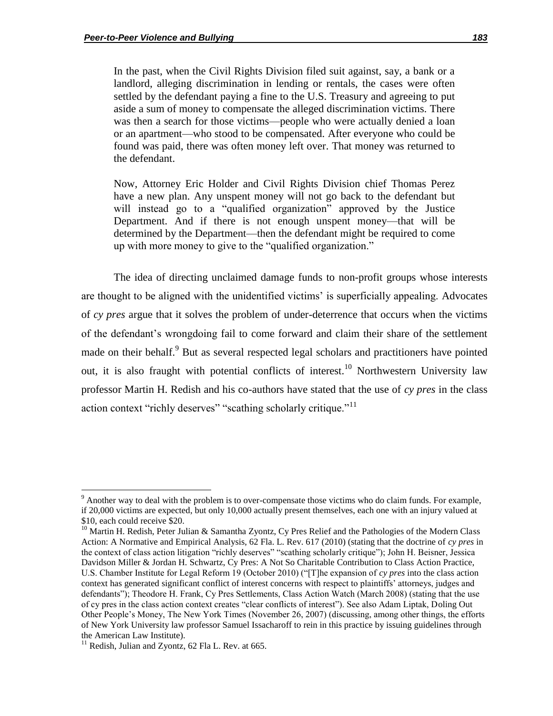In the past, when the Civil Rights Division filed suit against, say, a bank or a landlord, alleging discrimination in lending or rentals, the cases were often settled by the defendant paying a fine to the U.S. Treasury and agreeing to put aside a sum of money to compensate the alleged discrimination victims. There was then a search for those victims—people who were actually denied a loan or an apartment—who stood to be compensated. After everyone who could be found was paid, there was often money left over. That money was returned to the defendant.

Now, Attorney Eric Holder and Civil Rights Division chief Thomas Perez have a new plan. Any unspent money will not go back to the defendant but will instead go to a "qualified organization" approved by the Justice Department. And if there is not enough unspent money—that will be determined by the Department—then the defendant might be required to come up with more money to give to the "qualified organization."

The idea of directing unclaimed damage funds to non-profit groups whose interests are thought to be aligned with the unidentified victims' is superficially appealing. Advocates of *cy pres* argue that it solves the problem of under-deterrence that occurs when the victims of the defendant's wrongdoing fail to come forward and claim their share of the settlement made on their behalf.<sup>9</sup> But as several respected legal scholars and practitioners have pointed out, it is also fraught with potential conflicts of interest.<sup>10</sup> Northwestern University law professor Martin H. Redish and his co-authors have stated that the use of *cy pres* in the class action context "richly deserves" "scathing scholarly critique."<sup>11</sup>

l

 $9$  Another way to deal with the problem is to over-compensate those victims who do claim funds. For example, if 20,000 victims are expected, but only 10,000 actually present themselves, each one with an injury valued at \$10, each could receive \$20.

<sup>&</sup>lt;sup>10</sup> Martin H. Redish, Peter Julian & Samantha Zyontz, Cy Pres Relief and the Pathologies of the Modern Class Action: A Normative and Empirical Analysis, 62 Fla. L. Rev. 617 (2010) (stating that the doctrine of *cy pres* in the context of class action litigation "richly deserves" "scathing scholarly critique"); John H. Beisner, Jessica Davidson Miller & Jordan H. Schwartz, Cy Pres: A Not So Charitable Contribution to Class Action Practice, U.S. Chamber Institute for Legal Reform 19 (October 2010) ("The expansion of *cy pres* into the class action context has generated significant conflict of interest concerns with respect to plaintiffs' attorneys, judges and defendants"); Theodore H. Frank, Cy Pres Settlements, Class Action Watch (March 2008) (stating that the use of cy pres in the class action context creates "clear conflicts of interest"). See also Adam Liptak, Doling Out Other People's Money, The New York Times (November 26, 2007) (discussing, among other things, the efforts of New York University law professor Samuel Issacharoff to rein in this practice by issuing guidelines through the American Law Institute).

 $11$  Redish, Julian and Zyontz, 62 Fla L. Rev. at 665.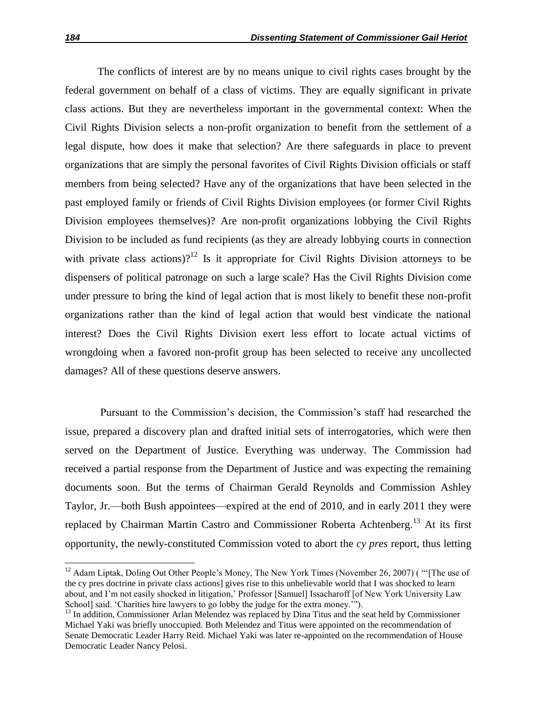The conflicts of interest are by no means unique to civil rights cases brought by the federal government on behalf of a class of victims. They are equally significant in private class actions. But they are nevertheless important in the governmental context: When the Civil Rights Division selects a non-profit organization to benefit from the settlement of a legal dispute, how does it make that selection? Are there safeguards in place to prevent organizations that are simply the personal favorites of Civil Rights Division officials or staff members from being selected? Have any of the organizations that have been selected in the past employed family or friends of Civil Rights Division employees (or former Civil Rights Division employees themselves)? Are non-profit organizations lobbying the Civil Rights Division to be included as fund recipients (as they are already lobbying courts in connection with private class actions)?<sup>12</sup> Is it appropriate for Civil Rights Division attorneys to be dispensers of political patronage on such a large scale? Has the Civil Rights Division come under pressure to bring the kind of legal action that is most likely to benefit these non-profit organizations rather than the kind of legal action that would best vindicate the national interest? Does the Civil Rights Division exert less effort to locate actual victims of wrongdoing when a favored non-profit group has been selected to receive any uncollected damages? All of these questions deserve answers.

Pursuant to the Commission's decision, the Commission's staff had researched the issue, prepared a discovery plan and drafted initial sets of interrogatories, which were then served on the Department of Justice. Everything was underway. The Commission had received a partial response from the Department of Justice and was expecting the remaining documents soon. But the terms of Chairman Gerald Reynolds and Commission Ashley Taylor, Jr.—both Bush appointees—expired at the end of 2010, and in early 2011 they were replaced by Chairman Martin Castro and Commissioner Roberta Achtenberg.<sup>13</sup> At its first opportunity, the newly-constituted Commission voted to abort the *cy pres* report, thus letting

 $\overline{a}$ 

 $12$  Adam Liptak, Doling Out Other People's Money, The New York Times (November 26, 2007) ( "The use of the cy pres doctrine in private class actions] gives rise to this unbelievable world that I was shocked to learn about, and I'm not easily shocked in litigation,' Professor [Samuel] Issacharoff [of New York University Law School] said. 'Charities hire lawyers to go lobby the judge for the extra money.'".

 $<sup>13</sup>$  In addition, Commissioner Arlan Melendez was replaced by Dina Titus and the seat held by Commissioner</sup> Michael Yaki was briefly unoccupied. Both Melendez and Titus were appointed on the recommendation of Senate Democratic Leader Harry Reid. Michael Yaki was later re-appointed on the recommendation of House Democratic Leader Nancy Pelosi.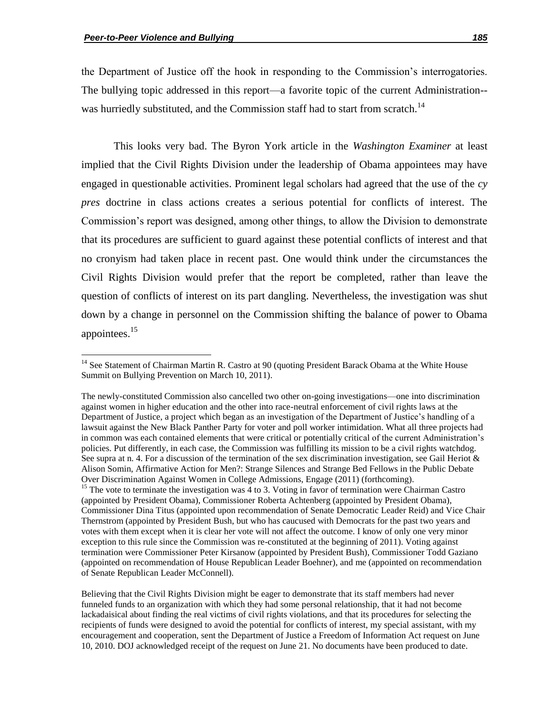$\overline{\phantom{a}}$ 

the Department of Justice off the hook in responding to the Commission's interrogatories. The bullying topic addressed in this report—a favorite topic of the current Administration- was hurriedly substituted, and the Commission staff had to start from scratch.<sup>14</sup>

This looks very bad. The Byron York article in the *Washington Examiner* at least implied that the Civil Rights Division under the leadership of Obama appointees may have engaged in questionable activities. Prominent legal scholars had agreed that the use of the *cy pres* doctrine in class actions creates a serious potential for conflicts of interest. The Commission's report was designed, among other things, to allow the Division to demonstrate that its procedures are sufficient to guard against these potential conflicts of interest and that no cronyism had taken place in recent past. One would think under the circumstances the Civil Rights Division would prefer that the report be completed, rather than leave the question of conflicts of interest on its part dangling. Nevertheless, the investigation was shut down by a change in personnel on the Commission shifting the balance of power to Obama appointees.<sup>15</sup>

<sup>&</sup>lt;sup>14</sup> See Statement of Chairman Martin R. Castro at 90 (quoting President Barack Obama at the White House Summit on Bullying Prevention on March 10, 2011).

The newly-constituted Commission also cancelled two other on-going investigations—one into discrimination against women in higher education and the other into race-neutral enforcement of civil rights laws at the Department of Justice, a project which began as an investigation of the Department of Justice's handling of a lawsuit against the New Black Panther Party for voter and poll worker intimidation. What all three projects had in common was each contained elements that were critical or potentially critical of the current Administration's policies. Put differently, in each case, the Commission was fulfilling its mission to be a civil rights watchdog. See supra at n. 4. For a discussion of the termination of the sex discrimination investigation, see Gail Heriot  $\&$ Alison Somin, Affirmative Action for Men?: Strange Silences and Strange Bed Fellows in the Public Debate Over Discrimination Against Women in College Admissions, Engage (2011) (forthcoming). <sup>15</sup> The vote to terminate the investigation was 4 to 3. Voting in favor of termination were Chairman Castro (appointed by President Obama), Commissioner Roberta Achtenberg (appointed by President Obama), Commissioner Dina Titus (appointed upon recommendation of Senate Democratic Leader Reid) and Vice Chair Thernstrom (appointed by President Bush, but who has caucused with Democrats for the past two years and votes with them except when it is clear her vote will not affect the outcome. I know of only one very minor exception to this rule since the Commission was re-constituted at the beginning of 2011). Voting against termination were Commissioner Peter Kirsanow (appointed by President Bush), Commissioner Todd Gaziano (appointed on recommendation of House Republican Leader Boehner), and me (appointed on recommendation of Senate Republican Leader McConnell).

Believing that the Civil Rights Division might be eager to demonstrate that its staff members had never funneled funds to an organization with which they had some personal relationship, that it had not become lackadaisical about finding the real victims of civil rights violations, and that its procedures for selecting the recipients of funds were designed to avoid the potential for conflicts of interest, my special assistant, with my encouragement and cooperation, sent the Department of Justice a Freedom of Information Act request on June 10, 2010. DOJ acknowledged receipt of the request on June 21. No documents have been produced to date.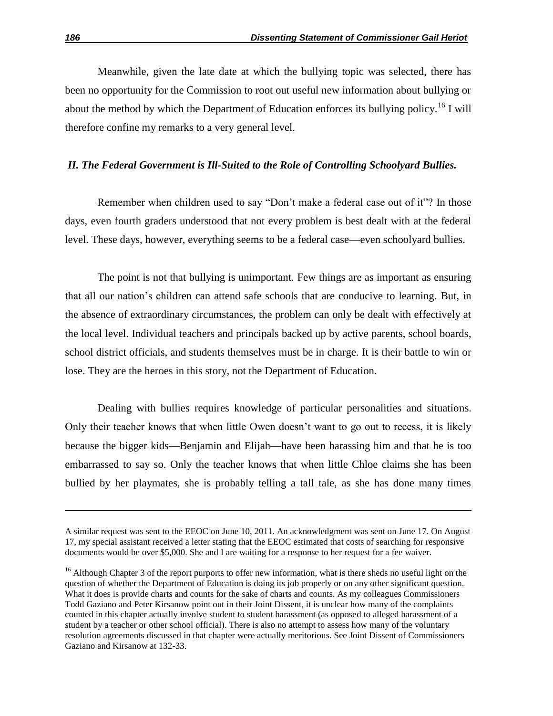Meanwhile, given the late date at which the bullying topic was selected, there has been no opportunity for the Commission to root out useful new information about bullying or about the method by which the Department of Education enforces its bullying policy.<sup>16</sup> I will therefore confine my remarks to a very general level.

#### *II. The Federal Government is Ill-Suited to the Role of Controlling Schoolyard Bullies.*

Remember when children used to say "Don't make a federal case out of it"? In those days, even fourth graders understood that not every problem is best dealt with at the federal level. These days, however, everything seems to be a federal case—even schoolyard bullies.

The point is not that bullying is unimportant. Few things are as important as ensuring that all our nation's children can attend safe schools that are conducive to learning. But, in the absence of extraordinary circumstances, the problem can only be dealt with effectively at the local level. Individual teachers and principals backed up by active parents, school boards, school district officials, and students themselves must be in charge. It is their battle to win or lose. They are the heroes in this story, not the Department of Education.

Dealing with bullies requires knowledge of particular personalities and situations. Only their teacher knows that when little Owen doesn't want to go out to recess, it is likely because the bigger kids—Benjamin and Elijah—have been harassing him and that he is too embarrassed to say so. Only the teacher knows that when little Chloe claims she has been bullied by her playmates, she is probably telling a tall tale, as she has done many times

A similar request was sent to the EEOC on June 10, 2011. An acknowledgment was sent on June 17. On August 17, my special assistant received a letter stating that the EEOC estimated that costs of searching for responsive documents would be over \$5,000. She and I are waiting for a response to her request for a fee waiver.

 $16$  Although Chapter 3 of the report purports to offer new information, what is there sheds no useful light on the question of whether the Department of Education is doing its job properly or on any other significant question. What it does is provide charts and counts for the sake of charts and counts. As my colleagues Commissioners Todd Gaziano and Peter Kirsanow point out in their Joint Dissent, it is unclear how many of the complaints counted in this chapter actually involve student to student harassment (as opposed to alleged harassment of a student by a teacher or other school official). There is also no attempt to assess how many of the voluntary resolution agreements discussed in that chapter were actually meritorious. See Joint Dissent of Commissioners Gaziano and Kirsanow at 132-33.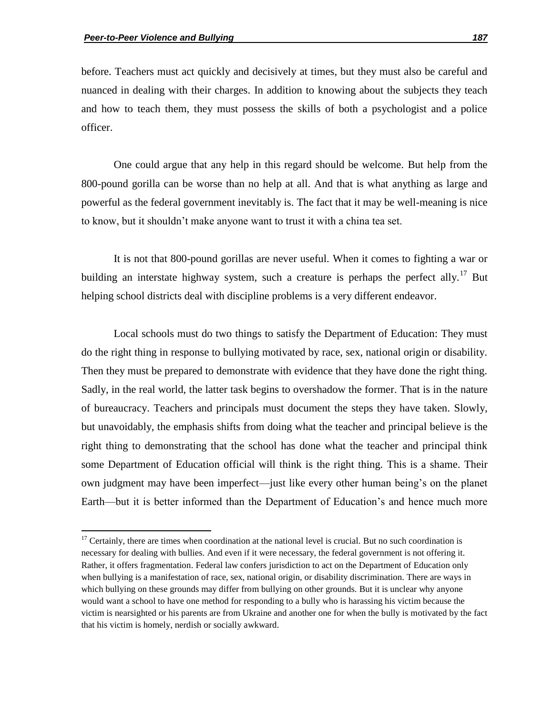$\overline{\phantom{a}}$ 

before. Teachers must act quickly and decisively at times, but they must also be careful and nuanced in dealing with their charges. In addition to knowing about the subjects they teach and how to teach them, they must possess the skills of both a psychologist and a police officer.

One could argue that any help in this regard should be welcome. But help from the 800-pound gorilla can be worse than no help at all. And that is what anything as large and powerful as the federal government inevitably is. The fact that it may be well-meaning is nice to know, but it shouldn't make anyone want to trust it with a china tea set.

It is not that 800-pound gorillas are never useful. When it comes to fighting a war or building an interstate highway system, such a creature is perhaps the perfect ally.<sup>17</sup> But helping school districts deal with discipline problems is a very different endeavor.

Local schools must do two things to satisfy the Department of Education: They must do the right thing in response to bullying motivated by race, sex, national origin or disability. Then they must be prepared to demonstrate with evidence that they have done the right thing. Sadly, in the real world, the latter task begins to overshadow the former. That is in the nature of bureaucracy. Teachers and principals must document the steps they have taken. Slowly, but unavoidably, the emphasis shifts from doing what the teacher and principal believe is the right thing to demonstrating that the school has done what the teacher and principal think some Department of Education official will think is the right thing. This is a shame. Their own judgment may have been imperfect—just like every other human being's on the planet Earth—but it is better informed than the Department of Education's and hence much more

 $17$  Certainly, there are times when coordination at the national level is crucial. But no such coordination is necessary for dealing with bullies. And even if it were necessary, the federal government is not offering it. Rather, it offers fragmentation. Federal law confers jurisdiction to act on the Department of Education only when bullying is a manifestation of race, sex, national origin, or disability discrimination. There are ways in which bullying on these grounds may differ from bullying on other grounds. But it is unclear why anyone would want a school to have one method for responding to a bully who is harassing his victim because the victim is nearsighted or his parents are from Ukraine and another one for when the bully is motivated by the fact that his victim is homely, nerdish or socially awkward.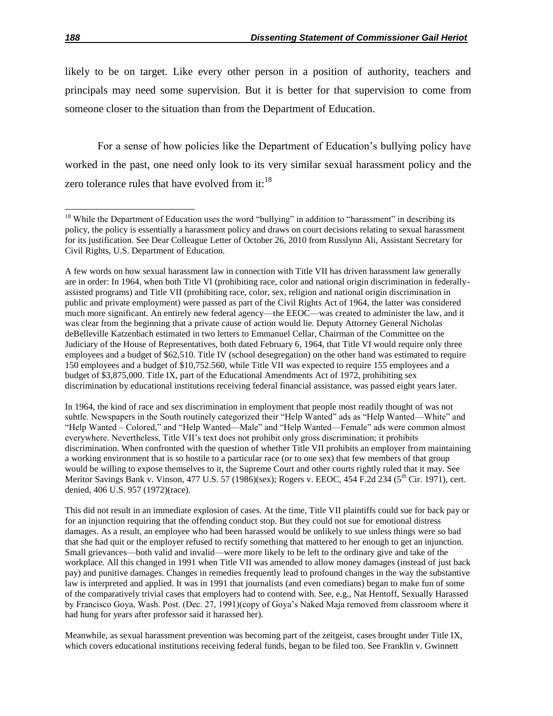likely to be on target. Like every other person in a position of authority, teachers and principals may need some supervision. But it is better for that supervision to come from someone closer to the situation than from the Department of Education.

For a sense of how policies like the Department of Education's bullying policy have worked in the past, one need only look to its very similar sexual harassment policy and the zero tolerance rules that have evolved from it: $^{18}$ 

In 1964, the kind of race and sex discrimination in employment that people most readily thought of was not subtle. Newspapers in the South routinely categorized their "Help Wanted" ads as "Help Wanted—White" and "Help Wanted – Colored," and "Help Wanted—Male" and "Help Wanted—Female" ads were common almost everywhere. Nevertheless, Title VII's text does not prohibit only gross discrimination; it prohibits discrimination. When confronted with the question of whether Title VII prohibits an employer from maintaining a working environment that is so hostile to a particular race (or to one sex) that few members of that group would be willing to expose themselves to it, the Supreme Court and other courts rightly ruled that it may. See Meritor Savings Bank v. Vinson, 477 U.S. 57 (1986)(sex); Rogers v. EEOC, 454 F.2d 234 (5<sup>th</sup> Cir. 1971), cert. denied, 406 U.S. 957 (1972)(race).

This did not result in an immediate explosion of cases. At the time, Title VII plaintiffs could sue for back pay or for an injunction requiring that the offending conduct stop. But they could not sue for emotional distress damages. As a result, an employee who had been harassed would be unlikely to sue unless things were so bad that she had quit or the employer refused to rectify something that mattered to her enough to get an injunction. Small grievances—both valid and invalid—were more likely to be left to the ordinary give and take of the workplace. All this changed in 1991 when Title VII was amended to allow money damages (instead of just back pay) and punitive damages. Changes in remedies frequently lead to profound changes in the way the substantive law is interpreted and applied. It was in 1991 that journalists (and even comedians) began to make fun of some of the comparatively trivial cases that employers had to contend with. See, e.g., Nat Hentoff, Sexually Harassed by Francisco Goya, Wash. Post. (Dec. 27, 1991)(copy of Goya's Naked Maja removed from classroom where it had hung for years after professor said it harassed her).

Meanwhile, as sexual harassment prevention was becoming part of the zeitgeist, cases brought under Title IX, which covers educational institutions receiving federal funds, began to be filed too. See Franklin v. Gwinnett

 $\overline{a}$ 

 $18$  While the Department of Education uses the word "bullying" in addition to "harassment" in describing its policy, the policy is essentially a harassment policy and draws on court decisions relating to sexual harassment for its justification. See Dear Colleague Letter of October 26, 2010 from Russlynn Ali, Assistant Secretary for Civil Rights, U.S. Department of Education.

A few words on how sexual harassment law in connection with Title VII has driven harassment law generally are in order: In 1964, when both Title VI (prohibiting race, color and national origin discrimination in federallyassisted programs) and Title VII (prohibiting race, color, sex, religion and national origin discrimination in public and private employment) were passed as part of the Civil Rights Act of 1964, the latter was considered much more significant. An entirely new federal agency—the EEOC—was created to administer the law, and it was clear from the beginning that a private cause of action would lie. Deputy Attorney General Nicholas deBelleville Katzenbach estimated in two letters to Emmanuel Cellar, Chairman of the Committee on the Judiciary of the House of Representatives, both dated February 6, 1964, that Title VI would require only three employees and a budget of \$62,510. Title IV (school desegregation) on the other hand was estimated to require 150 employees and a budget of \$10,752.560, while Title VII was expected to require 155 employees and a budget of \$3,875,000. Title IX, part of the Educational Amendments Act of 1972, prohibiting sex discrimination by educational institutions receiving federal financial assistance, was passed eight years later.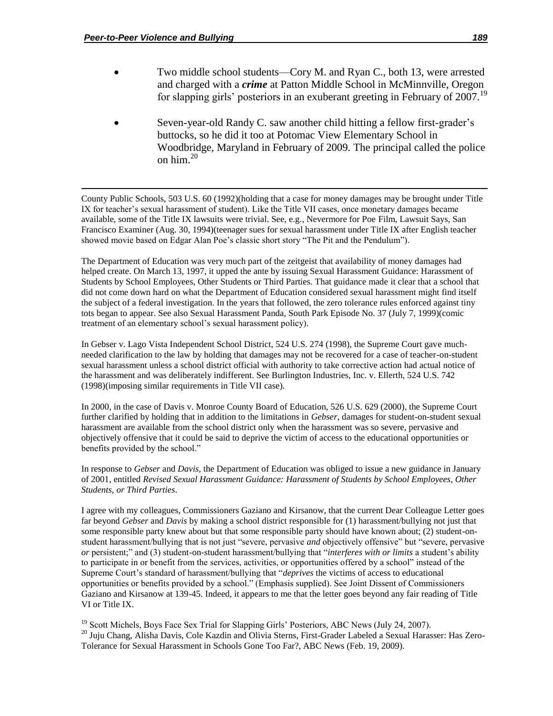$\overline{\phantom{a}}$ 

- Two middle school students—Cory M. and Ryan C., both 13, were arrested and charged with a *crime* at Patton Middle School in McMinnville, Oregon for slapping girls' posteriors in an exuberant greeting in February of 2007.<sup>19</sup>
- Seven-year-old Randy C. saw another child hitting a fellow first-grader's buttocks, so he did it too at Potomac View Elementary School in Woodbridge, Maryland in February of 2009. The principal called the police on him.<sup>20</sup>

County Public Schools, 503 U.S. 60 (1992)(holding that a case for money damages may be brought under Title IX for teacher's sexual harassment of student). Like the Title VII cases, once monetary damages became available, some of the Title IX lawsuits were trivial. See, e.g., Nevermore for Poe Film, Lawsuit Says, San Francisco Examiner (Aug. 30, 1994)(teenager sues for sexual harassment under Title IX after English teacher showed movie based on Edgar Alan Poe's classic short story "The Pit and the Pendulum").

The Department of Education was very much part of the zeitgeist that availability of money damages had helped create. On March 13, 1997, it upped the ante by issuing Sexual Harassment Guidance: Harassment of Students by School Employees, Other Students or Third Parties. That guidance made it clear that a school that did not come down hard on what the Department of Education considered sexual harassment might find itself the subject of a federal investigation. In the years that followed, the zero tolerance rules enforced against tiny tots began to appear. See also Sexual Harassment Panda, South Park Episode No. 37 (July 7, 1999)(comic treatment of an elementary school's sexual harassment policy).

In Gebser v. Lago Vista Independent School District, 524 U.S. 274 (1998), the Supreme Court gave muchneeded clarification to the law by holding that damages may not be recovered for a case of teacher-on-student sexual harassment unless a school district official with authority to take corrective action had actual notice of the harassment and was deliberately indifferent. See Burlington Industries, Inc. v. Ellerth, 524 U.S. 742 (1998)(imposing similar requirements in Title VII case).

In 2000, in the case of Davis v. Monroe County Board of Education, 526 U.S. 629 (2000), the Supreme Court further clarified by holding that in addition to the limitations in *Gebser*, damages for student-on-student sexual harassment are available from the school district only when the harassment was so severe, pervasive and objectively offensive that it could be said to deprive the victim of access to the educational opportunities or benefits provided by the school."

In response to *Gebser* and *Davis*, the Department of Education was obliged to issue a new guidance in January of 2001, entitled *Revised Sexual Harassment Guidance: Harassment of Students by School Employees, Other Students, or Third Parties*.

I agree with my colleagues, Commissioners Gaziano and Kirsanow, that the current Dear Colleague Letter goes far beyond *Gebser* and *Davis* by making a school district responsible for (1) harassment/bullying not just that some responsible party knew about but that some responsible party should have known about; (2) student-onstudent harassment/bullying that is not just "severe, pervasive *and* objectively offensive" but "severe, pervasive *or* persistent;" and (3) student-on-student harassment/bullying that "*interferes with or limits* a student's ability to participate in or benefit from the services, activities, or opportunities offered by a school" instead of the Supreme Court's standard of harassment/bullying that "*deprives* the victims of access to educational opportunities or benefits provided by a school.‖ (Emphasis supplied). See Joint Dissent of Commissioners Gaziano and Kirsanow at 139-45. Indeed, it appears to me that the letter goes beyond any fair reading of Title VI or Title IX.

<sup>19</sup> Scott Michels, Boys Face Sex Trial for Slapping Girls' Posteriors, ABC News (July 24, 2007). <sup>20</sup> Juju Chang, Alisha Davis, Cole Kazdin and Olivia Sterns, First-Grader Labeled a Sexual Harasser: Has Zero-Tolerance for Sexual Harassment in Schools Gone Too Far?, ABC News (Feb. 19, 2009).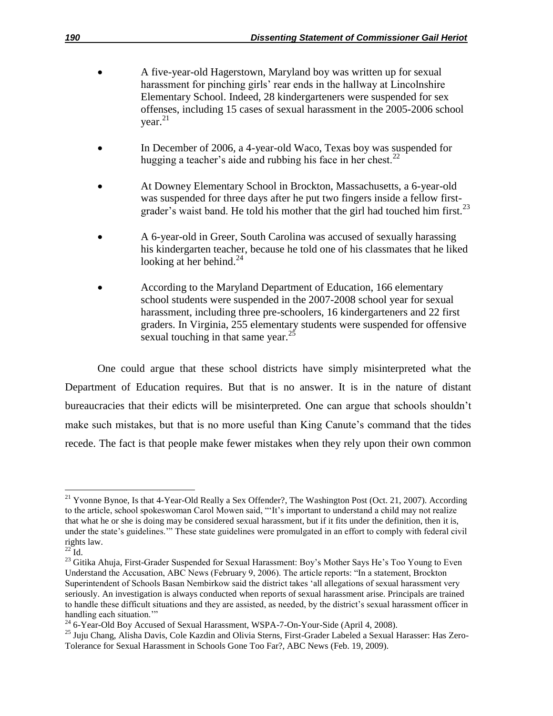- A five-year-old Hagerstown, Maryland boy was written up for sexual harassment for pinching girls' rear ends in the hallway at Lincolnshire Elementary School. Indeed, 28 kindergarteners were suspended for sex offenses, including 15 cases of sexual harassment in the 2005-2006 school year. 21
- In December of 2006, a 4-year-old Waco, Texas boy was suspended for hugging a teacher's aide and rubbing his face in her chest.<sup>22</sup>
- At Downey Elementary School in Brockton, Massachusetts, a 6-year-old was suspended for three days after he put two fingers inside a fellow firstgrader's waist band. He told his mother that the girl had touched him first.<sup>23</sup>
- A 6-year-old in Greer, South Carolina was accused of sexually harassing his kindergarten teacher, because he told one of his classmates that he liked looking at her behind. $^{24}$
- According to the Maryland Department of Education, 166 elementary school students were suspended in the 2007-2008 school year for sexual harassment, including three pre-schoolers, 16 kindergarteners and 22 first graders. In Virginia, 255 elementary students were suspended for offensive sexual touching in that same year.<sup>25</sup>

One could argue that these school districts have simply misinterpreted what the Department of Education requires. But that is no answer. It is in the nature of distant bureaucracies that their edicts will be misinterpreted. One can argue that schools shouldn't make such mistakes, but that is no more useful than King Canute's command that the tides recede. The fact is that people make fewer mistakes when they rely upon their own common

l  $21$  Yvonne Bynoe, Is that 4-Year-Old Really a Sex Offender?, The Washington Post (Oct. 21, 2007). According to the article, school spokeswoman Carol Mowen said, "It's important to understand a child may not realize that what he or she is doing may be considered sexual harassment, but if it fits under the definition, then it is, under the state's guidelines."" These state guidelines were promulgated in an effort to comply with federal civil rights law.

 $^{22}$ Id.

<sup>&</sup>lt;sup>23</sup> Gitika Ahuja, First-Grader Suspended for Sexual Harassment: Boy's Mother Says He's Too Young to Even Understand the Accusation, ABC News (February 9, 2006). The article reports: "In a statement, Brockton Superintendent of Schools Basan Nembirkow said the district takes 'all allegations of sexual harassment very seriously. An investigation is always conducted when reports of sexual harassment arise. Principals are trained to handle these difficult situations and they are assisted, as needed, by the district's sexual harassment officer in handling each situation."

<sup>&</sup>lt;sup>24</sup> 6-Year-Old Boy Accused of Sexual Harassment, WSPA-7-On-Your-Side (April 4, 2008).

<sup>25</sup> Juju Chang, Alisha Davis, Cole Kazdin and Olivia Sterns, First-Grader Labeled a Sexual Harasser: Has Zero-Tolerance for Sexual Harassment in Schools Gone Too Far?, ABC News (Feb. 19, 2009).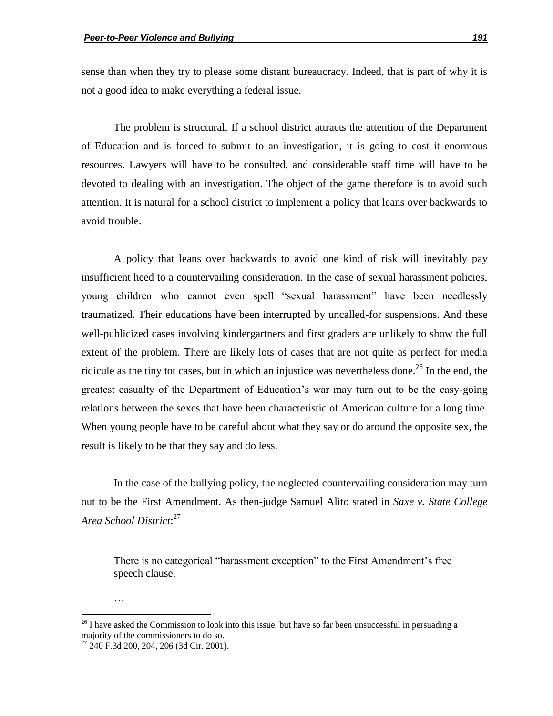sense than when they try to please some distant bureaucracy. Indeed, that is part of why it is not a good idea to make everything a federal issue.

The problem is structural. If a school district attracts the attention of the Department of Education and is forced to submit to an investigation, it is going to cost it enormous resources. Lawyers will have to be consulted, and considerable staff time will have to be devoted to dealing with an investigation. The object of the game therefore is to avoid such attention. It is natural for a school district to implement a policy that leans over backwards to avoid trouble.

A policy that leans over backwards to avoid one kind of risk will inevitably pay insufficient heed to a countervailing consideration. In the case of sexual harassment policies, young children who cannot even spell "sexual harassment" have been needlessly traumatized. Their educations have been interrupted by uncalled-for suspensions. And these well-publicized cases involving kindergartners and first graders are unlikely to show the full extent of the problem. There are likely lots of cases that are not quite as perfect for media ridicule as the tiny tot cases, but in which an injustice was nevertheless done.<sup>26</sup> In the end, the greatest casualty of the Department of Education's war may turn out to be the easy-going relations between the sexes that have been characteristic of American culture for a long time. When young people have to be careful about what they say or do around the opposite sex, the result is likely to be that they say and do less.

In the case of the bullying policy, the neglected countervailing consideration may turn out to be the First Amendment. As then-judge Samuel Alito stated in *Saxe v. State College Area School District*: 27

There is no categorical "harassment exception" to the First Amendment's free speech clause.

…

 $26$  I have asked the Commission to look into this issue, but have so far been unsuccessful in persuading a majority of the commissioners to do so.

 $27$  240 F.3d 200, 204, 206 (3d Cir. 2001).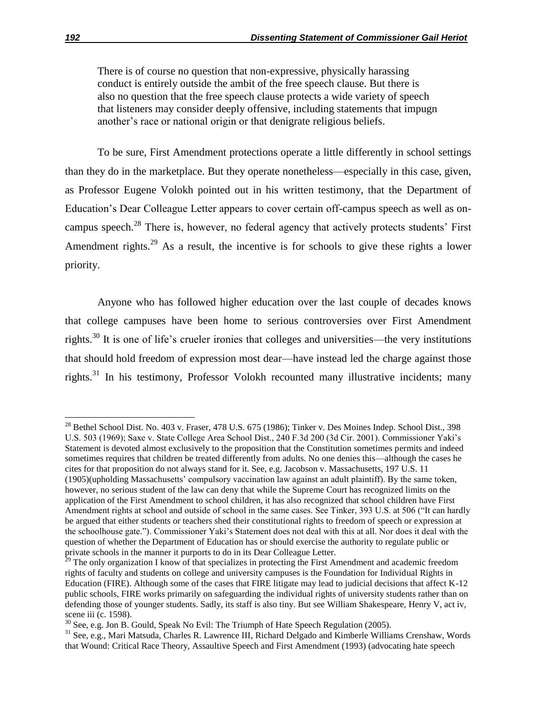There is of course no question that non-expressive, physically harassing conduct is entirely outside the ambit of the free speech clause. But there is also no question that the free speech clause protects a wide variety of speech that listeners may consider deeply offensive, including statements that impugn another's race or national origin or that denigrate religious beliefs.

To be sure, First Amendment protections operate a little differently in school settings than they do in the marketplace. But they operate nonetheless—especially in this case, given, as Professor Eugene Volokh pointed out in his written testimony, that the Department of Education's Dear Colleague Letter appears to cover certain off-campus speech as well as oncampus speech.<sup>28</sup> There is, however, no federal agency that actively protects students' First Amendment rights.<sup>29</sup> As a result, the incentive is for schools to give these rights a lower priority.

Anyone who has followed higher education over the last couple of decades knows that college campuses have been home to serious controversies over First Amendment rights.<sup>30</sup> It is one of life's crueler ironies that colleges and universities—the very institutions that should hold freedom of expression most dear—have instead led the charge against those rights.<sup>31</sup> In his testimony, Professor Volokh recounted many illustrative incidents; many

<sup>&</sup>lt;sup>28</sup> Bethel School Dist. No. 403 v. Fraser, 478 U.S. 675 (1986); Tinker v. Des Moines Indep. School Dist., 398 U.S. 503 (1969); Saxe v. State College Area School Dist., 240 F.3d 200 (3d Cir. 2001). Commissioner Yaki's Statement is devoted almost exclusively to the proposition that the Constitution sometimes permits and indeed sometimes requires that children be treated differently from adults. No one denies this—although the cases he cites for that proposition do not always stand for it. See, e.g. Jacobson v. Massachusetts, 197 U.S. 11 (1905)(upholding Massachusetts' compulsory vaccination law against an adult plaintiff). By the same token, however, no serious student of the law can deny that while the Supreme Court has recognized limits on the application of the First Amendment to school children, it has also recognized that school children have First Amendment rights at school and outside of school in the same cases. See Tinker, 393 U.S. at 506 ("It can hardly be argued that either students or teachers shed their constitutional rights to freedom of speech or expression at the schoolhouse gate."). Commissioner Yaki's Statement does not deal with this at all. Nor does it deal with the question of whether the Department of Education has or should exercise the authority to regulate public or private schools in the manner it purports to do in its Dear Colleague Letter.

 $29$  The only organization I know of that specializes in protecting the First Amendment and academic freedom rights of faculty and students on college and university campuses is the Foundation for Individual Rights in Education (FIRE). Although some of the cases that FIRE litigate may lead to judicial decisions that affect K-12 public schools, FIRE works primarily on safeguarding the individual rights of university students rather than on defending those of younger students. Sadly, its staff is also tiny. But see William Shakespeare, Henry V, act iv, scene iii (c. 1598).

 $30$  See, e.g. Jon B. Gould, Speak No Evil: The Triumph of Hate Speech Regulation (2005).

<sup>31</sup> See, e.g., Mari Matsuda, Charles R. Lawrence III, Richard Delgado and Kimberle Williams Crenshaw, Words that Wound: Critical Race Theory, Assaultive Speech and First Amendment (1993) (advocating hate speech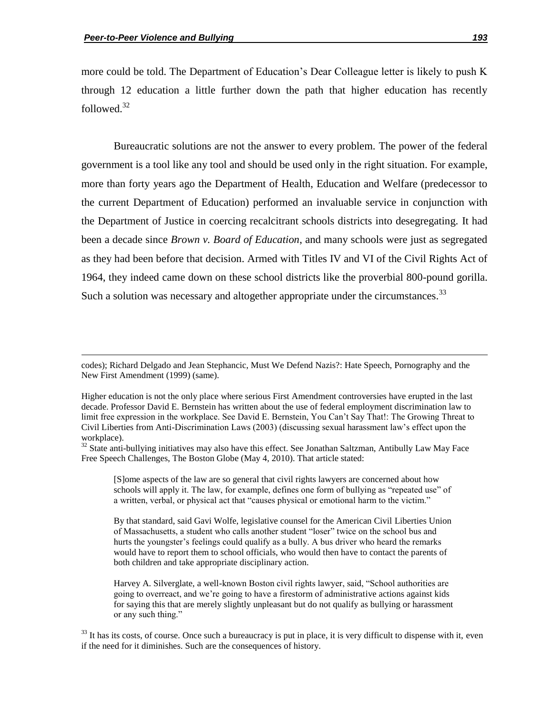$\overline{\phantom{a}}$ 

more could be told. The Department of Education's Dear Colleague letter is likely to push K through 12 education a little further down the path that higher education has recently followed.<sup>32</sup>

Bureaucratic solutions are not the answer to every problem. The power of the federal government is a tool like any tool and should be used only in the right situation. For example, more than forty years ago the Department of Health, Education and Welfare (predecessor to the current Department of Education) performed an invaluable service in conjunction with the Department of Justice in coercing recalcitrant schools districts into desegregating. It had been a decade since *Brown v. Board of Education*, and many schools were just as segregated as they had been before that decision. Armed with Titles IV and VI of the Civil Rights Act of 1964, they indeed came down on these school districts like the proverbial 800-pound gorilla. Such a solution was necessary and altogether appropriate under the circumstances.<sup>33</sup>

[S]ome aspects of the law are so general that civil rights lawyers are concerned about how schools will apply it. The law, for example, defines one form of bullying as "repeated use" of a written, verbal, or physical act that "causes physical or emotional harm to the victim."

By that standard, said Gavi Wolfe, legislative counsel for the American Civil Liberties Union of Massachusetts, a student who calls another student "loser" twice on the school bus and hurts the youngster's feelings could qualify as a bully. A bus driver who heard the remarks would have to report them to school officials, who would then have to contact the parents of both children and take appropriate disciplinary action.

Harvey A. Silverglate, a well-known Boston civil rights lawyer, said, "School authorities are going to overreact, and we're going to have a firestorm of administrative actions against kids for saying this that are merely slightly unpleasant but do not qualify as bullying or harassment or any such thing."

 $33$  It has its costs, of course. Once such a bureaucracy is put in place, it is very difficult to dispense with it, even if the need for it diminishes. Such are the consequences of history.

codes); Richard Delgado and Jean Stephancic, Must We Defend Nazis?: Hate Speech, Pornography and the New First Amendment (1999) (same).

Higher education is not the only place where serious First Amendment controversies have erupted in the last decade. Professor David E. Bernstein has written about the use of federal employment discrimination law to limit free expression in the workplace. See David E. Bernstein, You Can't Say That!: The Growing Threat to Civil Liberties from Anti-Discrimination Laws (2003) (discussing sexual harassment law's effect upon the workplace).

<sup>&</sup>lt;sup>32</sup> State anti-bullying initiatives may also have this effect. See Jonathan Saltzman, Antibully Law May Face Free Speech Challenges, The Boston Globe (May 4, 2010). That article stated: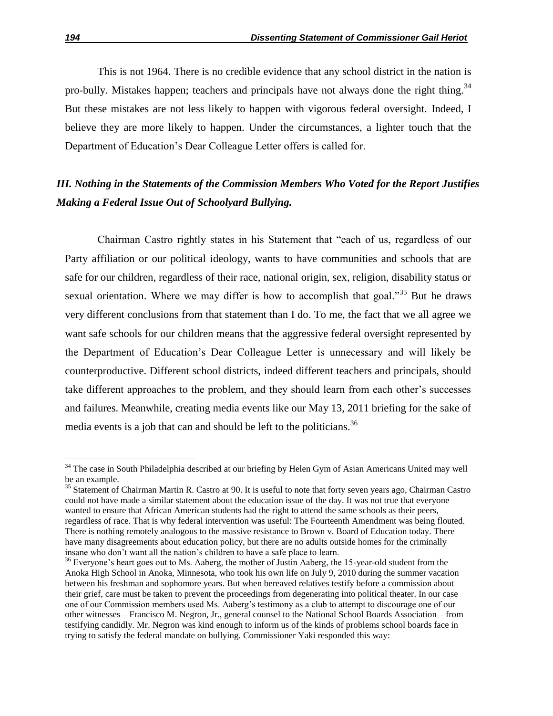This is not 1964. There is no credible evidence that any school district in the nation is pro-bully. Mistakes happen; teachers and principals have not always done the right thing.<sup>34</sup> But these mistakes are not less likely to happen with vigorous federal oversight. Indeed, I believe they are more likely to happen. Under the circumstances, a lighter touch that the Department of Education's Dear Colleague Letter offers is called for.

# *III. Nothing in the Statements of the Commission Members Who Voted for the Report Justifies Making a Federal Issue Out of Schoolyard Bullying.*

Chairman Castro rightly states in his Statement that "each of us, regardless of our Party affiliation or our political ideology, wants to have communities and schools that are safe for our children, regardless of their race, national origin, sex, religion, disability status or sexual orientation. Where we may differ is how to accomplish that goal."<sup>35</sup> But he draws very different conclusions from that statement than I do. To me, the fact that we all agree we want safe schools for our children means that the aggressive federal oversight represented by the Department of Education's Dear Colleague Letter is unnecessary and will likely be counterproductive. Different school districts, indeed different teachers and principals, should take different approaches to the problem, and they should learn from each other's successes and failures. Meanwhile, creating media events like our May 13, 2011 briefing for the sake of media events is a job that can and should be left to the politicians.  $36$ 

 $\overline{a}$ 

<sup>&</sup>lt;sup>34</sup> The case in South Philadelphia described at our briefing by Helen Gym of Asian Americans United may well be an example.

<sup>&</sup>lt;sup>35</sup> Statement of Chairman Martin R. Castro at 90. It is useful to note that forty seven years ago, Chairman Castro could not have made a similar statement about the education issue of the day. It was not true that everyone wanted to ensure that African American students had the right to attend the same schools as their peers, regardless of race. That is why federal intervention was useful: The Fourteenth Amendment was being flouted. There is nothing remotely analogous to the massive resistance to Brown v. Board of Education today. There have many disagreements about education policy, but there are no adults outside homes for the criminally insane who don't want all the nation's children to have a safe place to learn.

<sup>&</sup>lt;sup>36</sup> Everyone's heart goes out to Ms. Aaberg, the mother of Justin Aaberg, the 15-year-old student from the Anoka High School in Anoka, Minnesota, who took his own life on July 9, 2010 during the summer vacation between his freshman and sophomore years. But when bereaved relatives testify before a commission about their grief, care must be taken to prevent the proceedings from degenerating into political theater. In our case one of our Commission members used Ms. Aaberg's testimony as a club to attempt to discourage one of our other witnesses—Francisco M. Negron, Jr., general counsel to the National School Boards Association—from testifying candidly. Mr. Negron was kind enough to inform us of the kinds of problems school boards face in trying to satisfy the federal mandate on bullying. Commissioner Yaki responded this way: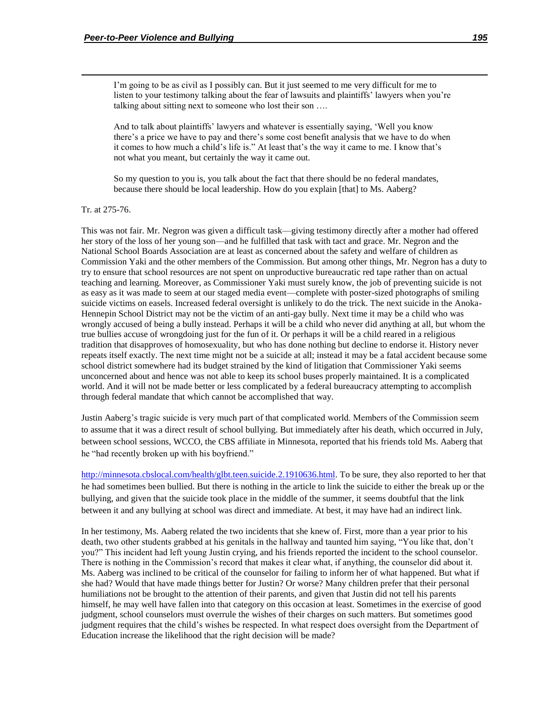I'm going to be as civil as I possibly can. But it just seemed to me very difficult for me to listen to your testimony talking about the fear of lawsuits and plaintiffs' lawyers when you're talking about sitting next to someone who lost their son ….

And to talk about plaintiffs' lawyers and whatever is essentially saying, ‗Well you know there's a price we have to pay and there's some cost benefit analysis that we have to do when it comes to how much a child's life is." At least that's the way it came to me. I know that's not what you meant, but certainly the way it came out.

So my question to you is, you talk about the fact that there should be no federal mandates, because there should be local leadership. How do you explain [that] to Ms. Aaberg?

Tr. at 275-76.

 $\overline{\phantom{a}}$ 

This was not fair. Mr. Negron was given a difficult task—giving testimony directly after a mother had offered her story of the loss of her young son—and he fulfilled that task with tact and grace. Mr. Negron and the National School Boards Association are at least as concerned about the safety and welfare of children as Commission Yaki and the other members of the Commission. But among other things, Mr. Negron has a duty to try to ensure that school resources are not spent on unproductive bureaucratic red tape rather than on actual teaching and learning. Moreover, as Commissioner Yaki must surely know, the job of preventing suicide is not as easy as it was made to seem at our staged media event—complete with poster-sized photographs of smiling suicide victims on easels. Increased federal oversight is unlikely to do the trick. The next suicide in the Anoka-Hennepin School District may not be the victim of an anti-gay bully. Next time it may be a child who was wrongly accused of being a bully instead. Perhaps it will be a child who never did anything at all, but whom the true bullies accuse of wrongdoing just for the fun of it. Or perhaps it will be a child reared in a religious tradition that disapproves of homosexuality, but who has done nothing but decline to endorse it. History never repeats itself exactly. The next time might not be a suicide at all; instead it may be a fatal accident because some school district somewhere had its budget strained by the kind of litigation that Commissioner Yaki seems unconcerned about and hence was not able to keep its school buses properly maintained. It is a complicated world. And it will not be made better or less complicated by a federal bureaucracy attempting to accomplish through federal mandate that which cannot be accomplished that way.

Justin Aaberg's tragic suicide is very much part of that complicated world. Members of the Commission seem to assume that it was a direct result of school bullying. But immediately after his death, which occurred in July, between school sessions, WCCO, the CBS affiliate in Minnesota, reported that his friends told Ms. Aaberg that he "had recently broken up with his boyfriend."

http://minnesota.cbslocal.com/health/glbt.teen.suicide.2.1910636.html. To be sure, they also reported to her that he had sometimes been bullied. But there is nothing in the article to link the suicide to either the break up or the bullying, and given that the suicide took place in the middle of the summer, it seems doubtful that the link between it and any bullying at school was direct and immediate. At best, it may have had an indirect link.

In her testimony, Ms. Aaberg related the two incidents that she knew of. First, more than a year prior to his death, two other students grabbed at his genitals in the hallway and taunted him saying, "You like that, don't you?" This incident had left young Justin crying, and his friends reported the incident to the school counselor. There is nothing in the Commission's record that makes it clear what, if anything, the counselor did about it. Ms. Aaberg was inclined to be critical of the counselor for failing to inform her of what happened. But what if she had? Would that have made things better for Justin? Or worse? Many children prefer that their personal humiliations not be brought to the attention of their parents, and given that Justin did not tell his parents himself, he may well have fallen into that category on this occasion at least. Sometimes in the exercise of good judgment, school counselors must overrule the wishes of their charges on such matters. But sometimes good judgment requires that the child's wishes be respected. In what respect does oversight from the Department of Education increase the likelihood that the right decision will be made?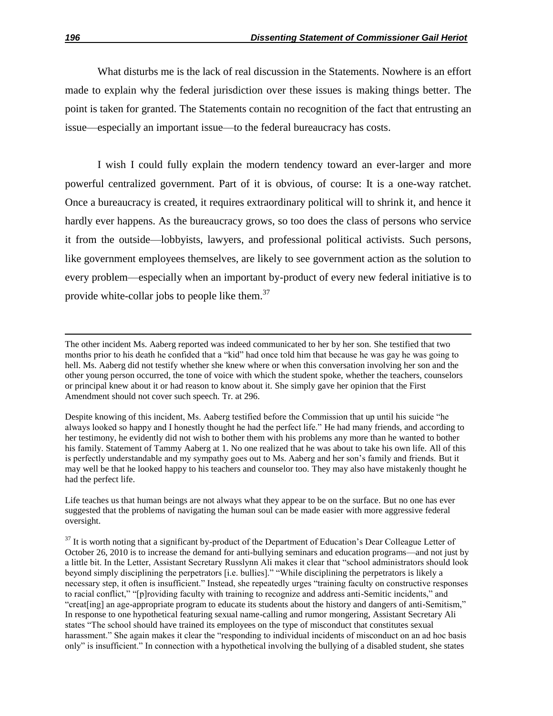What disturbs me is the lack of real discussion in the Statements. Nowhere is an effort made to explain why the federal jurisdiction over these issues is making things better. The point is taken for granted. The Statements contain no recognition of the fact that entrusting an issue—especially an important issue—to the federal bureaucracy has costs.

I wish I could fully explain the modern tendency toward an ever-larger and more powerful centralized government. Part of it is obvious, of course: It is a one-way ratchet. Once a bureaucracy is created, it requires extraordinary political will to shrink it, and hence it hardly ever happens. As the bureaucracy grows, so too does the class of persons who service it from the outside—lobbyists, lawyers, and professional political activists. Such persons, like government employees themselves, are likely to see government action as the solution to every problem—especially when an important by-product of every new federal initiative is to provide white-collar jobs to people like them.<sup>37</sup>

 $\overline{a}$ 

The other incident Ms. Aaberg reported was indeed communicated to her by her son. She testified that two months prior to his death he confided that a "kid" had once told him that because he was gay he was going to hell. Ms. Aaberg did not testify whether she knew where or when this conversation involving her son and the other young person occurred, the tone of voice with which the student spoke, whether the teachers, counselors or principal knew about it or had reason to know about it. She simply gave her opinion that the First Amendment should not cover such speech. Tr. at 296.

Despite knowing of this incident, Ms. Aaberg testified before the Commission that up until his suicide "he always looked so happy and I honestly thought he had the perfect life." He had many friends, and according to her testimony, he evidently did not wish to bother them with his problems any more than he wanted to bother his family. Statement of Tammy Aaberg at 1. No one realized that he was about to take his own life. All of this is perfectly understandable and my sympathy goes out to Ms. Aaberg and her son's family and friends. But it may well be that he looked happy to his teachers and counselor too. They may also have mistakenly thought he had the perfect life.

Life teaches us that human beings are not always what they appear to be on the surface. But no one has ever suggested that the problems of navigating the human soul can be made easier with more aggressive federal oversight.

 $37$  It is worth noting that a significant by-product of the Department of Education's Dear Colleague Letter of October 26, 2010 is to increase the demand for anti-bullying seminars and education programs—and not just by a little bit. In the Letter, Assistant Secretary Russlynn Ali makes it clear that "school administrators should look beyond simply disciplining the perpetrators [i.e. bullies]." "While disciplining the perpetrators is likely a necessary step, it often is insufficient." Instead, she repeatedly urges "training faculty on constructive responses to racial conflict," "[p]roviding faculty with training to recognize and address anti-Semitic incidents," and "creat [ing] an age-appropriate program to educate its students about the history and dangers of anti-Semitism," In response to one hypothetical featuring sexual name-calling and rumor mongering, Assistant Secretary Ali states "The school should have trained its employees on the type of misconduct that constitutes sexual harassment." She again makes it clear the "responding to individual incidents of misconduct on an ad hoc basis only" is insufficient." In connection with a hypothetical involving the bullying of a disabled student, she states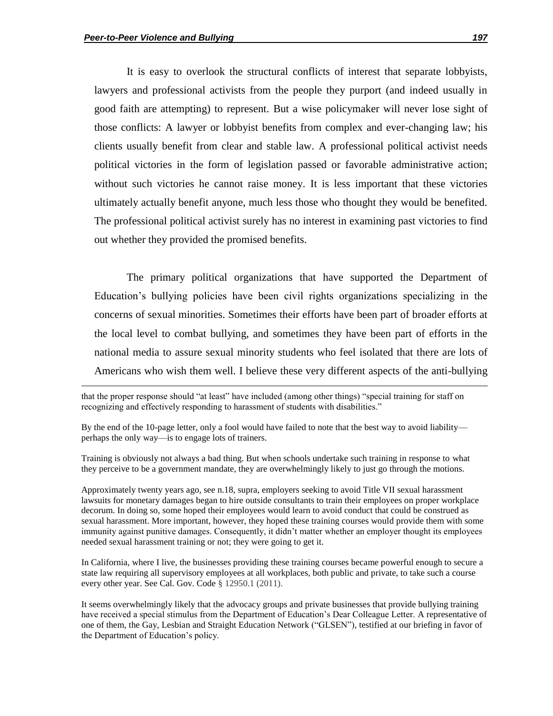$\overline{\phantom{a}}$ 

It is easy to overlook the structural conflicts of interest that separate lobbyists, lawyers and professional activists from the people they purport (and indeed usually in good faith are attempting) to represent. But a wise policymaker will never lose sight of those conflicts: A lawyer or lobbyist benefits from complex and ever-changing law; his clients usually benefit from clear and stable law. A professional political activist needs political victories in the form of legislation passed or favorable administrative action; without such victories he cannot raise money. It is less important that these victories ultimately actually benefit anyone, much less those who thought they would be benefited. The professional political activist surely has no interest in examining past victories to find out whether they provided the promised benefits.

The primary political organizations that have supported the Department of Education's bullying policies have been civil rights organizations specializing in the concerns of sexual minorities. Sometimes their efforts have been part of broader efforts at the local level to combat bullying, and sometimes they have been part of efforts in the national media to assure sexual minority students who feel isolated that there are lots of Americans who wish them well. I believe these very different aspects of the anti-bullying

Training is obviously not always a bad thing. But when schools undertake such training in response to what they perceive to be a government mandate, they are overwhelmingly likely to just go through the motions.

Approximately twenty years ago, see n.18, supra, employers seeking to avoid Title VII sexual harassment lawsuits for monetary damages began to hire outside consultants to train their employees on proper workplace decorum. In doing so, some hoped their employees would learn to avoid conduct that could be construed as sexual harassment. More important, however, they hoped these training courses would provide them with some immunity against punitive damages. Consequently, it didn't matter whether an employer thought its employees needed sexual harassment training or not; they were going to get it.

In California, where I live, the businesses providing these training courses became powerful enough to secure a state law requiring all supervisory employees at all workplaces, both public and private, to take such a course every other year. See Cal. Gov. Code § 12950.1 (2011).

It seems overwhelmingly likely that the advocacy groups and private businesses that provide bullying training have received a special stimulus from the Department of Education's Dear Colleague Letter. A representative of one of them, the Gay, Lesbian and Straight Education Network ("GLSEN"), testified at our briefing in favor of the Department of Education's policy.

that the proper response should "at least" have included (among other things) "special training for staff on recognizing and effectively responding to harassment of students with disabilities."

By the end of the 10-page letter, only a fool would have failed to note that the best way to avoid liability perhaps the only way—is to engage lots of trainers.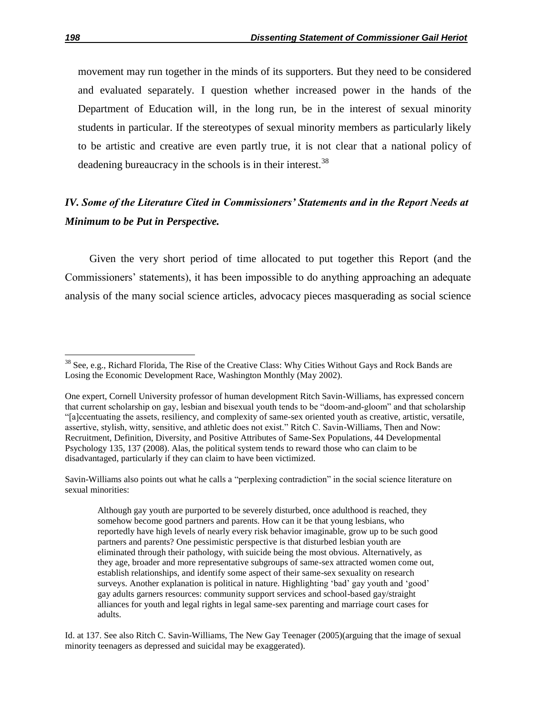movement may run together in the minds of its supporters. But they need to be considered and evaluated separately. I question whether increased power in the hands of the Department of Education will, in the long run, be in the interest of sexual minority students in particular. If the stereotypes of sexual minority members as particularly likely to be artistic and creative are even partly true, it is not clear that a national policy of deadening bureaucracy in the schools is in their interest.<sup>38</sup>

# *IV. Some of the Literature Cited in Commissioners' Statements and in the Report Needs at Minimum to be Put in Perspective.*

Given the very short period of time allocated to put together this Report (and the Commissioners' statements), it has been impossible to do anything approaching an adequate analysis of the many social science articles, advocacy pieces masquerading as social science

Savin-Williams also points out what he calls a "perplexing contradiction" in the social science literature on sexual minorities:

 $38$  See, e.g., Richard Florida, The Rise of the Creative Class: Why Cities Without Gays and Rock Bands are Losing the Economic Development Race, Washington Monthly (May 2002).

One expert, Cornell University professor of human development Ritch Savin-Williams, has expressed concern that current scholarship on gay, lesbian and bisexual youth tends to be "doom-and-gloom" and that scholarship ―[a]ccentuating the assets, resiliency, and complexity of same-sex oriented youth as creative, artistic, versatile, assertive, stylish, witty, sensitive, and athletic does not exist." Ritch C. Savin-Williams, Then and Now: Recruitment, Definition, Diversity, and Positive Attributes of Same-Sex Populations, 44 Developmental Psychology 135, 137 (2008). Alas, the political system tends to reward those who can claim to be disadvantaged, particularly if they can claim to have been victimized.

Although gay youth are purported to be severely disturbed, once adulthood is reached, they somehow become good partners and parents. How can it be that young lesbians, who reportedly have high levels of nearly every risk behavior imaginable, grow up to be such good partners and parents? One pessimistic perspective is that disturbed lesbian youth are eliminated through their pathology, with suicide being the most obvious. Alternatively, as they age, broader and more representative subgroups of same-sex attracted women come out, establish relationships, and identify some aspect of their same-sex sexuality on research surveys. Another explanation is political in nature. Highlighting 'bad' gay youth and 'good' gay adults garners resources: community support services and school-based gay/straight alliances for youth and legal rights in legal same-sex parenting and marriage court cases for adults.

Id. at 137. See also Ritch C. Savin-Williams, The New Gay Teenager (2005)(arguing that the image of sexual minority teenagers as depressed and suicidal may be exaggerated).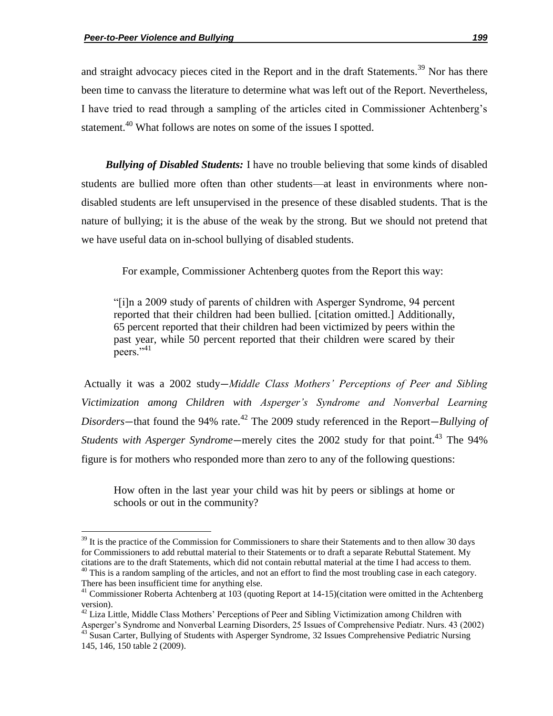$\overline{\phantom{a}}$ 

and straight advocacy pieces cited in the Report and in the draft Statements.<sup>39</sup> Nor has there been time to canvass the literature to determine what was left out of the Report. Nevertheless, I have tried to read through a sampling of the articles cited in Commissioner Achtenberg's statement.<sup>40</sup> What follows are notes on some of the issues I spotted.

*Bullying of Disabled Students:* I have no trouble believing that some kinds of disabled students are bullied more often than other students—at least in environments where nondisabled students are left unsupervised in the presence of these disabled students. That is the nature of bullying; it is the abuse of the weak by the strong. But we should not pretend that we have useful data on in-school bullying of disabled students.

For example, Commissioner Achtenberg quotes from the Report this way:

―[i]n a 2009 study of parents of children with Asperger Syndrome, 94 percent reported that their children had been bullied. [citation omitted.] Additionally, 65 percent reported that their children had been victimized by peers within the past year, while 50 percent reported that their children were scared by their peers. $^{9,41}$ 

Actually it was a 2002 study—*Middle Class Mothers" Perceptions of Peer and Sibling Victimization among Children with Asperger"s Syndrome and Nonverbal Learning Disorders*—that found the 94% rate.<sup>42</sup> The 2009 study referenced in the Report—*Bullying of Students with Asperger Syndrome*—merely cites the 2002 study for that point.<sup>43</sup> The 94% figure is for mothers who responded more than zero to any of the following questions:

How often in the last year your child was hit by peers or siblings at home or schools or out in the community?

 $39$  It is the practice of the Commission for Commissioners to share their Statements and to then allow 30 days for Commissioners to add rebuttal material to their Statements or to draft a separate Rebuttal Statement. My citations are to the draft Statements, which did not contain rebuttal material at the time I had access to them.  $40$  This is a random sampling of the articles, and not an effort to find the most troubling case in each category.

There has been insufficient time for anything else. <sup>41</sup> Commissioner Roberta Achtenberg at 103 (quoting Report at 14-15)(citation were omitted in the Achtenberg

version).

 $42$  Liza Little, Middle Class Mothers' Perceptions of Peer and Sibling Victimization among Children with Asperger's Syndrome and Nonverbal Learning Disorders, 25 Issues of Comprehensive Pediatr. Nurs. 43 (2002)

<sup>&</sup>lt;sup>43</sup> Susan Carter, Bullying of Students with Asperger Syndrome, 32 Issues Comprehensive Pediatric Nursing 145, 146, 150 table 2 (2009).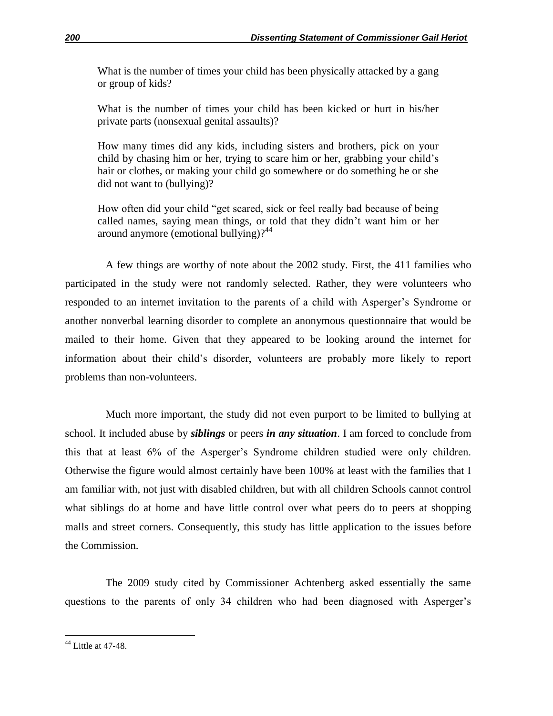What is the number of times your child has been physically attacked by a gang or group of kids?

What is the number of times your child has been kicked or hurt in his/her private parts (nonsexual genital assaults)?

How many times did any kids, including sisters and brothers, pick on your child by chasing him or her, trying to scare him or her, grabbing your child's hair or clothes, or making your child go somewhere or do something he or she did not want to (bullying)?

How often did your child "get scared, sick or feel really bad because of being called names, saying mean things, or told that they didn't want him or her around anymore (emotional bullying)? $44$ 

A few things are worthy of note about the 2002 study. First, the 411 families who participated in the study were not randomly selected. Rather, they were volunteers who responded to an internet invitation to the parents of a child with Asperger's Syndrome or another nonverbal learning disorder to complete an anonymous questionnaire that would be mailed to their home. Given that they appeared to be looking around the internet for information about their child's disorder, volunteers are probably more likely to report problems than non-volunteers.

Much more important, the study did not even purport to be limited to bullying at school. It included abuse by *siblings* or peers *in any situation*. I am forced to conclude from this that at least 6% of the Asperger's Syndrome children studied were only children. Otherwise the figure would almost certainly have been 100% at least with the families that I am familiar with, not just with disabled children, but with all children Schools cannot control what siblings do at home and have little control over what peers do to peers at shopping malls and street corners. Consequently, this study has little application to the issues before the Commission.

The 2009 study cited by Commissioner Achtenberg asked essentially the same questions to the parents of only 34 children who had been diagnosed with Asperger's

 $44$  Little at 47-48.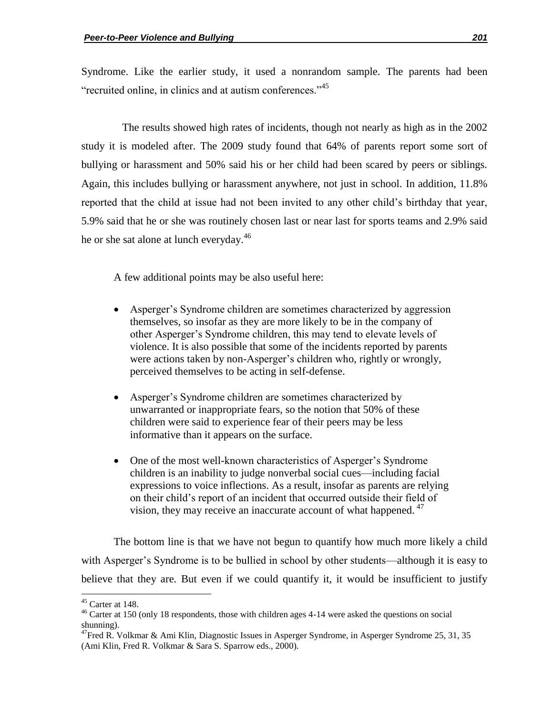Syndrome. Like the earlier study, it used a nonrandom sample. The parents had been "recruited online, in clinics and at autism conferences."<sup>45</sup>

The results showed high rates of incidents, though not nearly as high as in the 2002 study it is modeled after. The 2009 study found that 64% of parents report some sort of bullying or harassment and 50% said his or her child had been scared by peers or siblings. Again, this includes bullying or harassment anywhere, not just in school. In addition, 11.8% reported that the child at issue had not been invited to any other child's birthday that year, 5.9% said that he or she was routinely chosen last or near last for sports teams and 2.9% said he or she sat alone at lunch everyday. $46$ 

A few additional points may be also useful here:

- Asperger's Syndrome children are sometimes characterized by aggression themselves, so insofar as they are more likely to be in the company of other Asperger's Syndrome children, this may tend to elevate levels of violence. It is also possible that some of the incidents reported by parents were actions taken by non-Asperger's children who, rightly or wrongly, perceived themselves to be acting in self-defense.
- Asperger's Syndrome children are sometimes characterized by unwarranted or inappropriate fears, so the notion that 50% of these children were said to experience fear of their peers may be less informative than it appears on the surface.
- One of the most well-known characteristics of Asperger's Syndrome children is an inability to judge nonverbal social cues—including facial expressions to voice inflections. As a result, insofar as parents are relying on their child's report of an incident that occurred outside their field of vision, they may receive an inaccurate account of what happened.  $47$

The bottom line is that we have not begun to quantify how much more likely a child with Asperger's Syndrome is to be bullied in school by other students—although it is easy to believe that they are. But even if we could quantify it, it would be insufficient to justify

 $\overline{a}$ 

 $45$  Carter at 148.

<sup>&</sup>lt;sup>46</sup> Carter at 150 (only 18 respondents, those with children ages 4-14 were asked the questions on social shunning).

 $^{47}$ Fred R. Volkmar & Ami Klin, Diagnostic Issues in Asperger Syndrome, in Asperger Syndrome 25, 31, 35 (Ami Klin, Fred R. Volkmar & Sara S. Sparrow eds., 2000).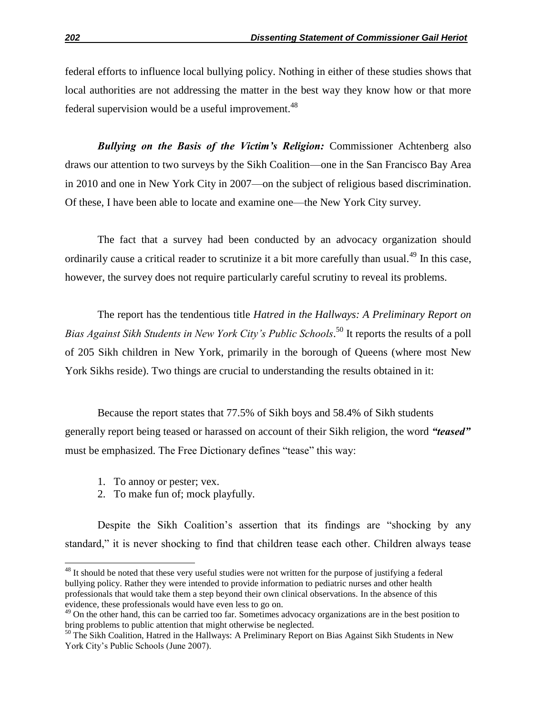federal efforts to influence local bullying policy. Nothing in either of these studies shows that local authorities are not addressing the matter in the best way they know how or that more federal supervision would be a useful improvement.<sup>48</sup>

*Bullying on the Basis of the Victim's Religion:* Commissioner Achtenberg also draws our attention to two surveys by the Sikh Coalition—one in the San Francisco Bay Area in 2010 and one in New York City in 2007—on the subject of religious based discrimination. Of these, I have been able to locate and examine one—the New York City survey.

The fact that a survey had been conducted by an advocacy organization should ordinarily cause a critical reader to scrutinize it a bit more carefully than usual.<sup>49</sup> In this case, however, the survey does not require particularly careful scrutiny to reveal its problems.

The report has the tendentious title *Hatred in the Hallways: A Preliminary Report on Bias Against Sikh Students in New York City"s Public Schools*. <sup>50</sup> It reports the results of a poll of 205 Sikh children in New York, primarily in the borough of Queens (where most New York Sikhs reside). Two things are crucial to understanding the results obtained in it:

Because the report states that 77.5% of Sikh boys and 58.4% of Sikh students generally report being teased or harassed on account of their Sikh religion, the word "teased" must be emphasized. The Free Dictionary defines "tease" this way:

1. To annoy or pester; vex.

 $\overline{a}$ 

2. To make fun of; mock playfully.

Despite the Sikh Coalition's assertion that its findings are "shocking by any standard," it is never shocking to find that children tease each other. Children always tease

 $48$  It should be noted that these very useful studies were not written for the purpose of justifying a federal bullying policy. Rather they were intended to provide information to pediatric nurses and other health professionals that would take them a step beyond their own clinical observations. In the absence of this evidence, these professionals would have even less to go on.

<sup>&</sup>lt;sup>49</sup> On the other hand, this can be carried too far. Sometimes advocacy organizations are in the best position to bring problems to public attention that might otherwise be neglected.

<sup>&</sup>lt;sup>50</sup> The Sikh Coalition, Hatred in the Hallways: A Preliminary Report on Bias Against Sikh Students in New York City's Public Schools (June 2007).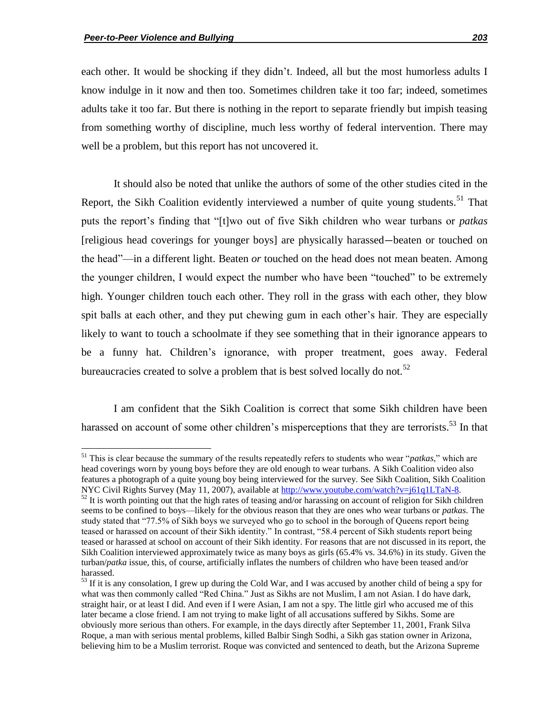each other. It would be shocking if they didn't. Indeed, all but the most humorless adults I know indulge in it now and then too. Sometimes children take it too far; indeed, sometimes adults take it too far. But there is nothing in the report to separate friendly but impish teasing from something worthy of discipline, much less worthy of federal intervention. There may well be a problem, but this report has not uncovered it.

It should also be noted that unlike the authors of some of the other studies cited in the Report, the Sikh Coalition evidently interviewed a number of quite young students.<sup>51</sup> That puts the report's finding that "[t]wo out of five Sikh children who wear turbans or *patkas* [religious head coverings for younger boys] are physically harassed—beaten or touched on the head"—in a different light. Beaten *or* touched on the head does not mean beaten. Among the younger children, I would expect the number who have been "touched" to be extremely high. Younger children touch each other. They roll in the grass with each other, they blow spit balls at each other, and they put chewing gum in each other's hair. They are especially likely to want to touch a schoolmate if they see something that in their ignorance appears to be a funny hat. Children's ignorance, with proper treatment, goes away. Federal bureaucracies created to solve a problem that is best solved locally do not.<sup>52</sup>

I am confident that the Sikh Coalition is correct that some Sikh children have been harassed on account of some other children's misperceptions that they are terrorists.<sup>53</sup> In that

 $51$  This is clear because the summary of the results repeatedly refers to students who wear "*patkas*," which are head coverings worn by young boys before they are old enough to wear turbans. A Sikh Coalition video also features a photograph of a quite young boy being interviewed for the survey. See Sikh Coalition, Sikh Coalition NYC Civil Rights Survey (May 11, 2007), available at http://www.youtube.com/watch?v=j61q1LTaN-8.

 $52$  It is worth pointing out that the high rates of teasing and/or harassing on account of religion for Sikh children seems to be confined to boys—likely for the obvious reason that they are ones who wear turbans or *patkas*. The study stated that "77.5% of Sikh boys we surveyed who go to school in the borough of Queens report being teased or harassed on account of their Sikh identity." In contrast, "58.4 percent of Sikh students report being teased or harassed at school on account of their Sikh identity. For reasons that are not discussed in its report, the Sikh Coalition interviewed approximately twice as many boys as girls (65.4% vs. 34.6%) in its study. Given the turban/*patka* issue, this, of course, artificially inflates the numbers of children who have been teased and/or harassed.

 $<sup>53</sup>$  If it is any consolation, I grew up during the Cold War, and I was accused by another child of being a spy for</sup> what was then commonly called "Red China." Just as Sikhs are not Muslim, I am not Asian. I do have dark, straight hair, or at least I did. And even if I were Asian, I am not a spy. The little girl who accused me of this later became a close friend. I am not trying to make light of all accusations suffered by Sikhs. Some are obviously more serious than others. For example, in the days directly after September 11, 2001, Frank Silva Roque, a man with serious mental problems, killed Balbir Singh Sodhi, a Sikh gas station owner in Arizona, believing him to be a Muslim terrorist. Roque was convicted and sentenced to death, but the Arizona Supreme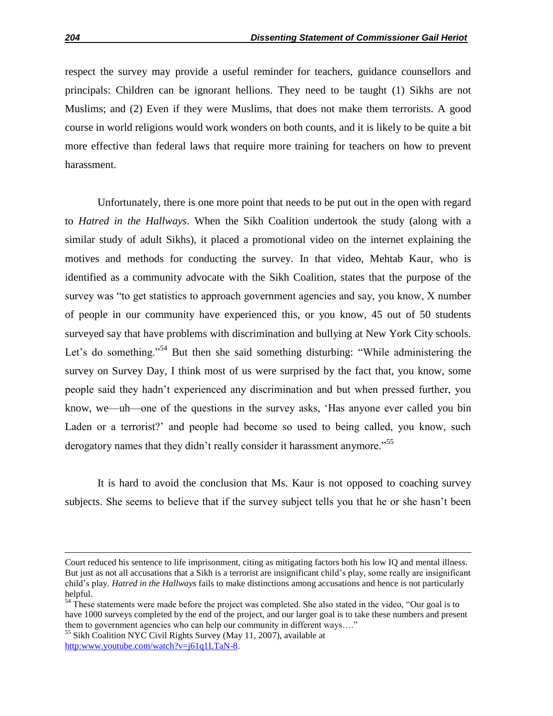respect the survey may provide a useful reminder for teachers, guidance counsellors and principals: Children can be ignorant hellions. They need to be taught (1) Sikhs are not Muslims; and (2) Even if they were Muslims, that does not make them terrorists. A good course in world religions would work wonders on both counts, and it is likely to be quite a bit more effective than federal laws that require more training for teachers on how to prevent harassment.

Unfortunately, there is one more point that needs to be put out in the open with regard to *Hatred in the Hallways*. When the Sikh Coalition undertook the study (along with a similar study of adult Sikhs), it placed a promotional video on the internet explaining the motives and methods for conducting the survey. In that video, Mehtab Kaur, who is identified as a community advocate with the Sikh Coalition, states that the purpose of the survey was "to get statistics to approach government agencies and say, you know, X number of people in our community have experienced this, or you know, 45 out of 50 students surveyed say that have problems with discrimination and bullying at New York City schools. Let's do something.<sup>54</sup> But then she said something disturbing: "While administering the survey on Survey Day, I think most of us were surprised by the fact that, you know, some people said they hadn't experienced any discrimination and but when pressed further, you know, we—uh—one of the questions in the survey asks, ‗Has anyone ever called you bin Laden or a terrorist?' and people had become so used to being called, you know, such derogatory names that they didn't really consider it harassment anymore.<sup>555</sup>

It is hard to avoid the conclusion that Ms. Kaur is not opposed to coaching survey subjects. She seems to believe that if the survey subject tells you that he or she hasn't been

Court reduced his sentence to life imprisonment, citing as mitigating factors both his low IQ and mental illness. But just as not all accusations that a Sikh is a terrorist are insignificant child's play, some really are insignificant child's play. *Hatred in the Hallways* fails to make distinctions among accusations and hence is not particularly helpful.

<sup>&</sup>lt;sup>54</sup> These statements were made before the project was completed. She also stated in the video, "Our goal is to have 1000 surveys completed by the end of the project, and our larger goal is to take these numbers and present them to government agencies who can help our community in different ways...."

<sup>&</sup>lt;sup>55</sup> Sikh Coalition NYC Civil Rights Survey (May 11, 2007), available at http:www.youtube.com/watch?v=j61q1LTaN-8.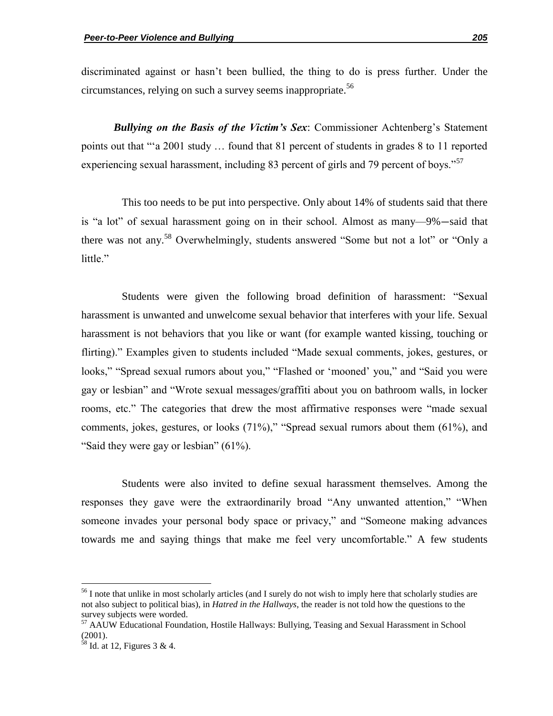discriminated against or hasn't been bullied, the thing to do is press further. Under the circumstances, relying on such a survey seems inappropriate.<sup>56</sup>

*Bullying on the Basis of the Victim's Sex*: Commissioner Achtenberg's Statement points out that ""a 2001 study ... found that 81 percent of students in grades 8 to 11 reported experiencing sexual harassment, including 83 percent of girls and 79 percent of boys."<sup>57</sup>

This too needs to be put into perspective. Only about 14% of students said that there is "a lot" of sexual harassment going on in their school. Almost as many—9%—said that there was not any.<sup>58</sup> Overwhelmingly, students answered "Some but not a lot" or "Only a little."

Students were given the following broad definition of harassment: "Sexual harassment is unwanted and unwelcome sexual behavior that interferes with your life. Sexual harassment is not behaviors that you like or want (for example wanted kissing, touching or flirting)." Examples given to students included "Made sexual comments, jokes, gestures, or looks," "Spread sexual rumors about you," "Flashed or 'mooned' you," and "Said you were gay or lesbian" and "Wrote sexual messages/graffiti about you on bathroom walls, in locker rooms, etc." The categories that drew the most affirmative responses were "made sexual comments, jokes, gestures, or looks  $(71\%)$ ," "Spread sexual rumors about them  $(61\%)$ , and "Said they were gay or lesbian"  $(61\%)$ .

Students were also invited to define sexual harassment themselves. Among the responses they gave were the extraordinarily broad "Any unwanted attention," "When someone invades your personal body space or privacy," and "Someone making advances towards me and saying things that make me feel very uncomfortable." A few students

l

<sup>&</sup>lt;sup>56</sup> I note that unlike in most scholarly articles (and I surely do not wish to imply here that scholarly studies are not also subject to political bias), in *Hatred in the Hallways*, the reader is not told how the questions to the survey subjects were worded.

<sup>&</sup>lt;sup>57</sup> AAUW Educational Foundation, Hostile Hallways: Bullying, Teasing and Sexual Harassment in School  $(2001).$ 

 $58$  Id. at 12, Figures 3 & 4.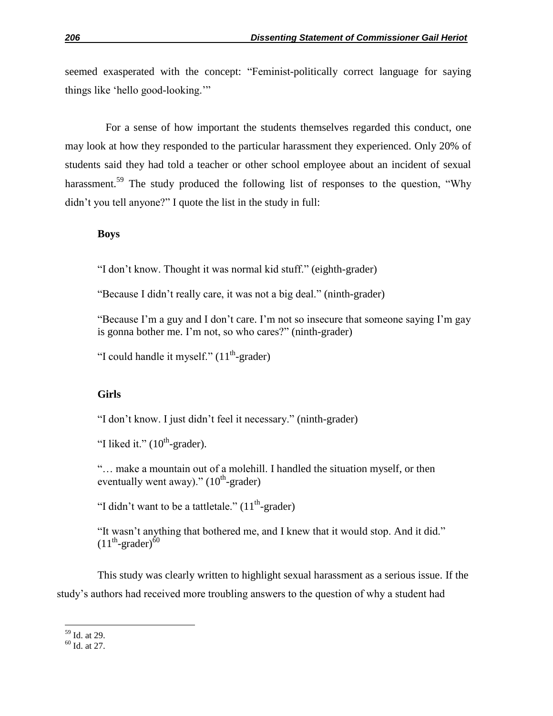seemed exasperated with the concept: "Feminist-politically correct language for saying things like 'hello good-looking.'"

For a sense of how important the students themselves regarded this conduct, one may look at how they responded to the particular harassment they experienced. Only 20% of students said they had told a teacher or other school employee about an incident of sexual harassment.<sup>59</sup> The study produced the following list of responses to the question, "Why didn't you tell anyone?" I quote the list in the study in full:

## **Boys**

"I don't know. Thought it was normal kid stuff." (eighth-grader)

"Because I didn't really care, it was not a big deal." (ninth-grader)

"Because I'm a guy and I don't care. I'm not so insecure that someone saying I'm gay is gonna bother me. I'm not, so who cares?" (ninth-grader)

"I could handle it myself."  $(11<sup>th</sup>-grader)$ 

## **Girls**

"I don't know. I just didn't feel it necessary." (ninth-grader)

"I liked it."  $(10^{th} \text{-} \text{grader})$ .

"... make a mountain out of a molehill. I handled the situation myself, or then eventually went away)."  $(10^{th} \text{-} \text{grader})$ 

"I didn't want to be a tattletale."  $(11<sup>th</sup>$ -grader)

"It wasn't anything that bothered me, and I knew that it would stop. And it did."  $(11^{\text{th}}\text{-}\text{grader})^{\dot{6}0}$ 

This study was clearly written to highlight sexual harassment as a serious issue. If the study's authors had received more troubling answers to the question of why a student had

 $\overline{\phantom{a}}$ <sup>59</sup> Id. at 29.

 $60$  Id. at 27.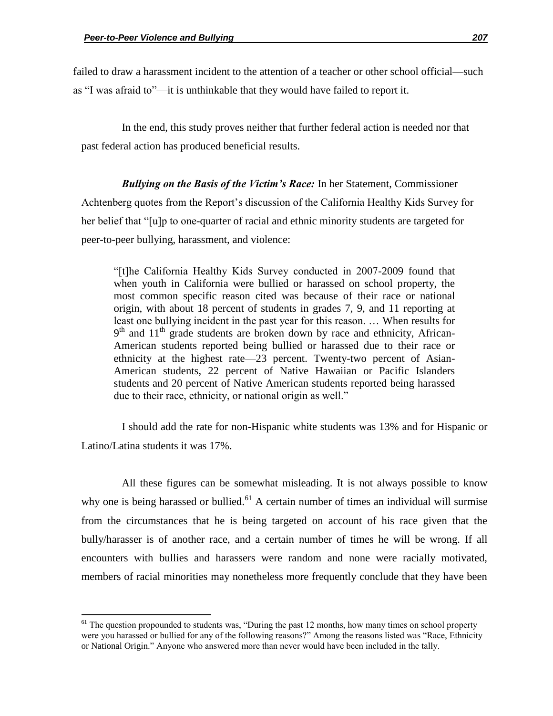failed to draw a harassment incident to the attention of a teacher or other school official—such as "I was afraid to"—it is unthinkable that they would have failed to report it.

In the end, this study proves neither that further federal action is needed nor that past federal action has produced beneficial results.

*Bullying on the Basis of the Victim's Race:* In her Statement, Commissioner Achtenberg quotes from the Report's discussion of the California Healthy Kids Survey for her belief that "[u]p to one-quarter of racial and ethnic minority students are targeted for peer-to-peer bullying, harassment, and violence:

―[t]he California Healthy Kids Survey conducted in 2007-2009 found that when youth in California were bullied or harassed on school property, the most common specific reason cited was because of their race or national origin, with about 18 percent of students in grades 7, 9, and 11 reporting at least one bullying incident in the past year for this reason. … When results for 9<sup>th</sup> and 11<sup>th</sup> grade students are broken down by race and ethnicity, African-American students reported being bullied or harassed due to their race or ethnicity at the highest rate—23 percent. Twenty-two percent of Asian-American students, 22 percent of Native Hawaiian or Pacific Islanders students and 20 percent of Native American students reported being harassed due to their race, ethnicity, or national origin as well."

I should add the rate for non-Hispanic white students was 13% and for Hispanic or Latino/Latina students it was 17%.

All these figures can be somewhat misleading. It is not always possible to know why one is being harassed or bullied.<sup>61</sup> A certain number of times an individual will surmise from the circumstances that he is being targeted on account of his race given that the bully/harasser is of another race, and a certain number of times he will be wrong. If all encounters with bullies and harassers were random and none were racially motivated, members of racial minorities may nonetheless more frequently conclude that they have been

 $61$  The question propounded to students was, "During the past 12 months, how many times on school property were you harassed or bullied for any of the following reasons?" Among the reasons listed was "Race, Ethnicity or National Origin." Anyone who answered more than never would have been included in the tally.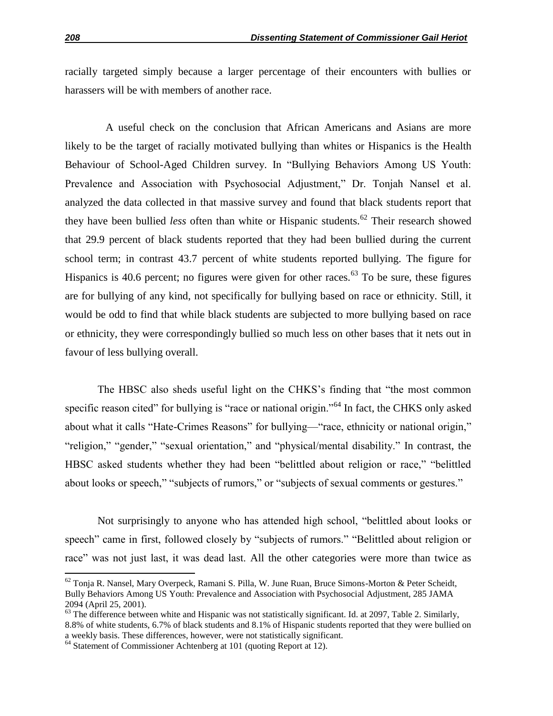racially targeted simply because a larger percentage of their encounters with bullies or harassers will be with members of another race.

A useful check on the conclusion that African Americans and Asians are more likely to be the target of racially motivated bullying than whites or Hispanics is the Health Behaviour of School-Aged Children survey. In "Bullying Behaviors Among US Youth: Prevalence and Association with Psychosocial Adjustment," Dr. Tonjah Nansel et al. analyzed the data collected in that massive survey and found that black students report that they have been bullied *less* often than white or Hispanic students.<sup>62</sup> Their research showed that 29.9 percent of black students reported that they had been bullied during the current school term; in contrast 43.7 percent of white students reported bullying. The figure for Hispanics is 40.6 percent; no figures were given for other races.<sup> $63$ </sup> To be sure, these figures are for bullying of any kind, not specifically for bullying based on race or ethnicity. Still, it would be odd to find that while black students are subjected to more bullying based on race or ethnicity, they were correspondingly bullied so much less on other bases that it nets out in favour of less bullying overall.

The HBSC also sheds useful light on the CHKS's finding that "the most common specific reason cited" for bullying is "race or national origin."<sup>64</sup> In fact, the CHKS only asked about what it calls "Hate-Crimes Reasons" for bullying—"race, ethnicity or national origin," "religion," "gender," "sexual orientation," and "physical/mental disability." In contrast, the HBSC asked students whether they had been "belittled about religion or race," "belittled about looks or speech," "subjects of rumors," or "subjects of sexual comments or gestures."

Not surprisingly to anyone who has attended high school, "belittled about looks or speech" came in first, followed closely by "subjects of rumors." "Belittled about religion or race" was not just last, it was dead last. All the other categories were more than twice as

 $62$  Tonja R. Nansel, Mary Overpeck, Ramani S. Pilla, W. June Ruan, Bruce Simons-Morton & Peter Scheidt, Bully Behaviors Among US Youth: Prevalence and Association with Psychosocial Adjustment, 285 JAMA 2094 (April 25, 2001).

 $63$  The difference between white and Hispanic was not statistically significant. Id. at 2097, Table 2. Similarly, 8.8% of white students, 6.7% of black students and 8.1% of Hispanic students reported that they were bullied on a weekly basis. These differences, however, were not statistically significant.

 $64$  Statement of Commissioner Achtenberg at 101 (quoting Report at 12).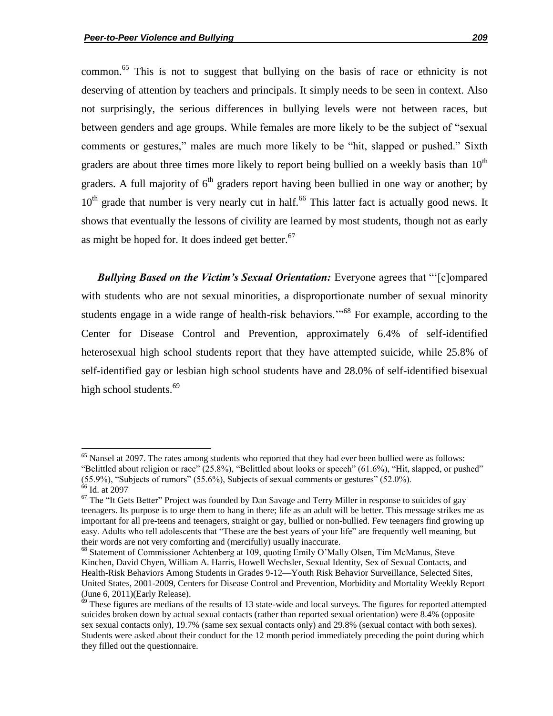common.<sup>65</sup> This is not to suggest that bullying on the basis of race or ethnicity is not deserving of attention by teachers and principals. It simply needs to be seen in context. Also not surprisingly, the serious differences in bullying levels were not between races, but between genders and age groups. While females are more likely to be the subject of "sexual comments or gestures," males are much more likely to be "hit, slapped or pushed." Sixth graders are about three times more likely to report being bullied on a weekly basis than  $10<sup>th</sup>$ graders. A full majority of  $6<sup>th</sup>$  graders report having been bullied in one way or another; by  $10<sup>th</sup>$  grade that number is very nearly cut in half.<sup>66</sup> This latter fact is actually good news. It shows that eventually the lessons of civility are learned by most students, though not as early as might be hoped for. It does indeed get better. $67$ 

*Bullying Based on the Victim's Sexual Orientation:* Everyone agrees that "'[c]ompared with students who are not sexual minorities, a disproportionate number of sexual minority students engage in a wide range of health-risk behaviors.<sup>"68</sup> For example, according to the Center for Disease Control and Prevention, approximately 6.4% of self-identified heterosexual high school students report that they have attempted suicide, while 25.8% of self-identified gay or lesbian high school students have and 28.0% of self-identified bisexual high school students.<sup>69</sup>

<sup>&</sup>lt;sup>65</sup> Nansel at 2097. The rates among students who reported that they had ever been bullied were as follows: "Belittled about religion or race" (25.8%), "Belittled about looks or speech" (61.6%), "Hit, slapped, or pushed"  $(55.9\%)$ , "Subjects of rumors"  $(55.6\%)$ , Subjects of sexual comments or gestures"  $(52.0\%)$ .  $66$  Id. at 2097

 $67$  The "It Gets Better" Project was founded by Dan Savage and Terry Miller in response to suicides of gay teenagers. Its purpose is to urge them to hang in there; life as an adult will be better. This message strikes me as important for all pre-teens and teenagers, straight or gay, bullied or non-bullied. Few teenagers find growing up easy. Adults who tell adolescents that "These are the best years of your life" are frequently well meaning, but their words are not very comforting and (mercifully) usually inaccurate.

<sup>&</sup>lt;sup>68</sup> Statement of Commissioner Achtenberg at 109, quoting Emily O'Mally Olsen, Tim McManus, Steve Kinchen, David Chyen, William A. Harris, Howell Wechsler, Sexual Identity, Sex of Sexual Contacts, and Health-Risk Behaviors Among Students in Grades 9-12—Youth Risk Behavior Surveillance, Selected Sites, United States, 2001-2009, Centers for Disease Control and Prevention, Morbidity and Mortality Weekly Report (June 6, 2011)(Early Release).

 $69$  These figures are medians of the results of 13 state-wide and local surveys. The figures for reported attempted suicides broken down by actual sexual contacts (rather than reported sexual orientation) were 8.4% (opposite sex sexual contacts only), 19.7% (same sex sexual contacts only) and 29.8% (sexual contact with both sexes). Students were asked about their conduct for the 12 month period immediately preceding the point during which they filled out the questionnaire.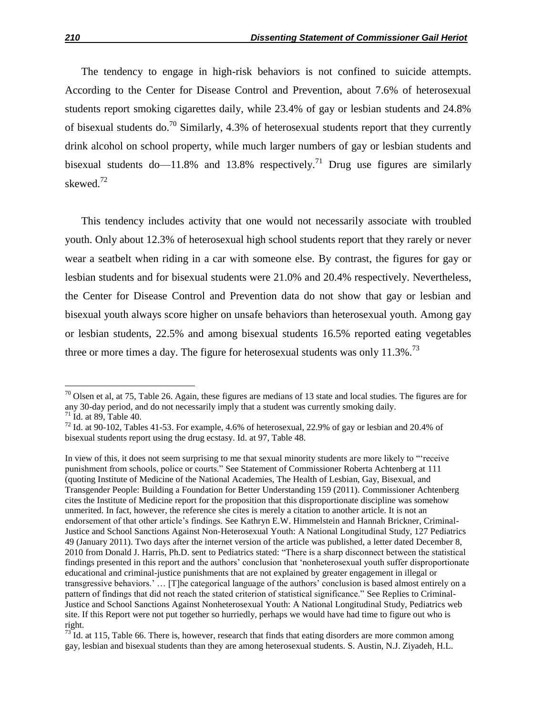The tendency to engage in high-risk behaviors is not confined to suicide attempts. According to the Center for Disease Control and Prevention, about 7.6% of heterosexual students report smoking cigarettes daily, while 23.4% of gay or lesbian students and 24.8% of bisexual students do.<sup>70</sup> Similarly, 4.3% of heterosexual students report that they currently drink alcohol on school property, while much larger numbers of gay or lesbian students and bisexual students do—11.8% and 13.8% respectively.<sup>71</sup> Drug use figures are similarly skewed.<sup>72</sup>

This tendency includes activity that one would not necessarily associate with troubled youth. Only about 12.3% of heterosexual high school students report that they rarely or never wear a seatbelt when riding in a car with someone else. By contrast, the figures for gay or lesbian students and for bisexual students were 21.0% and 20.4% respectively. Nevertheless, the Center for Disease Control and Prevention data do not show that gay or lesbian and bisexual youth always score higher on unsafe behaviors than heterosexual youth. Among gay or lesbian students, 22.5% and among bisexual students 16.5% reported eating vegetables three or more times a day. The figure for heterosexual students was only  $11.3\%$ <sup>73</sup>

 $70$  Olsen et al, at 75, Table 26. Again, these figures are medians of 13 state and local studies. The figures are for any 30-day period, and do not necessarily imply that a student was currently smoking daily.  $71$  Id. at 89, Table 40.

 $72$  Id. at 90-102, Tables 41-53. For example, 4.6% of heterosexual, 22.9% of gay or lesbian and 20.4% of bisexual students report using the drug ecstasy. Id. at 97, Table 48.

In view of this, it does not seem surprising to me that sexual minority students are more likely to "receive" punishment from schools, police or courts." See Statement of Commissioner Roberta Achtenberg at 111 (quoting Institute of Medicine of the National Academies, The Health of Lesbian, Gay, Bisexual, and Transgender People: Building a Foundation for Better Understanding 159 (2011). Commissioner Achtenberg cites the Institute of Medicine report for the proposition that this disproportionate discipline was somehow unmerited. In fact, however, the reference she cites is merely a citation to another article. It is not an endorsement of that other article's findings. See Kathryn E.W. Himmelstein and Hannah Brickner, Criminal-Justice and School Sanctions Against Non-Heterosexual Youth: A National Longitudinal Study, 127 Pediatrics 49 (January 2011). Two days after the internet version of the article was published, a letter dated December 8, 2010 from Donald J. Harris, Ph.D. sent to Pediatrics stated: "There is a sharp disconnect between the statistical findings presented in this report and the authors' conclusion that ‗nonheterosexual youth suffer disproportionate educational and criminal-justice punishments that are not explained by greater engagement in illegal or transgressive behaviors.' … [T]he categorical language of the authors' conclusion is based almost entirely on a pattern of findings that did not reach the stated criterion of statistical significance." See Replies to Criminal-Justice and School Sanctions Against Nonheterosexual Youth: A National Longitudinal Study, Pediatrics web site. If this Report were not put together so hurriedly, perhaps we would have had time to figure out who is right.

 $^{73}$  Id. at 115, Table 66. There is, however, research that finds that eating disorders are more common among gay, lesbian and bisexual students than they are among heterosexual students. S. Austin, N.J. Ziyadeh, H.L.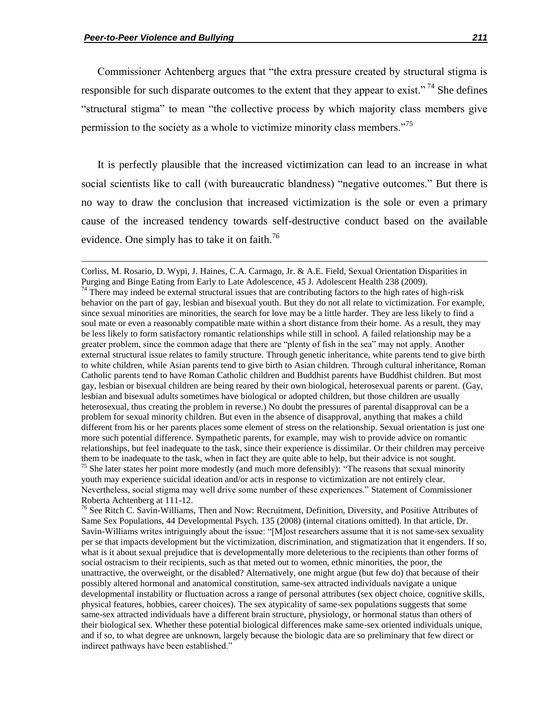Commissioner Achtenberg argues that "the extra pressure created by structural stigma is responsible for such disparate outcomes to the extent that they appear to exist."<sup>74</sup> She defines "structural stigma" to mean "the collective process by which majority class members give permission to the society as a whole to victimize minority class members.<sup>75</sup>

It is perfectly plausible that the increased victimization can lead to an increase in what social scientists like to call (with bureaucratic blandness) "negative outcomes." But there is no way to draw the conclusion that increased victimization is the sole or even a primary cause of the increased tendency towards self-destructive conduct based on the available evidence. One simply has to take it on faith.<sup>76</sup>

Corliss, M. Rosario, D. Wypi, J. Haines, C.A. Carmago, Jr. & A.E. Field, Sexual Orientation Disparities in Purging and Binge Eating from Early to Late Adolescence, 45 J. Adolescent Health 238 (2009).

<sup>&</sup>lt;sup>74</sup> There may indeed be external structural issues that are contributing factors to the high rates of high-risk behavior on the part of gay, lesbian and bisexual youth. But they do not all relate to victimization. For example, since sexual minorities are minorities, the search for love may be a little harder. They are less likely to find a soul mate or even a reasonably compatible mate within a short distance from their home. As a result, they may be less likely to form satisfactory romantic relationships while still in school. A failed relationship may be a greater problem, since the common adage that there are "plenty of fish in the sea" may not apply. Another external structural issue relates to family structure. Through genetic inheritance, white parents tend to give birth to white children, while Asian parents tend to give birth to Asian children. Through cultural inheritance, Roman Catholic parents tend to have Roman Catholic children and Buddhist parents have Buddhist children. But most gay, lesbian or bisexual children are being reared by their own biological, heterosexual parents or parent. (Gay, lesbian and bisexual adults sometimes have biological or adopted children, but those children are usually heterosexual, thus creating the problem in reverse.) No doubt the pressures of parental disapproval can be a problem for sexual minority children. But even in the absence of disapproval, anything that makes a child different from his or her parents places some element of stress on the relationship. Sexual orientation is just one more such potential difference. Sympathetic parents, for example, may wish to provide advice on romantic relationships, but feel inadequate to the task, since their experience is dissimilar. Or their children may perceive them to be inadequate to the task, when in fact they are quite able to help, but their advice is not sought.  $75$  She later states her point more modestly (and much more defensibly): "The reasons that sexual minority youth may experience suicidal ideation and/or acts in response to victimization are not entirely clear. Nevertheless, social stigma may well drive some number of these experiences.‖ Statement of Commissioner Roberta Achtenberg at 111-12.

<sup>&</sup>lt;sup>76</sup> See Ritch C. Savin-Williams, Then and Now: Recruitment, Definition, Diversity, and Positive Attributes of Same Sex Populations, 44 Developmental Psych. 135 (2008) (internal citations omitted). In that article, Dr. Savin-Williams writes intriguingly about the issue: "[M]ost researchers assume that it is not same-sex sexuality per se that impacts development but the victimization, discrimination, and stigmatization that it engenders. If so, what is it about sexual prejudice that is developmentally more deleterious to the recipients than other forms of social ostracism to their recipients, such as that meted out to women, ethnic minorities, the poor, the unattractive, the overweight, or the disabled? Alternatively, one might argue (but few do) that because of their possibly altered hormonal and anatomical constitution, same-sex attracted individuals navigate a unique developmental instability or fluctuation across a range of personal attributes (sex object choice, cognitive skills, physical features, hobbies, career choices). The sex atypicality of same-sex populations suggests that some same-sex attracted individuals have a different brain structure, physiology, or hormonal status than others of their biological sex. Whether these potential biological differences make same-sex oriented individuals unique, and if so, to what degree are unknown, largely because the biologic data are so preliminary that few direct or indirect pathways have been established."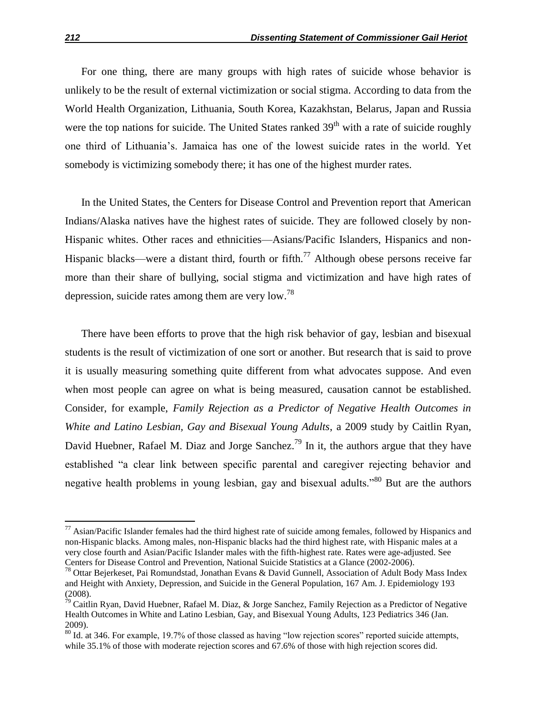For one thing, there are many groups with high rates of suicide whose behavior is unlikely to be the result of external victimization or social stigma. According to data from the World Health Organization, Lithuania, South Korea, Kazakhstan, Belarus, Japan and Russia were the top nations for suicide. The United States ranked  $39<sup>th</sup>$  with a rate of suicide roughly one third of Lithuania's. Jamaica has one of the lowest suicide rates in the world. Yet somebody is victimizing somebody there; it has one of the highest murder rates.

In the United States, the Centers for Disease Control and Prevention report that American Indians/Alaska natives have the highest rates of suicide. They are followed closely by non-Hispanic whites. Other races and ethnicities—Asians/Pacific Islanders, Hispanics and non-Hispanic blacks—were a distant third, fourth or fifth.<sup>77</sup> Although obese persons receive far more than their share of bullying, social stigma and victimization and have high rates of depression, suicide rates among them are very low.<sup>78</sup>

There have been efforts to prove that the high risk behavior of gay, lesbian and bisexual students is the result of victimization of one sort or another. But research that is said to prove it is usually measuring something quite different from what advocates suppose. And even when most people can agree on what is being measured, causation cannot be established. Consider, for example, *Family Rejection as a Predictor of Negative Health Outcomes in White and Latino Lesbian, Gay and Bisexual Young Adults*, a 2009 study by Caitlin Ryan, David Huebner, Rafael M. Diaz and Jorge Sanchez.<sup>79</sup> In it, the authors argue that they have established "a clear link between specific parental and caregiver rejecting behavior and negative health problems in young lesbian, gay and bisexual adults.<sup>80</sup> But are the authors

 $\overline{a}$ 

 $77$  Asian/Pacific Islander females had the third highest rate of suicide among females, followed by Hispanics and non-Hispanic blacks. Among males, non-Hispanic blacks had the third highest rate, with Hispanic males at a very close fourth and Asian/Pacific Islander males with the fifth-highest rate. Rates were age-adjusted. See Centers for Disease Control and Prevention, National Suicide Statistics at a Glance (2002-2006).

<sup>&</sup>lt;sup>78</sup> Ottar Bejerkeset, Pai Romundstad, Jonathan Evans & David Gunnell, Association of Adult Body Mass Index and Height with Anxiety, Depression, and Suicide in the General Population, 167 Am. J. Epidemiology 193 (2008).

 $\hat{7}^9$  Caitlin Rvan, David Huebner, Rafael M. Diaz, & Jorge Sanchez, Family Rejection as a Predictor of Negative Health Outcomes in White and Latino Lesbian, Gay, and Bisexual Young Adults, 123 Pediatrics 346 (Jan. 2009).

 $80$  Id. at 346. For example, 19.7% of those classed as having "low rejection scores" reported suicide attempts, while 35.1% of those with moderate rejection scores and 67.6% of those with high rejection scores did.